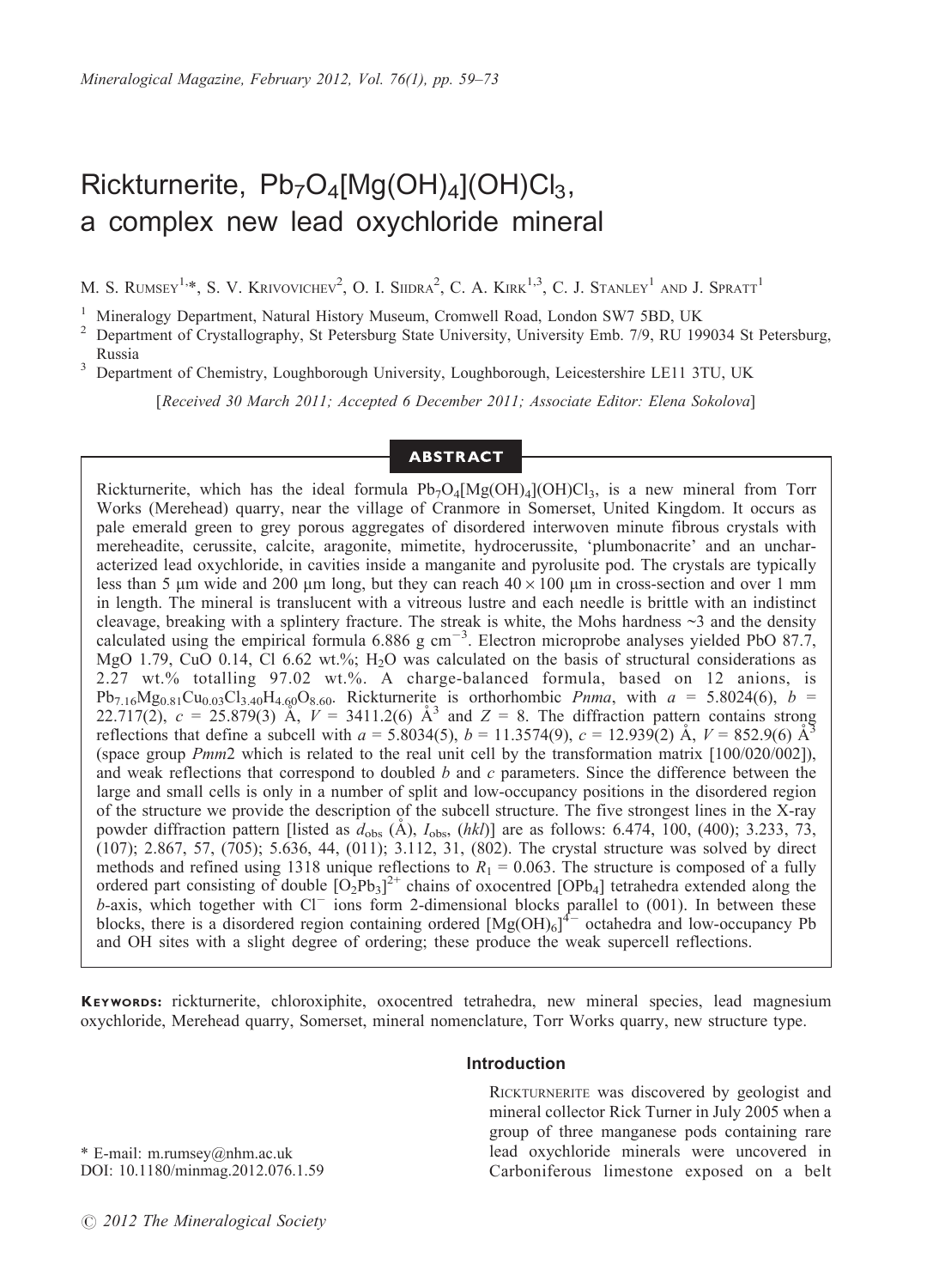# Rickturnerite,  $Pb_7O_4[Mg(OH)_4](OH)Cl_3$ , a complex new lead oxychloride mineral

M. S. Rumsey<sup>1,</sup>\*, S. V. Krivovichev<sup>2</sup>, O. I. Siidra<sup>2</sup>, C. A. Kirk<sup>1,3</sup>, C. J. Stanley<sup>1</sup> and J. Spratt<sup>1</sup>

- <sup>1</sup> Mineralogy Department, Natural History Museum, Cromwell Road, London SW7 5BD, UK<br><sup>2</sup> Department of Crystallography, St Petersburg State University, University Emb. 7/9, RU 199034 St Petersburg,<br>Russia
- Russia <sup>3</sup> Department of Chemistry, Loughborough University, Loughborough, Leicestershire LE11 3TU, UK

[Received 30 March 2011; Accepted 6 December 2011; Associate Editor: Elena Sokolova]

# **ABSTRACT**

Rickturnerite, which has the ideal formula  $Pb_7O_4[Mg(OH)_4(OH)Cl_3$ , is a new mineral from Torr Works (Merehead) quarry, near the village of Cranmore in Somerset, United Kingdom. It occurs as pale emerald green to grey porous aggregates of disordered interwoven minute fibrous crystals with mereheadite, cerussite, calcite, aragonite, mimetite, hydrocerussite, 'plumbonacrite' and an uncharacterized lead oxychloride, in cavities inside a manganite and pyrolusite pod. The crystals are typically less than 5 um wide and 200 um long, but they can reach  $40 \times 100$  um in cross-section and over 1 mm in length. The mineral is translucent with a vitreous lustre and each needle is brittle with an indistinct cleavage, breaking with a splintery fracture. The streak is white, the Mohs hardness ~3 and the density calculated using the empirical formula  $6.886$  g cm<sup>-3</sup>. Electron microprobe analyses yielded PbO 87.7, MgO 1.79, CuO 0.14, Cl 6.62 wt.%; H<sub>2</sub>O was calculated on the basis of structural considerations as 2.27 wt.% totalling 97.02 wt.%. A charge-balanced formula, based on 12 anions, is  $Pb_{7.16}Mg_{0.81}Cu_{0.03}Cl_{3.40}H_{4.60}O_{8.60}$ . Rickturnerite is orthorhombic *Pnma*, with  $a = 5.8024(6)$ ,  $b =$ 22.717(2),  $c = 25.879(3)$   $\AA$ ,  $V = 3411.2(6)$   $\AA^3$  and  $Z = 8$ . The diffraction pattern contains strong reflections that define a subcell with  $a = 5.8034(5)$ ,  $b = 11.3574(9)$ ,  $c = 12.939(2)$  Å,  $V = 852.9(6)$  Å<sup>3</sup> (space group Pmm2 which is related to the real unit cell by the transformation matrix [100/020/002]), and weak reflections that correspond to doubled  $b$  and  $c$  parameters. Since the difference between the large and small cells is only in a number of split and low-occupancy positions in the disordered region of the structure we provide the description of the subcell structure. The five strongest lines in the X-ray powder diffraction pattern [listed as  $d_{obs}$  (Å),  $I_{obs}$ , (hkl)] are as follows: 6.474, 100, (400); 3.233, 73, (107); 2.867, 57, (705); 5.636, 44, (011); 3.112, 31, (802). The crystal structure was solved by direct methods and refined using 1318 unique reflections to  $R_1 = 0.063$ . The structure is composed of a fully ordered part consisting of double  $[O_2Pb_3]^2$  chains of oxocentred [OPb<sub>4</sub>] tetrahedra extended along the  $b$ -axis, which together with Cl<sup>-</sup> ions form 2-dimensional blocks parallel to (001). In between these blocks, there is a disordered region containing ordered  $[Mg(OH)_6]^4$  octahedra and low-occupancy Pb and OH sites with a slight degree of ordering; these produce the weak supercell reflections.

KEYWORDS: rickturnerite, chloroxiphite, oxocentred tetrahedra, new mineral species, lead magnesium oxychloride, Merehead quarry, Somerset, mineral nomenclature, Torr Works quarry, new structure type.

#### Introduction

RICKTURNERITE was discovered by geologist and mineral collector Rick Turner in July 2005 when a group of three manganese pods containing rare lead oxychloride minerals were uncovered in Carboniferous limestone exposed on a belt

\* E-mail: m.rumsey@nhm.ac.uk DOI: 10.1180/minmag.2012.076.1.59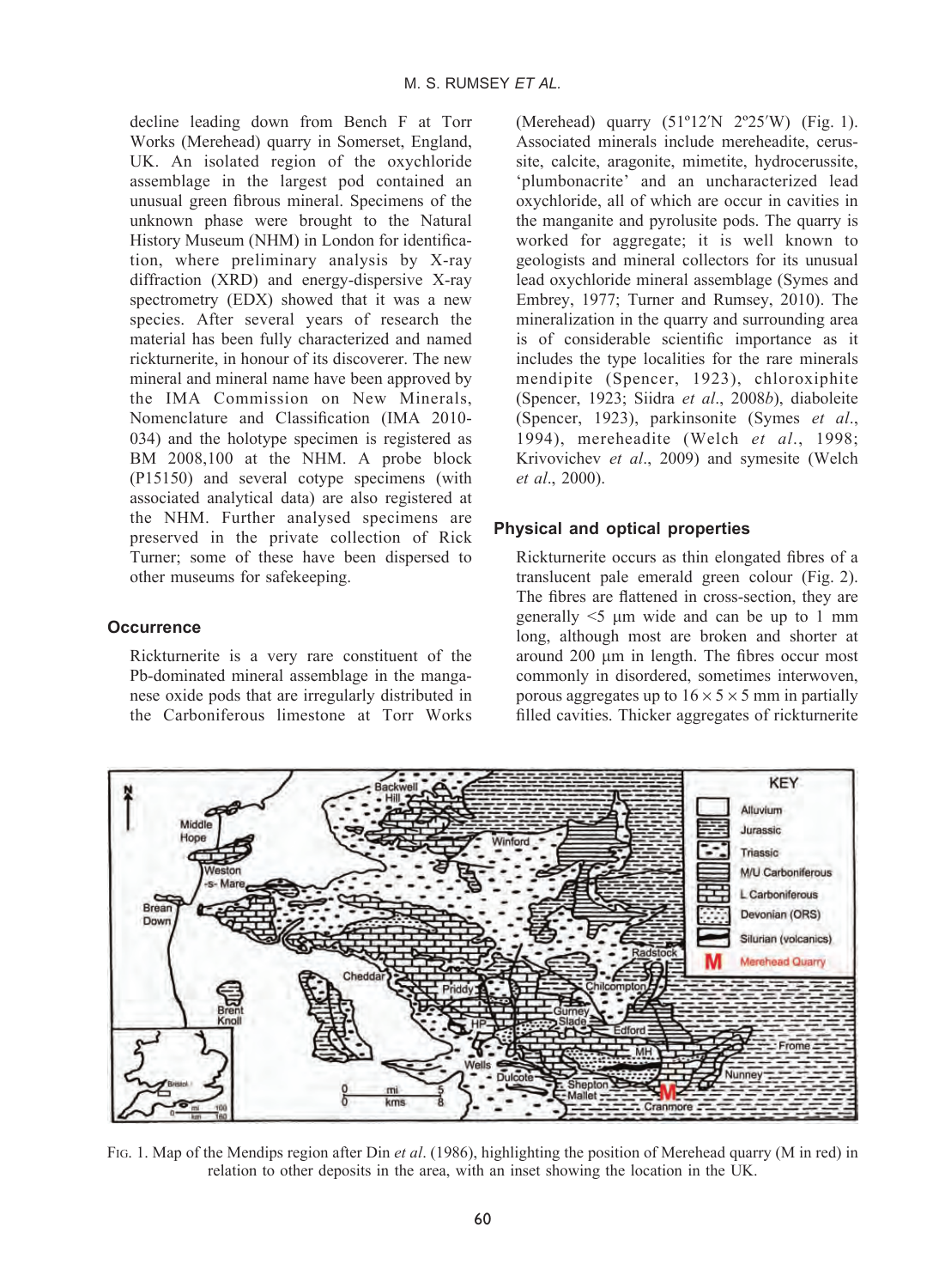decline leading down from Bench F at Torr Works (Merehead) quarry in Somerset, England, UK. An isolated region of the oxychloride assemblage in the largest pod contained an unusual green fibrous mineral. Specimens of the unknown phase were brought to the Natural History Museum (NHM) in London for identification, where preliminary analysis by X-ray diffraction (XRD) and energy-dispersive X-ray spectrometry (EDX) showed that it was a new species. After several years of research the material has been fully characterized and named rickturnerite, in honour of its discoverer. The new mineral and mineral name have been approved by the IMA Commission on New Minerals, Nomenclature and Classification (IMA 2010- 034) and the holotype specimen is registered as BM 2008,100 at the NHM. A probe block (P15150) and several cotype specimens (with associated analytical data) are also registered at the NHM. Further analysed specimens are preserved in the private collection of Rick Turner; some of these have been dispersed to other museums for safekeeping.

## **Occurrence**

Rickturnerite is a very rare constituent of the Pb-dominated mineral assemblage in the manganese oxide pods that are irregularly distributed in the Carboniferous limestone at Torr Works

(Merehead) quarry (51º12'N 2º25'W) (Fig. 1). Associated minerals include mereheadite, cerussite, calcite, aragonite, mimetite, hydrocerussite, 'plumbonacrite' and an uncharacterized lead oxychloride, all of which are occur in cavities in the manganite and pyrolusite pods. The quarry is worked for aggregate; it is well known to geologists and mineral collectors for its unusual lead oxychloride mineral assemblage (Symes and Embrey, 1977; Turner and Rumsey, 2010). The mineralization in the quarry and surrounding area is of considerable scientific importance as it includes the type localities for the rare minerals mendipite (Spencer, 1923), chloroxiphite (Spencer, 1923; Siidra et al., 2008b), diaboleite (Spencer, 1923), parkinsonite (Symes et al., 1994), mereheadite (Welch et al., 1998; Krivovichev et al., 2009) and symesite (Welch et al., 2000).

## Physical and optical properties

Rickturnerite occurs as thin elongated fibres of a translucent pale emerald green colour (Fig. 2). The fibres are flattened in cross-section, they are generally  $\leq 5$  µm wide and can be up to 1 mm long, although most are broken and shorter at around  $200 \mu m$  in length. The fibres occur most commonly in disordered, sometimes interwoven, porous aggregates up to  $16 \times 5 \times 5$  mm in partially filled cavities. Thicker aggregates of rickturnerite



FIG. 1. Map of the Mendips region after Din et al. (1986), highlighting the position of Merehead quarry (M in red) in relation to other deposits in the area, with an inset showing the location in the UK.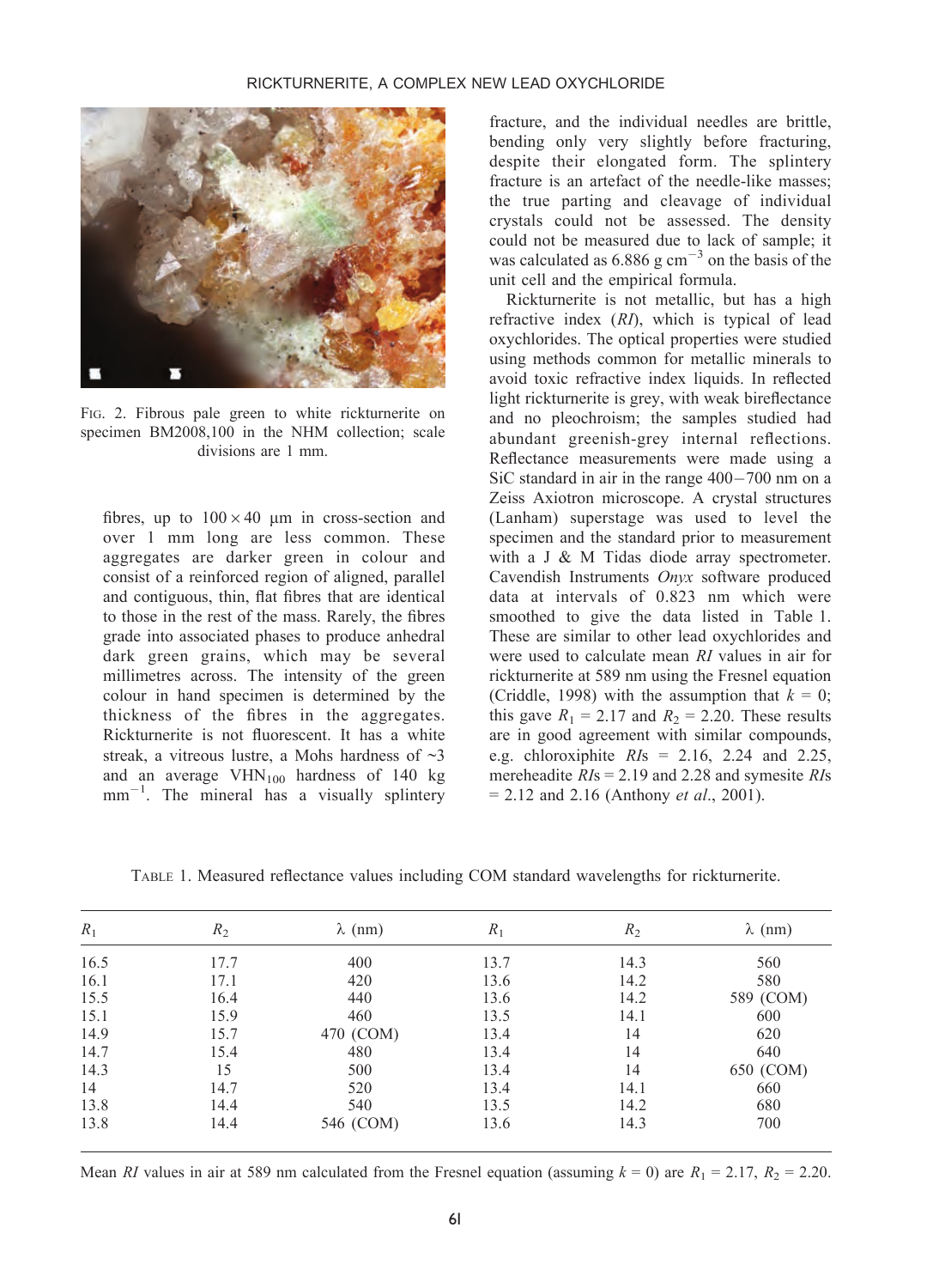

FIG. 2. Fibrous pale green to white rickturnerite on specimen BM2008,100 in the NHM collection; scale divisions are 1 mm.

fibres, up to  $100 \times 40$  µm in cross-section and over 1 mm long are less common. These aggregates are darker green in colour and consist of a reinforced region of aligned, parallel and contiguous, thin, flat fibres that are identical to those in the rest of the mass. Rarely, the fibres grade into associated phases to produce anhedral dark green grains, which may be several millimetres across. The intensity of the green colour in hand specimen is determined by the thickness of the fibres in the aggregates. Rickturnerite is not fluorescent. It has a white streak, a vitreous lustre, a Mohs hardness of  $\sim$ 3 and an average  $VHN<sub>100</sub>$  hardness of 140 kg mm<sup>-1</sup>. The mineral has a visually splintery

fracture, and the individual needles are brittle, bending only very slightly before fracturing, despite their elongated form. The splintery fracture is an artefact of the needle-like masses; the true parting and cleavage of individual crystals could not be assessed. The density could not be measured due to lack of sample; it was calculated as  $6.886$  g cm<sup>-3</sup> on the basis of the unit cell and the empirical formula.

Rickturnerite is not metallic, but has a high refractive index (RI), which is typical of lead oxychlorides. The optical properties were studied using methods common for metallic minerals to avoid toxic refractive index liquids. In reflected light rickturnerite is grey, with weak bireflectance and no pleochroism; the samples studied had abundant greenish-grey internal reflections. Reflectance measurements were made using a SiC standard in air in the range 400-700 nm on a Zeiss Axiotron microscope. A crystal structures (Lanham) superstage was used to level the specimen and the standard prior to measurement with a J & M Tidas diode array spectrometer. Cavendish Instruments Onyx software produced data at intervals of 0.823 nm which were smoothed to give the data listed in Table 1. These are similar to other lead oxychlorides and were used to calculate mean RI values in air for rickturnerite at 589 nm using the Fresnel equation (Criddle, 1998) with the assumption that  $k = 0$ ; this gave  $R_1 = 2.17$  and  $R_2 = 2.20$ . These results are in good agreement with similar compounds, e.g. chloroxiphite  $RIs = 2.16$ , 2.24 and 2.25, mereheadite  $RIs = 2.19$  and 2.28 and symesite  $RIs$  $= 2.12$  and 2.16 (Anthony *et al.*, 2001).

TABLE 1. Measured reflectance values including COM standard wavelengths for rickturnerite.

| $R_1$ | R <sub>2</sub> | $\lambda$ (nm) | $R_1$ | R <sub>2</sub> | $\lambda$ (nm) |
|-------|----------------|----------------|-------|----------------|----------------|
| 16.5  | 17.7           | 400            | 13.7  | 14.3           | 560            |
| 16.1  | 17.1           | 420            | 13.6  | 14.2           | 580            |
| 15.5  | 16.4           | 440            | 13.6  | 14.2           | 589 (COM)      |
| 15.1  | 15.9           | 460            | 13.5  | 14.1           | 600            |
| 14.9  | 15.7           | 470 (COM)      | 13.4  | 14             | 620            |
| 14.7  | 15.4           | 480            | 13.4  | 14             | 640            |
| 14.3  | 15             | 500            | 13.4  | 14             | 650 (COM)      |
| 14    | 14.7           | 520            | 13.4  | 14.1           | 660            |
| 13.8  | 14.4           | 540            | 13.5  | 14.2           | 680            |
| 13.8  | 14.4           | 546 (COM)      | 13.6  | 14.3           | 700            |

Mean RI values in air at 589 nm calculated from the Fresnel equation (assuming  $k = 0$ ) are  $R_1 = 2.17$ ,  $R_2 = 2.20$ .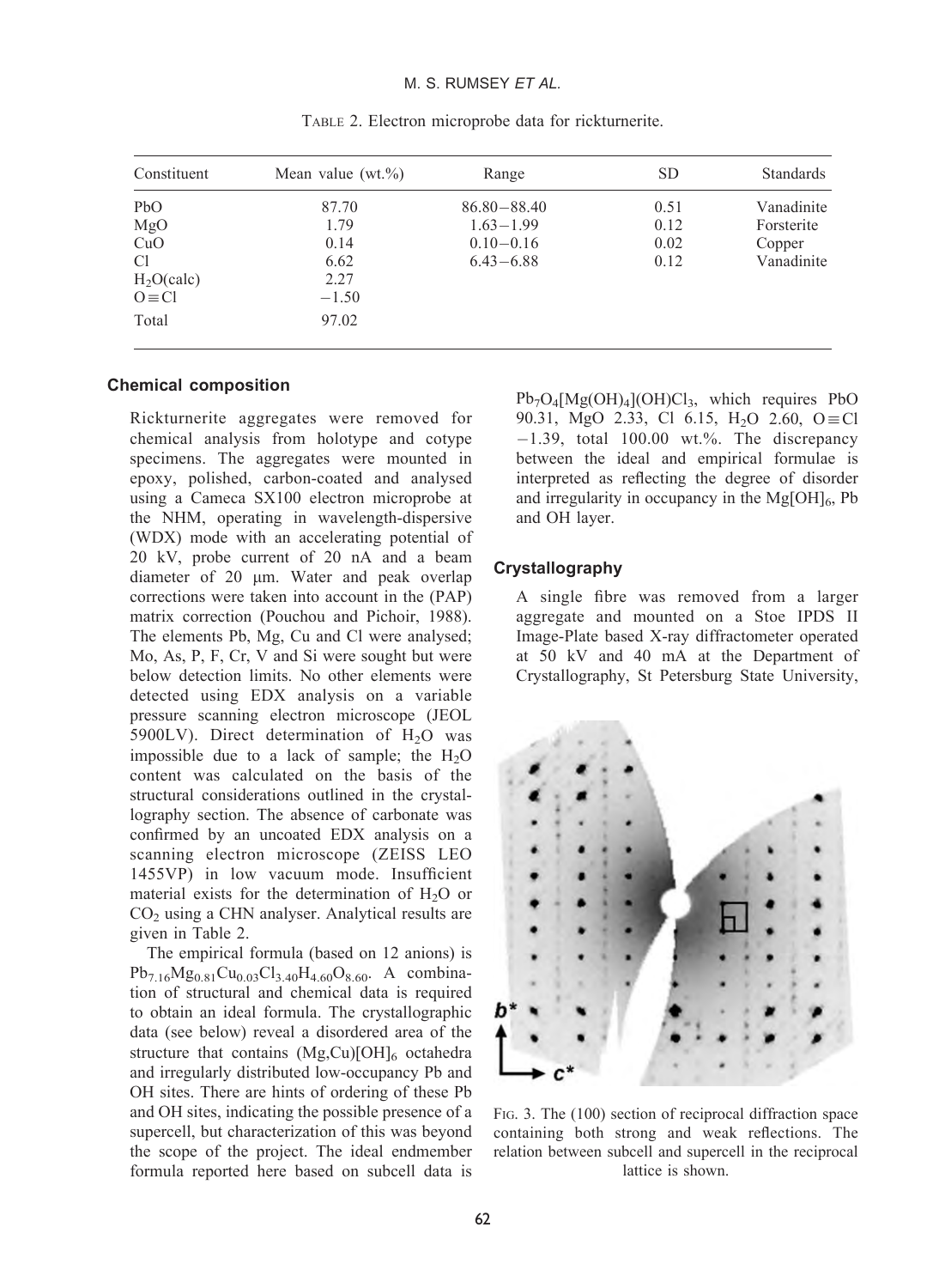| Constituent            | Mean value $(wt.\%)$ | Range           | <b>SD</b> | <b>Standards</b> |
|------------------------|----------------------|-----------------|-----------|------------------|
| PbO                    | 87.70                | $86.80 - 88.40$ | 0.51      | Vanadinite       |
| MgO                    | 1.79                 | $1.63 - 1.99$   | 0.12      | Forsterite       |
| CuO                    | 0.14                 | $0.10 - 0.16$   | 0.02      | Copper           |
| C <sub>1</sub>         | 6.62                 | $6.43 - 6.88$   | 0.12      | Vanadinite       |
| H <sub>2</sub> O(calc) | 2.27                 |                 |           |                  |
| $O \equiv Cl$          | $-1.50$              |                 |           |                  |
| Total                  | 97.02                |                 |           |                  |

TABLE 2. Electron microprobe data for rickturnerite.

#### Chemical composition

Rickturnerite aggregates were removed for chemical analysis from holotype and cotype specimens. The aggregates were mounted in epoxy, polished, carbon-coated and analysed using a Cameca SX100 electron microprobe at the NHM, operating in wavelength-dispersive (WDX) mode with an accelerating potential of 20 kV, probe current of 20 nA and a beam diameter of 20 µm. Water and peak overlap corrections were taken into account in the (PAP) matrix correction (Pouchou and Pichoir, 1988). The elements Pb, Mg, Cu and Cl were analysed; Mo, As, P, F, Cr, V and Si were sought but were below detection limits. No other elements were detected using EDX analysis on a variable pressure scanning electron microscope (JEOL 5900LV). Direct determination of  $H_2O$  was impossible due to a lack of sample; the  $H_2O$ content was calculated on the basis of the structural considerations outlined in the crystallography section. The absence of carbonate was confirmed by an uncoated EDX analysis on a scanning electron microscope (ZEISS LEO 1455VP) in low vacuum mode. Insufficient material exists for the determination of  $H_2O$  or  $CO<sub>2</sub>$  using a CHN analyser. Analytical results are given in Table 2.

The empirical formula (based on 12 anions) is  $Pb_{7.16}Mg_{0.81}Cu_{0.03}Cl_{3.40}H_{4.60}O_{8.60}$ . A combination of structural and chemical data is required to obtain an ideal formula. The crystallographic data (see below) reveal a disordered area of the structure that contains  $(Mg,Cu)[OH]_6$  octahedra and irregularly distributed low-occupancy Pb and OH sites. There are hints of ordering of these Pb and OH sites, indicating the possible presence of a supercell, but characterization of this was beyond the scope of the project. The ideal endmember formula reported here based on subcell data is

 $Pb_7O_4[Mg(OH)_4]$ (OH)Cl<sub>3</sub>, which requires PbO 90.31, MgO 2.33, Cl 6.15, H<sub>2</sub>O 2.60, O $\equiv$ Cl -1.39, total 100.00 wt.%. The discrepancy between the ideal and empirical formulae is interpreted as reflecting the degree of disorder and irregularity in occupancy in the  $Mg[OH]_6$ , Pb and OH layer.

# Crystallography

A single fibre was removed from a larger aggregate and mounted on a Stoe IPDS II Image-Plate based X-ray diffractometer operated at 50 kV and 40 mA at the Department of Crystallography, St Petersburg State University,



FIG. 3. The (100) section of reciprocal diffraction space containing both strong and weak reflections. The relation between subcell and supercell in the reciprocal lattice is shown.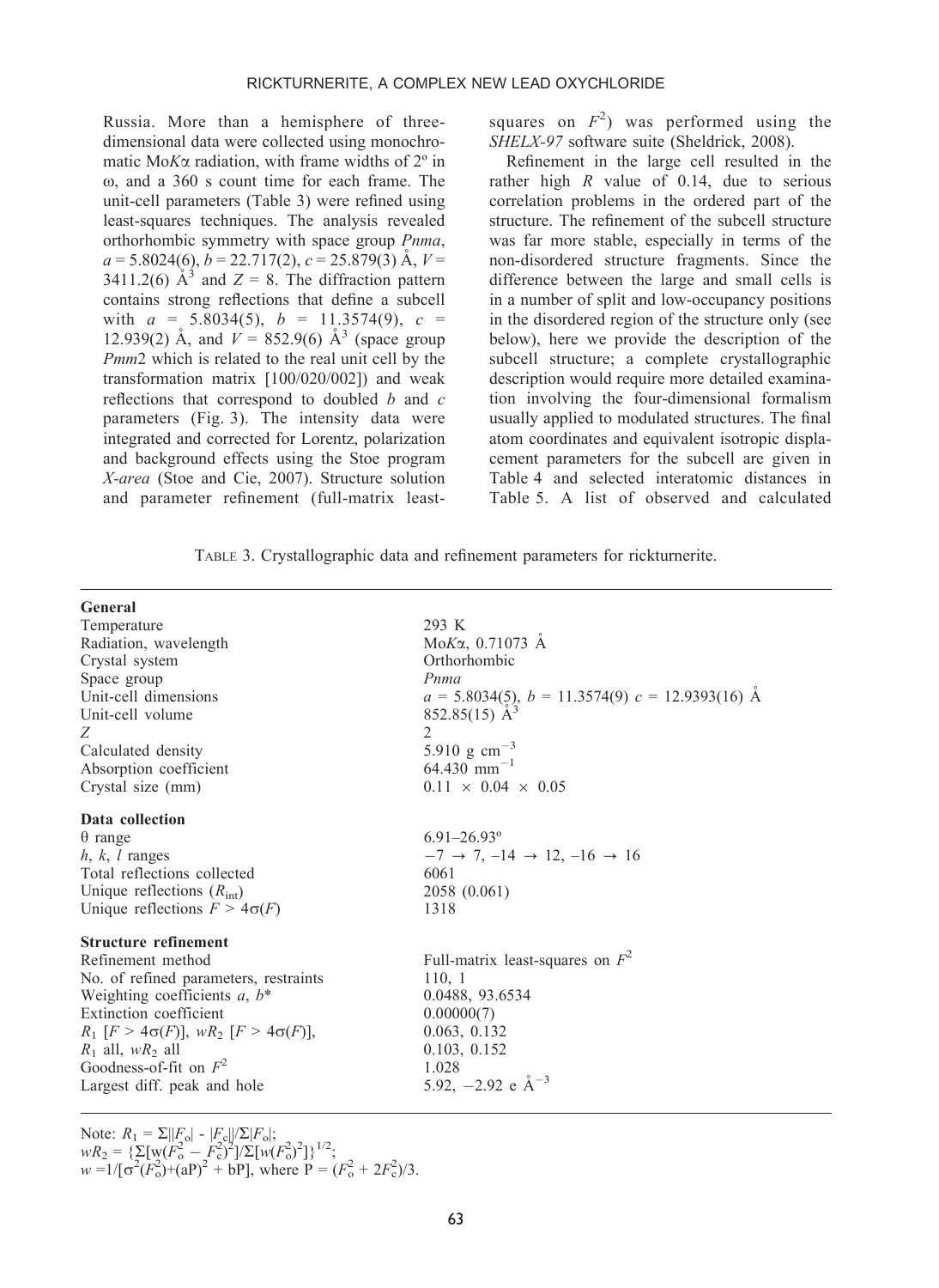Russia. More than a hemisphere of threedimensional data were collected using monochromatic Mo $K\alpha$  radiation, with frame widths of  $2^{\circ}$  in o, and a 360 s count time for each frame. The unit-cell parameters (Table 3) were refined using least-squares techniques. The analysis revealed orthorhombic symmetry with space group Pnma,  $a = 5.8024(6)$ ,  $b = 22.717(2)$ ,  $c = 25.879(3)$  Å,  $V =$ 3411.2(6)  $\AA^3$  and  $Z = 8$ . The diffraction pattern contains strong reflections that define a subcell with  $a = 5.8034(5)$ ,  $b = 11.3574(9)$ ,  $c =$ 12.939(2) Å, and  $V = 852.9(6)$  Å<sup>3</sup> (space group Pmm<sub>2</sub> which is related to the real unit cell by the transformation matrix [100/020/002]) and weak reflections that correspond to doubled  $b$  and  $c$ parameters (Fig. 3). The intensity data were integrated and corrected for Lorentz, polarization and background effects using the Stoe program X-area (Stoe and Cie, 2007). Structure solution and parameter refinement (full-matrix leastsquares on  $F^2$ ) was performed using the SHELX-97 software suite (Sheldrick, 2008).

Refinement in the large cell resulted in the rather high  $R$  value of 0.14, due to serious correlation problems in the ordered part of the structure. The refinement of the subcell structure was far more stable, especially in terms of the non-disordered structure fragments. Since the difference between the large and small cells is in a number of split and low-occupancy positions in the disordered region of the structure only (see below), here we provide the description of the subcell structure; a complete crystallographic description would require more detailed examination involving the four-dimensional formalism usually applied to modulated structures. The final atom coordinates and equivalent isotropic displacement parameters for the subcell are given in Table 4 and selected interatomic distances in Table 5. A list of observed and calculated

TABLE 3. Crystallographic data and refinement parameters for rickturnerite.

| General                                                   |                                                            |
|-----------------------------------------------------------|------------------------------------------------------------|
| Temperature                                               | 293 K                                                      |
| Radiation, wavelength                                     | MoKα, 0.71073 A                                            |
| Crystal system                                            | Orthorhombic                                               |
| Space group                                               | Pnma                                                       |
| Unit-cell dimensions                                      | $a = 5.8034(5), b = 11.3574(9)$ $c = 12.9393(16)$ Å        |
| Unit-cell volume                                          | 852.85(15) $\AA^3$                                         |
| Z                                                         | 2                                                          |
| Calculated density                                        | 5.910 g $\text{cm}^{-3}$                                   |
| Absorption coefficient                                    | $64.430$ mm <sup>-1</sup>                                  |
| Crystal size (mm)                                         | $0.11 \times 0.04 \times 0.05$                             |
| Data collection                                           |                                                            |
| $\theta$ range                                            | $6.91 - 26.93$ <sup>o</sup>                                |
| $h, k, l$ ranges                                          | $-7 \rightarrow 7, -14 \rightarrow 12, -16 \rightarrow 16$ |
| Total reflections collected                               | 6061                                                       |
| Unique reflections $(Rint)$                               | 2058 (0.061)                                               |
| Unique reflections $F > 4\sigma(F)$                       | 1318                                                       |
| <b>Structure refinement</b>                               |                                                            |
| Refinement method                                         | Full-matrix least-squares on $F^2$                         |
| No. of refined parameters, restraints                     | 110, 1                                                     |
| Weighting coefficients $a, b^*$                           | 0.0488, 93.6534                                            |
| Extinction coefficient                                    | 0.00000(7)                                                 |
| $R_1$ [F > 4 $\sigma(F)$ ], w $R_2$ [F > 4 $\sigma(F)$ ], | 0.063, 0.132                                               |
| $R_1$ all, w $R_2$ all                                    | 0.103, 0.152                                               |
| Goodness-of-fit on $F^2$                                  | 1.028                                                      |
| Largest diff. peak and hole                               | 5.92, $-2.92$ e $\AA^{-3}$                                 |
|                                                           |                                                            |

Note:  $R_1 = \sum |F_{\rm o}| - |F_{\rm c}| / \sum |F_{\rm o}|;$  $wR_2 = {\sum \frac{[\text{w}(F_0^2 - F_c^2)^2]}{\sum [\text{w}(F_0^2)^2]} \sum \frac{[\text{w}(F_0^2)^2]}{\sum [\text{w}(F_0^2)^2]}$  $w = 1/[\sigma^2(F_0^2)+(aP)^2+bP]$ , where  $P = (F_0^2 + 2F_0^2)/3$ .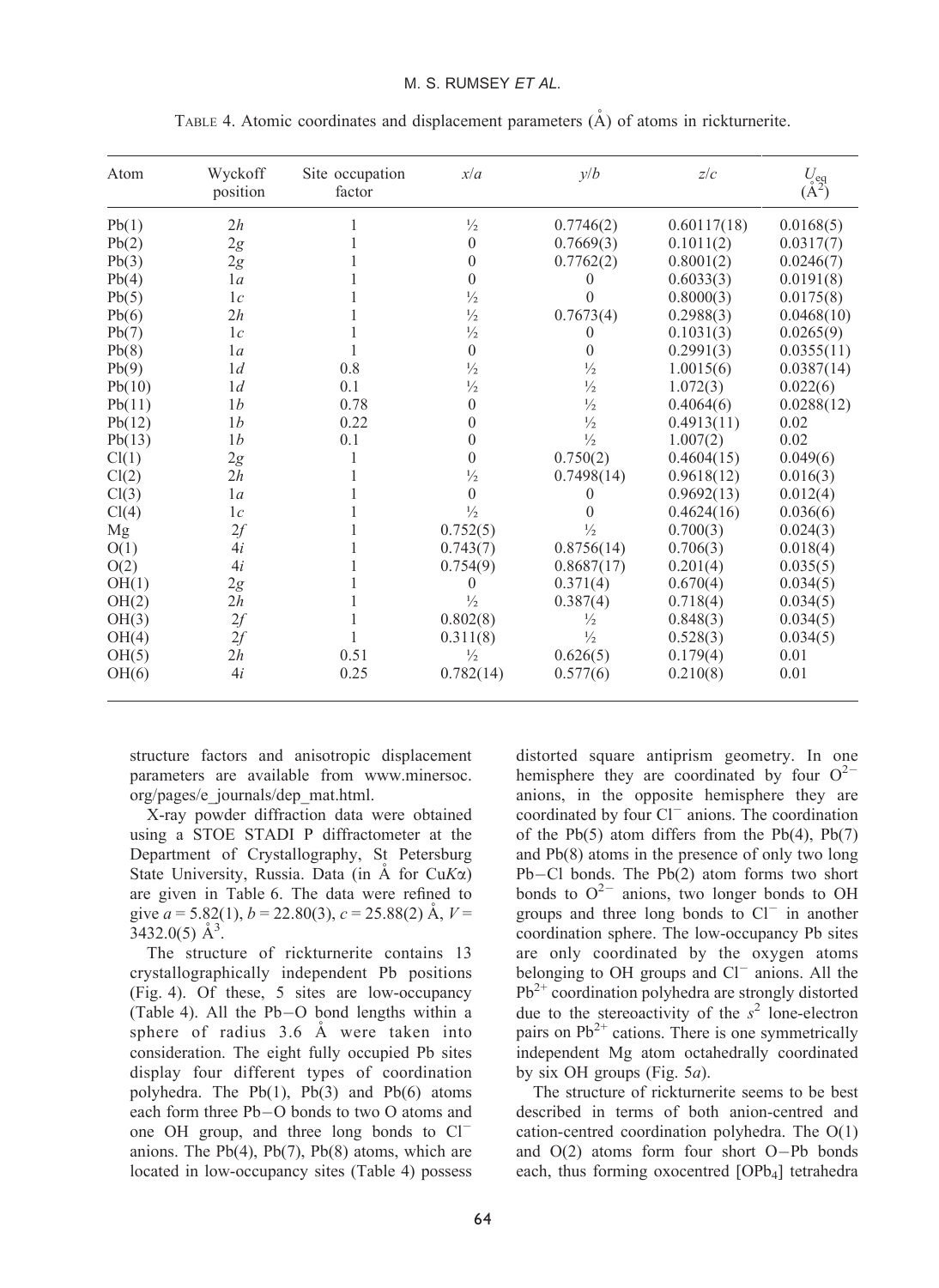| Atom   | Wyckoff<br>position | Site occupation<br>factor | x/a            | y/b           | z/c         | $U_{eq}$<br>$(A^2)$ |
|--------|---------------------|---------------------------|----------------|---------------|-------------|---------------------|
| Pb(1)  | 2h                  |                           | $\frac{1}{2}$  | 0.7746(2)     | 0.60117(18) | 0.0168(5)           |
| Pb(2)  | 2g                  |                           | $\mathbf{0}$   | 0.7669(3)     | 0.1011(2)   | 0.0317(7)           |
| Pb(3)  | 2g                  |                           | $\mathbf{0}$   | 0.7762(2)     | 0.8001(2)   | 0.0246(7)           |
| Pb(4)  | 1a                  |                           | $\theta$       | 0             | 0.6033(3)   | 0.0191(8)           |
| Pb(5)  | 1 <sub>c</sub>      |                           | $\frac{1}{2}$  | $\theta$      | 0.8000(3)   | 0.0175(8)           |
| Pb(6)  | 2h                  |                           | $\frac{1}{2}$  | 0.7673(4)     | 0.2988(3)   | 0.0468(10)          |
| Pb(7)  | 1c                  |                           | $\frac{1}{2}$  | $\mathbf{0}$  | 0.1031(3)   | 0.0265(9)           |
| Pb(8)  | 1 <sub>a</sub>      |                           | $\mathbf{0}$   | $\mathbf{0}$  | 0.2991(3)   | 0.0355(11)          |
| Pb(9)  | 1 <sub>d</sub>      | 0.8                       | $\frac{1}{2}$  | $\frac{1}{2}$ | 1.0015(6)   | 0.0387(14)          |
| Pb(10) | 1 <sub>d</sub>      | 0.1                       | $\frac{1}{2}$  | $\frac{1}{2}$ | 1.072(3)    | 0.022(6)            |
| Pb(11) | 1 <sub>b</sub>      | 0.78                      | $\mathbf{0}$   | $\frac{1}{2}$ | 0.4064(6)   | 0.0288(12)          |
| Pb(12) | 1 <sub>b</sub>      | 0.22                      | $\mathbf{0}$   | $\frac{1}{2}$ | 0.4913(11)  | 0.02                |
| Pb(13) | 1 <sub>b</sub>      | 0.1                       | $\mathbf{0}$   | $\frac{1}{2}$ | 1.007(2)    | 0.02                |
| Cl(1)  | 2g                  |                           | $\overline{0}$ | 0.750(2)      | 0.4604(15)  | 0.049(6)            |
| Cl(2)  | 2h                  |                           | $\frac{1}{2}$  | 0.7498(14)    | 0.9618(12)  | 0.016(3)            |
| Cl(3)  | 1 <sub>a</sub>      |                           | $\theta$       | $\theta$      | 0.9692(13)  | 0.012(4)            |
| Cl(4)  | 1c                  |                           | $\frac{1}{2}$  | $\theta$      | 0.4624(16)  | 0.036(6)            |
| Mg     | 2f                  |                           | 0.752(5)       | $\frac{1}{2}$ | 0.700(3)    | 0.024(3)            |
| O(1)   | 4i                  |                           | 0.743(7)       | 0.8756(14)    | 0.706(3)    | 0.018(4)            |
| O(2)   | 4i                  |                           | 0.754(9)       | 0.8687(17)    | 0.201(4)    | 0.035(5)            |
| OH(1)  | 2g                  |                           | $\theta$       | 0.371(4)      | 0.670(4)    | 0.034(5)            |
| OH(2)  | 2h                  |                           | $\frac{1}{2}$  | 0.387(4)      | 0.718(4)    | 0.034(5)            |
| OH(3)  | 2f                  |                           | 0.802(8)       | $\frac{1}{2}$ | 0.848(3)    | 0.034(5)            |
| OH(4)  | 2f                  |                           | 0.311(8)       | $\frac{1}{2}$ | 0.528(3)    | 0.034(5)            |
| OH(5)  | 2h                  | 0.51                      | $\frac{1}{2}$  | 0.626(5)      | 0.179(4)    | 0.01                |
| OH(6)  | 4i                  | 0.25                      | 0.782(14)      | 0.577(6)      | 0.210(8)    | 0.01                |

TABLE 4. Atomic coordinates and displacement parameters  $(A)$  of atoms in rickturnerite.

structure factors and anisotropic displacement parameters are available from www.minersoc. org/pages/e\_journals/dep\_mat.html.

X-ray powder diffraction data were obtained using a STOE STADI P diffractometer at the Department of Crystallography, St Petersburg State University, Russia. Data (in  $\AA$  for CuK $\alpha$ ) are given in Table 6. The data were refined to give  $a = 5.82(1)$ ,  $b = 22.80(3)$ ,  $c = 25.88(2)$  Å,  $V =$  $3432.0(5)$   $\AA^3$ .

The structure of rickturnerite contains 13 crystallographically independent Pb positions (Fig. 4). Of these, 5 sites are low-occupancy (Table 4). All the Pb-O bond lengths within a sphere of radius 3.6 Å were taken into consideration. The eight fully occupied Pb sites display four different types of coordination polyhedra. The  $Pb(1)$ ,  $Pb(3)$  and  $Pb(6)$  atoms each form three Pb-O bonds to two O atoms and one OH group, and three long bonds to Cl anions. The  $Pb(4)$ ,  $Pb(7)$ ,  $Pb(8)$  atoms, which are located in low-occupancy sites (Table 4) possess

distorted square antiprism geometry. In one hemisphere they are coordinated by four  $O^{2-}$ anions, in the opposite hemisphere they are coordinated by four Cl<sup>-</sup> anions. The coordination of the Pb(5) atom differs from the Pb(4), Pb(7) and Pb(8) atoms in the presence of only two long Pb-Cl bonds. The Pb(2) atom forms two short bonds to  $O^{2-}$  anions, two longer bonds to OH groups and three long bonds to Cl<sup>-</sup> in another coordination sphere. The low-occupancy Pb sites are only coordinated by the oxygen atoms belonging to OH groups and Cl<sup>-</sup> anions. All the  $Pb^{2+}$  coordination polyhedra are strongly distorted due to the stereoactivity of the  $s^2$  lone-electron pairs on  $Pb^{2+}$  cations. There is one symmetrically independent Mg atom octahedrally coordinated by six OH groups (Fig.  $5a$ ).

The structure of rickturnerite seems to be best described in terms of both anion-centred and cation-centred coordination polyhedra. The O(1) and O(2) atoms form four short O-Pb bonds each, thus forming oxocentred [OPb<sub>4</sub>] tetrahedra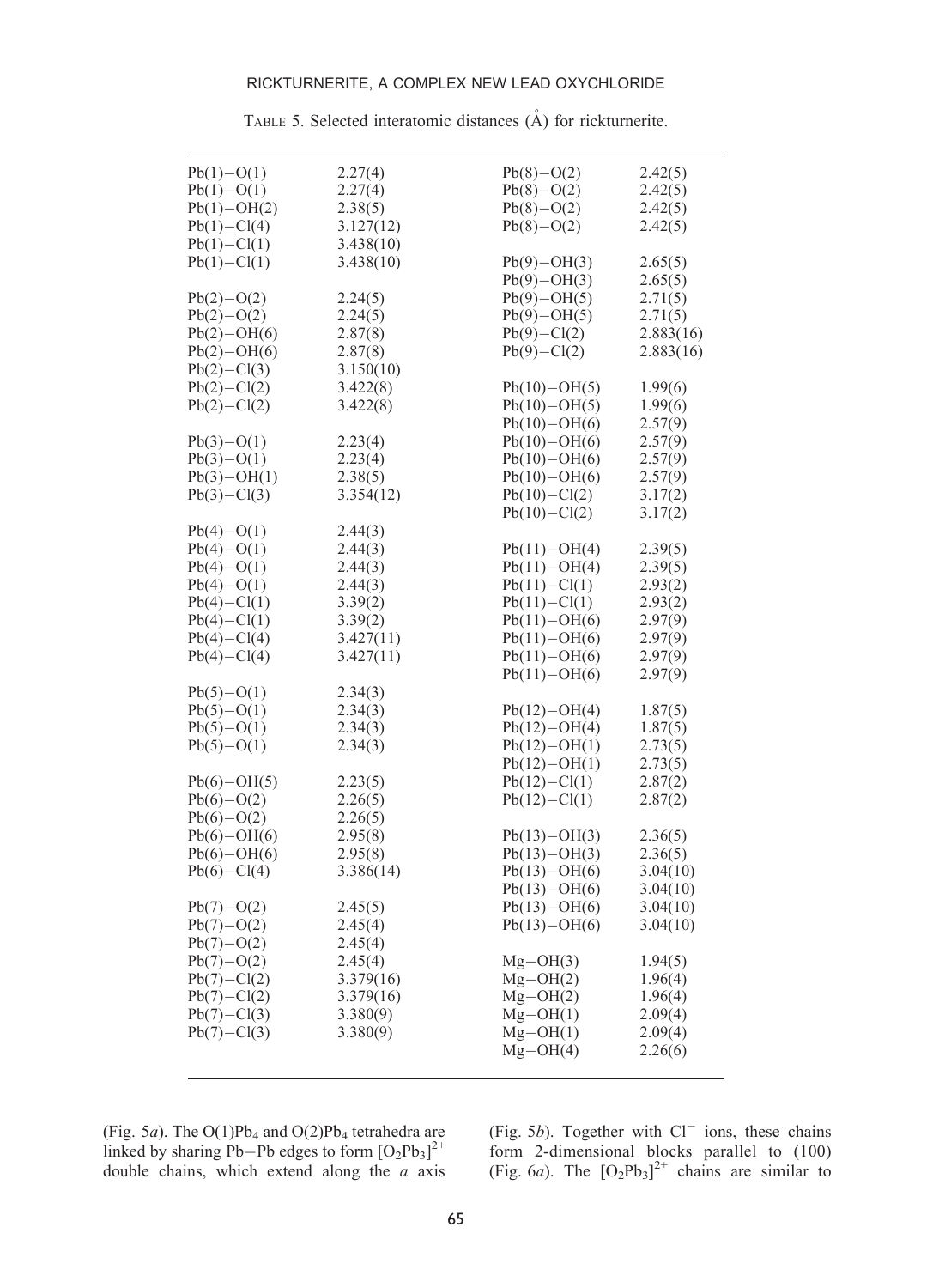# RICKTURNERITE, A COMPLEX NEW LEAD OXYCHLORIDE

| TABLE 5. Selected interatomic distances (A) for rickturnerite. |  |  |  |
|----------------------------------------------------------------|--|--|--|

| $Pb(1)-O(1)$    | 2.27(4)   | $Pb(8)-O(2)$     | 2.42(5)   |
|-----------------|-----------|------------------|-----------|
| $Pb(1)-O(1)$    | 2.27(4)   | $Pb(8)-O(2)$     | 2.42(5)   |
| $Pb(1) - OH(2)$ | 2.38(5)   | $Pb(8)-O(2)$     | 2.42(5)   |
| $Pb(1) - Cl(4)$ | 3.127(12) | $Pb(8)-O(2)$     | 2.42(5)   |
|                 |           |                  |           |
| $Pb(1) - Cl(1)$ | 3.438(10) |                  |           |
| $Pb(1) - Cl(1)$ | 3.438(10) | $Pb(9) - OH(3)$  | 2.65(5)   |
|                 |           | $Pb(9) - OH(3)$  | 2.65(5)   |
| $Pb(2)-O(2)$    | 2.24(5)   | $Pb(9) - OH(5)$  | 2.71(5)   |
| $Pb(2)-O(2)$    | 2.24(5)   | $Pb(9)-OH(5)$    | 2.71(5)   |
| $Pb(2) - OH(6)$ | 2.87(8)   | $Pb(9) - Cl(2)$  | 2.883(16) |
| $Pb(2)-OH(6)$   | 2.87(8)   | $Pb(9) - Cl(2)$  | 2.883(16) |
| $Pb(2) - Cl(3)$ | 3.150(10) |                  |           |
| $Pb(2) - Cl(2)$ | 3.422(8)  | $Pb(10) - OH(5)$ | 1.99(6)   |
| $Pb(2) - Cl(2)$ | 3.422(8)  | $Pb(10) - OH(5)$ | 1.99(6)   |
|                 |           | $Pb(10) - OH(6)$ | 2.57(9)   |
| $Pb(3)-O(1)$    | 2.23(4)   | $Pb(10) - OH(6)$ | 2.57(9)   |
| $Pb(3)-O(1)$    | 2.23(4)   | $Pb(10) - OH(6)$ | 2.57(9)   |
| $Pb(3) - OH(1)$ | 2.38(5)   | $Pb(10) - OH(6)$ | 2.57(9)   |
| $Pb(3) - Cl(3)$ |           | $Pb(10)-Cl(2)$   |           |
|                 | 3.354(12) |                  | 3.17(2)   |
| $Pb(4)-O(1)$    | 2.44(3)   | $Pb(10) - C1(2)$ | 3.17(2)   |
|                 |           | $Pb(11) - OH(4)$ | 2.39(5)   |
| $Pb(4)-O(1)$    | 2.44(3)   |                  |           |
| $Pb(4)-O(1)$    | 2.44(3)   | $Pb(11) - OH(4)$ | 2.39(5)   |
| $Pb(4)-O(1)$    | 2.44(3)   | $Pb(11) - Cl(1)$ | 2.93(2)   |
| $Pb(4) - Cl(1)$ | 3.39(2)   | $Pb(11) - Cl(1)$ | 2.93(2)   |
| $Pb(4) - Cl(1)$ | 3.39(2)   | $Pb(11) - OH(6)$ | 2.97(9)   |
| $Pb(4) - Cl(4)$ | 3.427(11) | $Pb(11) - OH(6)$ | 2.97(9)   |
| $Pb(4) - Cl(4)$ | 3.427(11) | $Pb(11) - OH(6)$ | 2.97(9)   |
|                 |           | $Pb(11) - OH(6)$ | 2.97(9)   |
| $Pb(5)-O(1)$    | 2.34(3)   |                  |           |
| $Pb(5)-O(1)$    | 2.34(3)   | $Pb(12) - OH(4)$ | 1.87(5)   |
| $Pb(5)-O(1)$    | 2.34(3)   | $Pb(12) - OH(4)$ | 1.87(5)   |
| $Pb(5)-O(1)$    | 2.34(3)   | $Pb(12) - OH(1)$ | 2.73(5)   |
|                 |           | $Pb(12) - OH(1)$ | 2.73(5)   |
| $Pb(6)-OH(5)$   | 2.23(5)   | $Pb(12) - Cl(1)$ | 2.87(2)   |
| $Pb(6)-O(2)$    | 2.26(5)   | $Pb(12) - C1(1)$ | 2.87(2)   |
| $Pb(6)-O(2)$    | 2.26(5)   |                  |           |
| $Pb(6)-OH(6)$   | 2.95(8)   | $Pb(13) - OH(3)$ | 2.36(5)   |
| $Pb(6)-OH(6)$   | 2.95(8)   | $Pb(13) - OH(3)$ | 2.36(5)   |
| $Pb(6) - Cl(4)$ | 3.386(14) | $Pb(13) - OH(6)$ | 3.04(10)  |
|                 |           |                  |           |
|                 |           | $Pb(13) - OH(6)$ | 3.04(10)  |
| $Pb(7)-O(2)$    | 2.45(5)   | $Pb(13) - OH(6)$ | 3.04(10)  |
| $Pb(7)-O(2)$    | 2.45(4)   | $Pb(13) - OH(6)$ | 3.04(10)  |
| $Pb(7)-O(2)$    | 2.45(4)   |                  |           |
| $Pb(7)-O(2)$    | 2.45(4)   | $Mg-OH(3)$       | 1.94(5)   |
| $Pb(7) - Cl(2)$ | 3.379(16) | $Mg-OH(2)$       | 1.96(4)   |
| $Pb(7) - Cl(2)$ | 3.379(16) | $Mg-OH(2)$       | 1.96(4)   |
| $Pb(7) - Cl(3)$ | 3.380(9)  | $Mg-OH(1)$       | 2.09(4)   |
| $Pb(7) - Cl(3)$ | 3.380(9)  | $Mg-OH(1)$       | 2.09(4)   |
|                 |           | $Mg-OH(4)$       | 2.26(6)   |
|                 |           |                  |           |

(Fig. 5a). The  $O(1)Pb_4$  and  $O(2)Pb_4$  tetrahedra are linked by sharing Pb-Pb edges to form  $[O_2Pb_3]^{2+}$ double chains, which extend along the  $\alpha$  axis (Fig. 5b). Together with  $Cl^-$  ions, these chains form 2-dimensional blocks parallel to (100) (Fig. 6a). The  $[O_2Pb_3]^{2+}$  chains are similar to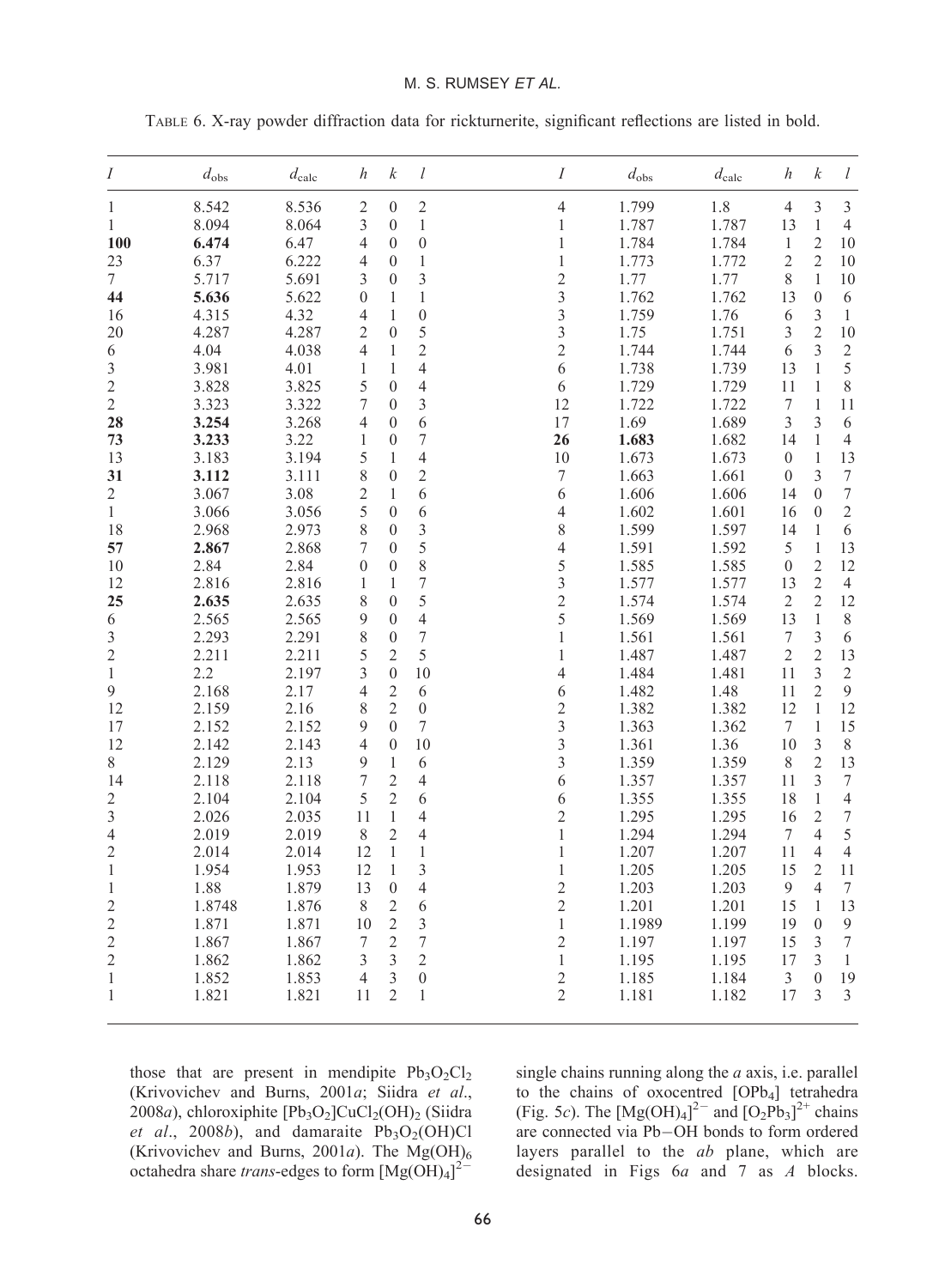## M. S. RUMSEY ET AL.

| Ι              | $d_{\rm obs}$ | $d_{\rm calc}$ | h                        | k                | $\iota$                  | $\boldsymbol{I}$ | $d_{\text{obs}}$ | $d_{\rm calc}$ | h                | k                | l                |
|----------------|---------------|----------------|--------------------------|------------------|--------------------------|------------------|------------------|----------------|------------------|------------------|------------------|
| $\mathbf{1}$   | 8.542         | 8.536          | $\overline{2}$           | $\overline{0}$   | $\overline{2}$           | $\overline{4}$   | 1.799            | 1.8            | $\overline{4}$   | 3                | 3                |
| 1              | 8.094         | 8.064          | 3                        | $\mathbf{0}$     | $\mathbf{1}$             | $\mathbf{1}$     | 1.787            | 1.787          | 13               | $\mathbf{1}$     | $\overline{4}$   |
| 100            | 6.474         | 6.47           | $\overline{\mathcal{L}}$ | $\overline{0}$   | $\boldsymbol{0}$         | $\mathbf{1}$     | 1.784            | 1.784          | $\mathbf{1}$     | $\sqrt{2}$       | 10               |
| 23             | 6.37          | 6.222          | 4                        | $\mathbf{0}$     | $\mathbf{1}$             | $\,1\,$          | 1.773            | 1.772          | $\overline{c}$   | $\sqrt{2}$       | 10               |
| $\tau$         | 5.717         | 5.691          | 3                        | $\overline{0}$   | 3                        | $\overline{c}$   | 1.77             | 1.77           | 8                | $\mathbf{1}$     | 10               |
| 44             | 5.636         | 5.622          | $\boldsymbol{0}$         | 1                | $\mathbf{1}$             | 3                | 1.762            | 1.762          | 13               | $\mathbf{0}$     | 6                |
| 16             | 4.315         | 4.32           | 4                        | $\mathbf{1}$     | $\overline{0}$           | 3                | 1.759            | 1.76           | 6                | 3                | 1                |
| $20\,$         | 4.287         | 4.287          | $\overline{c}$           | $\mathbf{0}$     | 5                        | 3                | 1.75             | 1.751          | 3                | $\sqrt{2}$       | 10               |
| 6              | 4.04          | 4.038          | 4                        | $\mathbf{1}$     | $\overline{c}$           | $\overline{c}$   | 1.744            | 1.744          | 6                | $\mathfrak{Z}$   | $\sqrt{2}$       |
| $\mathfrak{Z}$ | 3.981         | 4.01           | 1                        | $\mathbf{1}$     | $\overline{4}$           | 6                | 1.738            | 1.739          | 13               | $\mathbf{1}$     | 5                |
| $\sqrt{2}$     | 3.828         | 3.825          | 5                        | $\overline{0}$   | $\overline{4}$           | 6                | 1.729            | 1.729          | 11               | $\mathbf{1}$     | $8\,$            |
| $\overline{2}$ | 3.323         | 3.322          | 7                        | $\Omega$         | 3                        | 12               | 1.722            | 1.722          | $\overline{7}$   | $\mathbf{1}$     | 11               |
| 28             | 3.254         | 3.268          | 4                        | $\overline{0}$   | 6                        | 17               | 1.69             | 1.689          | 3                | 3                | 6                |
| 73             | 3.233         | 3.22           | $\mathbf{1}$             | $\overline{0}$   | $\overline{7}$           | 26               | 1.683            | 1.682          | 14               | $\mathbf{1}$     | $\overline{4}$   |
| 13             | 3.183         | 3.194          | 5                        | $\mathbf{1}$     | $\overline{4}$           | 10               | 1.673            | 1.673          | $\boldsymbol{0}$ | $\mathbf{1}$     | 13               |
| 31             | 3.112         | 3.111          | 8                        | $\overline{0}$   | $\sqrt{2}$               | $\tau$           | 1.663            | 1.661          | $\overline{0}$   | 3                | $\tau$           |
| $\overline{c}$ | 3.067         | 3.08           | $\overline{c}$           | 1                | 6                        | 6                | 1.606            | 1.606          | 14               | $\theta$         | $\boldsymbol{7}$ |
| $\mathbf{1}$   | 3.066         | 3.056          | 5                        | $\overline{0}$   | 6                        | 4                | 1.602            | 1.601          | 16               | $\boldsymbol{0}$ | $\sqrt{2}$       |
| 18             | 2.968         | 2.973          | 8                        | $\Omega$         | $\mathfrak{Z}$           | 8                | 1.599            | 1.597          | 14               | 1                | 6                |
| 57             | 2.867         | 2.868          | 7                        | $\overline{0}$   | 5                        | $\overline{4}$   | 1.591            | 1.592          | 5                | $\mathbf{1}$     | 13               |
| 10             | 2.84          | 2.84           | $\overline{0}$           | $\overline{0}$   | 8                        | 5                | 1.585            | 1.585          | $\boldsymbol{0}$ | $\sqrt{2}$       | 12               |
| 12             | 2.816         | 2.816          | $\mathbf{1}$             | $\mathbf{1}$     | $\boldsymbol{7}$         | 3                | 1.577            | 1.577          | 13               | $\sqrt{2}$       | $\overline{4}$   |
| 25             | 2.635         | 2.635          | 8                        | $\overline{0}$   | 5                        | $\overline{c}$   | 1.574            | 1.574          | $\mathfrak{2}$   | $\sqrt{2}$       | 12               |
| 6              | 2.565         | 2.565          | 9                        | $\theta$         | $\overline{4}$           | 5                | 1.569            | 1.569          | 13               | $\mathbf{1}$     | $8\,$            |
| $\mathfrak z$  | 2.293         | 2.291          | 8                        | $\overline{0}$   | $\overline{\mathcal{I}}$ | $\mathbf{1}$     | 1.561            | 1.561          | 7                | 3                | 6                |
| $\overline{c}$ | 2.211         | 2.211          | 5                        | $\overline{c}$   | 5                        | $\mathbf{1}$     | 1.487            | 1.487          | $\mathfrak{2}$   | $\overline{c}$   | 13               |
| $\mathbf{1}$   | 2.2           | 2.197          | 3                        | $\overline{0}$   | 10                       | 4                | 1.484            | 1.481          | 11               | $\mathfrak z$    | $\sqrt{2}$       |
| 9              | 2.168         | 2.17           | 4                        | $\sqrt{2}$       | 6                        | 6                | 1.482            | 1.48           | 11               | $\sqrt{2}$       | 9                |
| 12             | 2.159         | 2.16           | 8                        | $\overline{2}$   | $\overline{0}$           | $\overline{c}$   | 1.382            | 1.382          | 12               | $\mathbf{1}$     | 12               |
| 17             | 2.152         | 2.152          | 9                        | $\mathbf{0}$     | $\tau$                   | 3                | 1.363            | 1.362          | $\tau$           | $\mathbf{1}$     | 15               |
| 12             | 2.142         | 2.143          | $\overline{4}$           | $\mathbf{0}$     | 10                       | 3                | 1.361            | 1.36           | 10               | $\mathfrak{Z}$   | 8                |
| 8              | 2.129         | 2.13           | 9                        | $\mathbf{1}$     | 6                        | 3                | 1.359            | 1.359          | $8\,$            | $\overline{c}$   | 13               |
| 14             | 2.118         | 2.118          | 7                        | $\overline{2}$   | $\overline{4}$           | 6                | 1.357            | 1.357          | 11               | $\mathfrak{Z}$   | $\overline{7}$   |
| $\mathbf{2}$   | 2.104         | 2.104          | 5                        | $\overline{2}$   | 6                        | 6                | 1.355            | 1.355          | 18               | $\mathbf{1}$     | $\overline{4}$   |
| 3              | 2.026         | 2.035          | 11                       | $\mathbf{1}$     | $\overline{4}$           | $\overline{c}$   | 1.295            | 1.295          | 16               | $\overline{2}$   | 7                |
| $\overline{4}$ | 2.019         | 2.019          | 8                        | $\overline{2}$   | $\overline{4}$           | $\mathbf{1}$     | 1.294            | 1.294          | $\tau$           | $\overline{4}$   | 5                |
| $\overline{c}$ | 2.014         | 2.014          | 12                       | $\mathbf{1}$     | $\mathbf{1}$             | $\,1$            | 1.207            | 1.207          | 11               | 4                | $\overline{4}$   |
| $\mathbf{1}$   | 1.954         | 1.953          | 12                       | $\mathbf{1}$     | 3                        | $\,1$            | 1.205            | 1.205          | 15               | $\mathbf{2}$     | 11               |
| 1              | 1.88          | 1.879          | 13                       | $\boldsymbol{0}$ | $\overline{4}$           | $\overline{c}$   | 1.203            | 1.203          | 9                | $\overline{4}$   | 7                |
| $\mathbf{2}$   | 1.8748        | 1.876          | 8                        | $\overline{2}$   | 6                        | $\overline{c}$   | 1.201            | 1.201          | 15               | $\mathbf{1}$     | 13               |
| $\sqrt{2}$     | 1.871         | 1.871          | 10                       | $\overline{2}$   | $\mathfrak{Z}$           | $\mathbf{1}$     | 1.1989           | 1.199          | 19               | $\mathbf{0}$     | 9                |
| $\sqrt{2}$     | 1.867         | 1.867          | 7                        | $\overline{2}$   | $\tau$                   | $\sqrt{2}$       | 1.197            | 1.197          | 15               | 3                | $\tau$           |
| $\overline{2}$ | 1.862         | 1.862          | 3                        | 3                | $\sqrt{2}$               | $\mathbf{1}$     | 1.195            | 1.195          | 17               | 3                | $\mathbf{1}$     |
| $\mathbf{1}$   | 1.852         | 1.853          | 4                        | $\overline{3}$   | $\boldsymbol{0}$         | $\sqrt{2}$       | 1.185            | 1.184          | $\mathfrak{Z}$   | $\boldsymbol{0}$ | 19               |
| 1              | 1.821         | 1.821          | 11                       | $\overline{2}$   | $\mathbf{1}$             | $\overline{2}$   | 1.181            | 1.182          | 17               | 3                | 3                |
|                |               |                |                          |                  |                          |                  |                  |                |                  |                  |                  |

TABLE 6. X-ray powder diffraction data for rickturnerite, significant reflections are listed in bold.

those that are present in mendipite  $Pb_3O_2Cl_2$ (Krivovichev and Burns, 2001a; Siidra et al., 2008a), chloroxiphite  $[Pb<sub>3</sub>O<sub>2</sub>]CuCl<sub>2</sub>(OH)<sub>2</sub>$  (Siidra et al., 2008b), and damaraite  $Pb_3O_2(OH)Cl$ (Krivovichev and Burns, 2001a). The Mg(OH) $_6$ octahedra share trans-edges to form  $[Mg(OH)_4]^2$ 

single chains running along the  $a$  axis, i.e. parallel to the chains of oxocentred [OPb<sub>4</sub>] tetrahedra (Fig. 5c). The  $[Mg(OH)_4]^{2-}$  and  $[O_2Pb_3]^{2+}$  chains are connected via Pb-OH bonds to form ordered layers parallel to the ab plane, which are designated in Figs 6a and 7 as A blocks.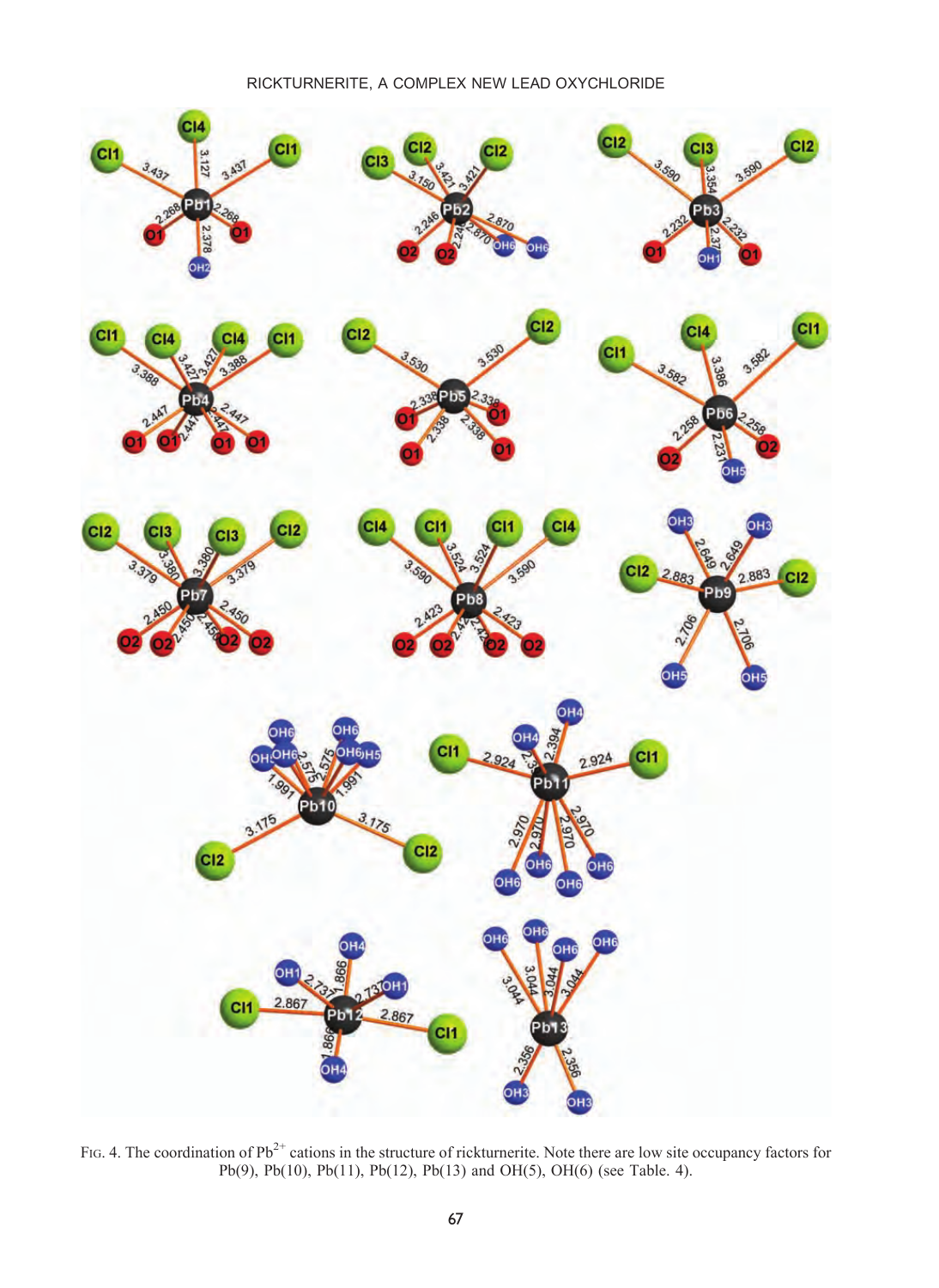

FIG. 4. The coordination of  $Pb^{2+}$  cations in the structure of rickturnerite. Note there are low site occupancy factors for Pb(9), Pb(10), Pb(11), Pb(12), Pb(13) and OH(5), OH(6) (see Table. 4).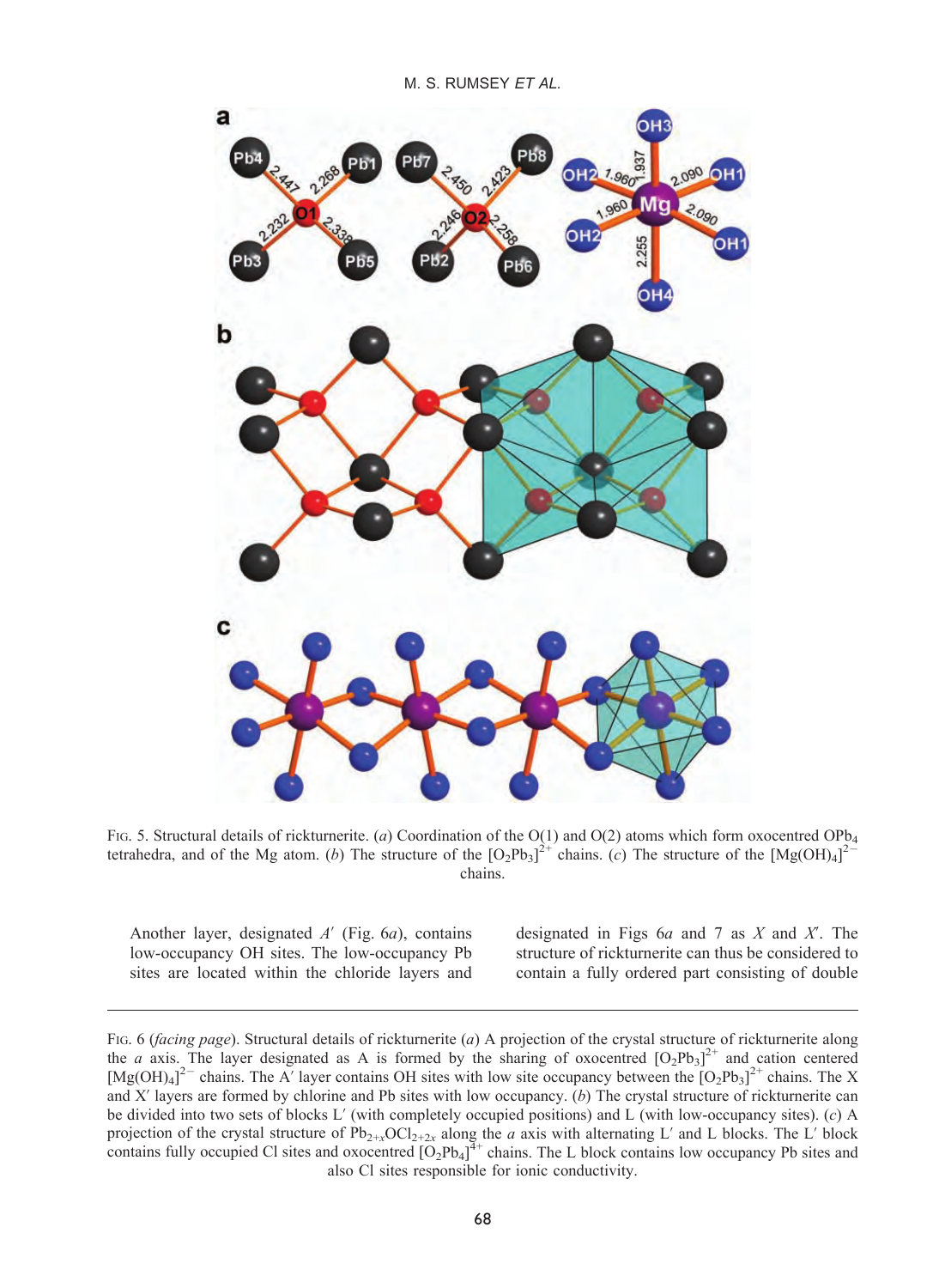

FIG. 5. Structural details of rickturnerite. (a) Coordination of the  $O(1)$  and  $O(2)$  atoms which form oxocentred OPb<sub>4</sub> tetrahedra, and of the Mg atom. (b) The structure of the  $[O_2Pb_3]^{\hat{2}+}$  chains. (c) The structure of the  $[Mg(OH)_4]^{\hat{2}-}$ chains.

Another layer, designated A' (Fig. 6a), contains low-occupancy OH sites. The low-occupancy Pb sites are located within the chloride layers and designated in Figs  $6a$  and 7 as X and X'. The structure of rickturnerite can thus be considered to contain a fully ordered part consisting of double

FIG. 6 (facing page). Structural details of rickturnerite (a) A projection of the crystal structure of rickturnerite along the a axis. The layer designated as A is formed by the sharing of oxocentred  $[O_2Pb_3]^{2+}$  and cation centered  $[Mg(OH)_4]^2$ <sup>-</sup> chains. The A' layer contains OH sites with low site occupancy between the  $[O_2Pb_3]^2$ <sup>+</sup> chains. The X and X' layers are formed by chlorine and Pb sites with low occupancy. (b) The crystal structure of rickturnerite can be divided into two sets of blocks L' (with completely occupied positions) and L (with low-occupancy sites). (c) A projection of the crystal structure of  $Pb_{2+x}OCl_{2+2x}$  along the a axis with alternating L' and L blocks. The L' block contains fully occupied Cl sites and oxocentred  $[O_2Pb_4]^{\bar{4}+}$  chains. The L block contains low occupancy Pb sites and also Cl sites responsible for ionic conductivity.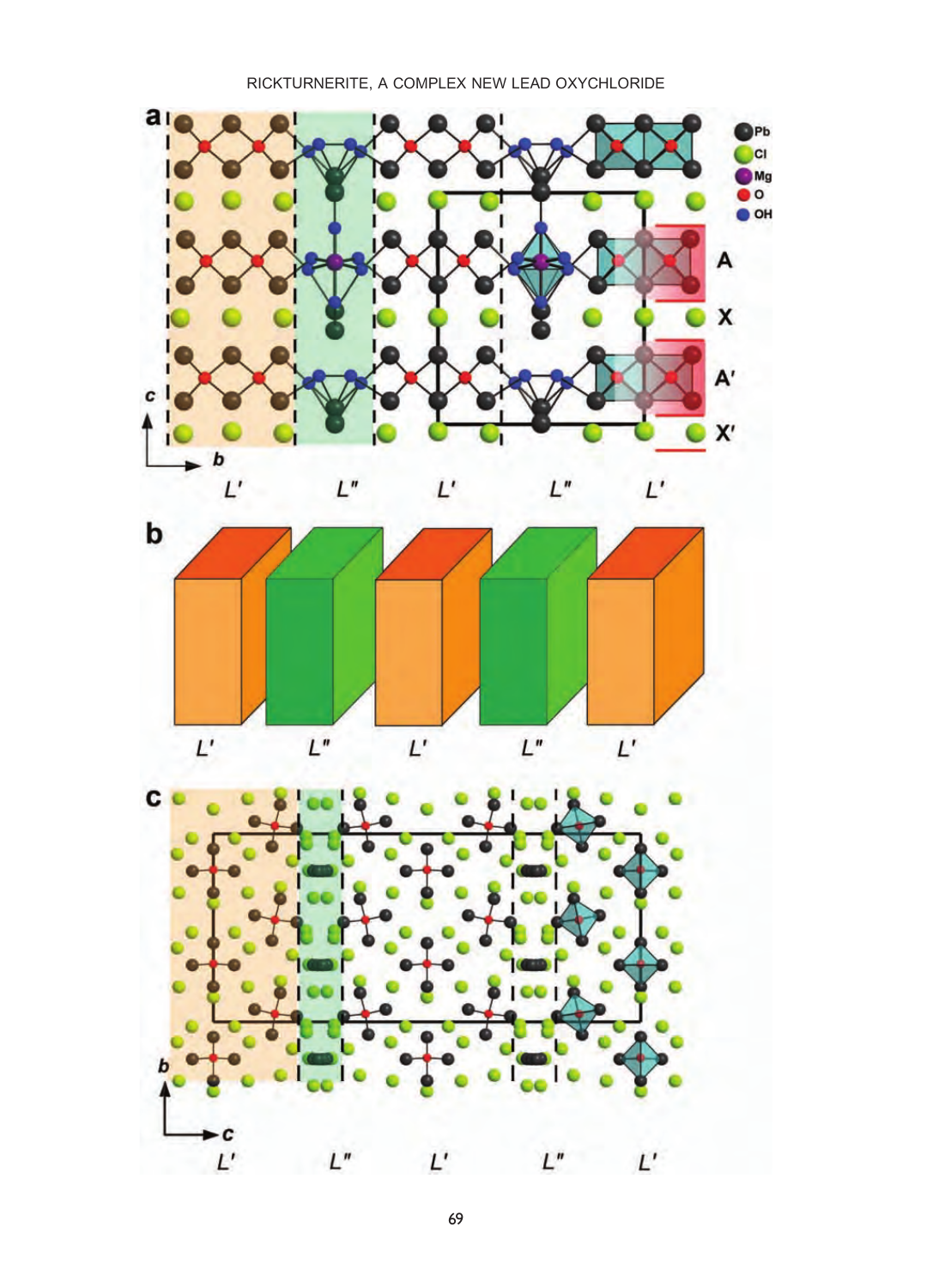# RICKTURNERITE, A COMPLEX NEW LEAD OXYCHLORIDE







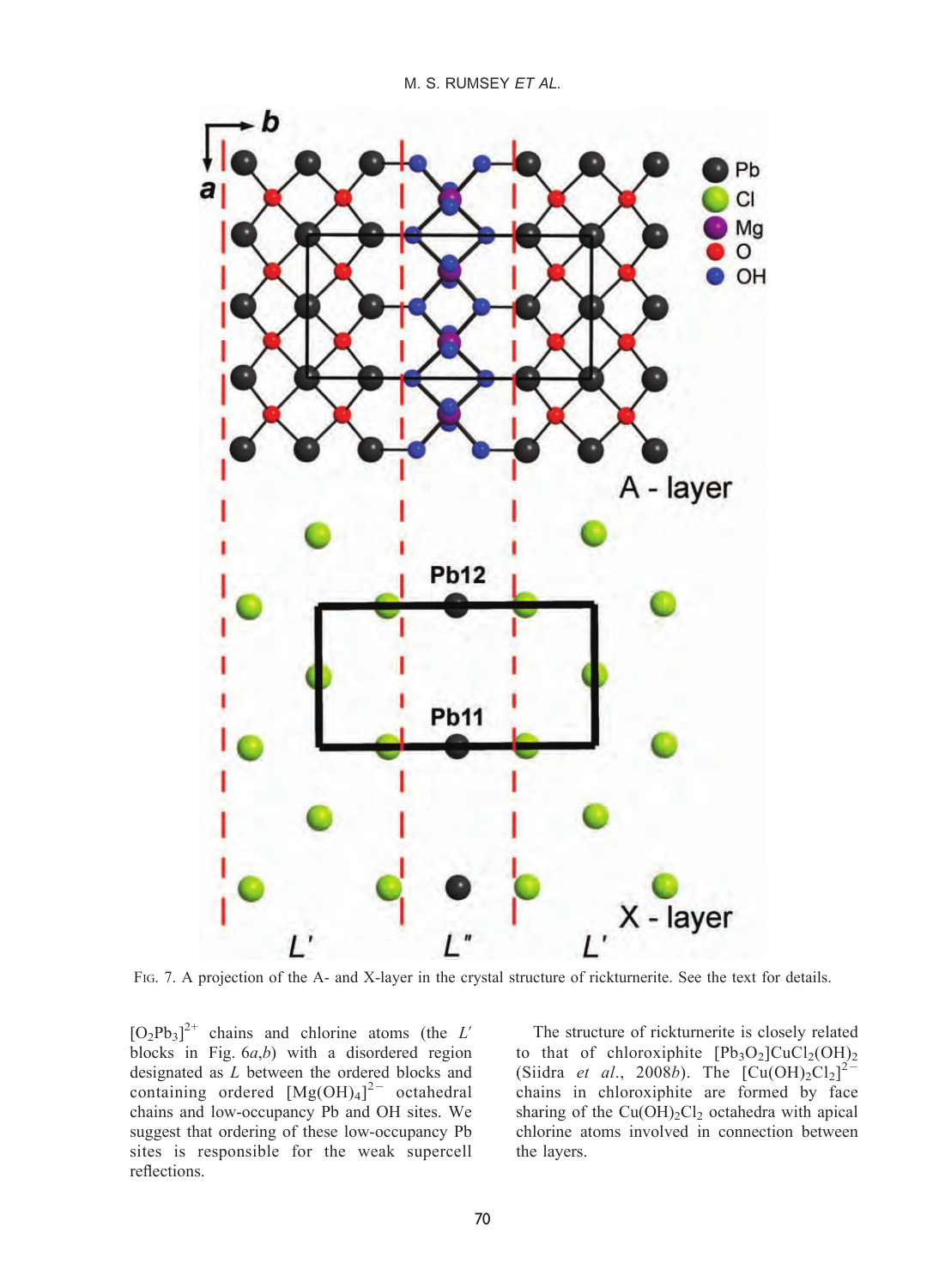

FIG. 7. A projection of the A- and X-layer in the crystal structure of rickturnerite. See the text for details.

 $[O_2Pb_3]^{2+}$  chains and chlorine atoms (the L' blocks in Fig. 6a,b) with a disordered region designated as L between the ordered blocks and containing ordered  $[Mg(OH)_4]^{2-}$  octahedral chains and low-occupancy Pb and OH sites. We suggest that ordering of these low-occupancy Pb sites is responsible for the weak supercell reflections.

The structure of rickturnerite is closely related to that of chloroxiphite  $[Pb_3O_2]CuCl_2(OH)_2$ (Siidra et al., 2008b). The  $[Cu(OH)_2Cl_2]^2$ chains in chloroxiphite are formed by face sharing of the  $Cu(OH)<sub>2</sub>Cl<sub>2</sub>$  octahedra with apical chlorine atoms involved in connection between the layers.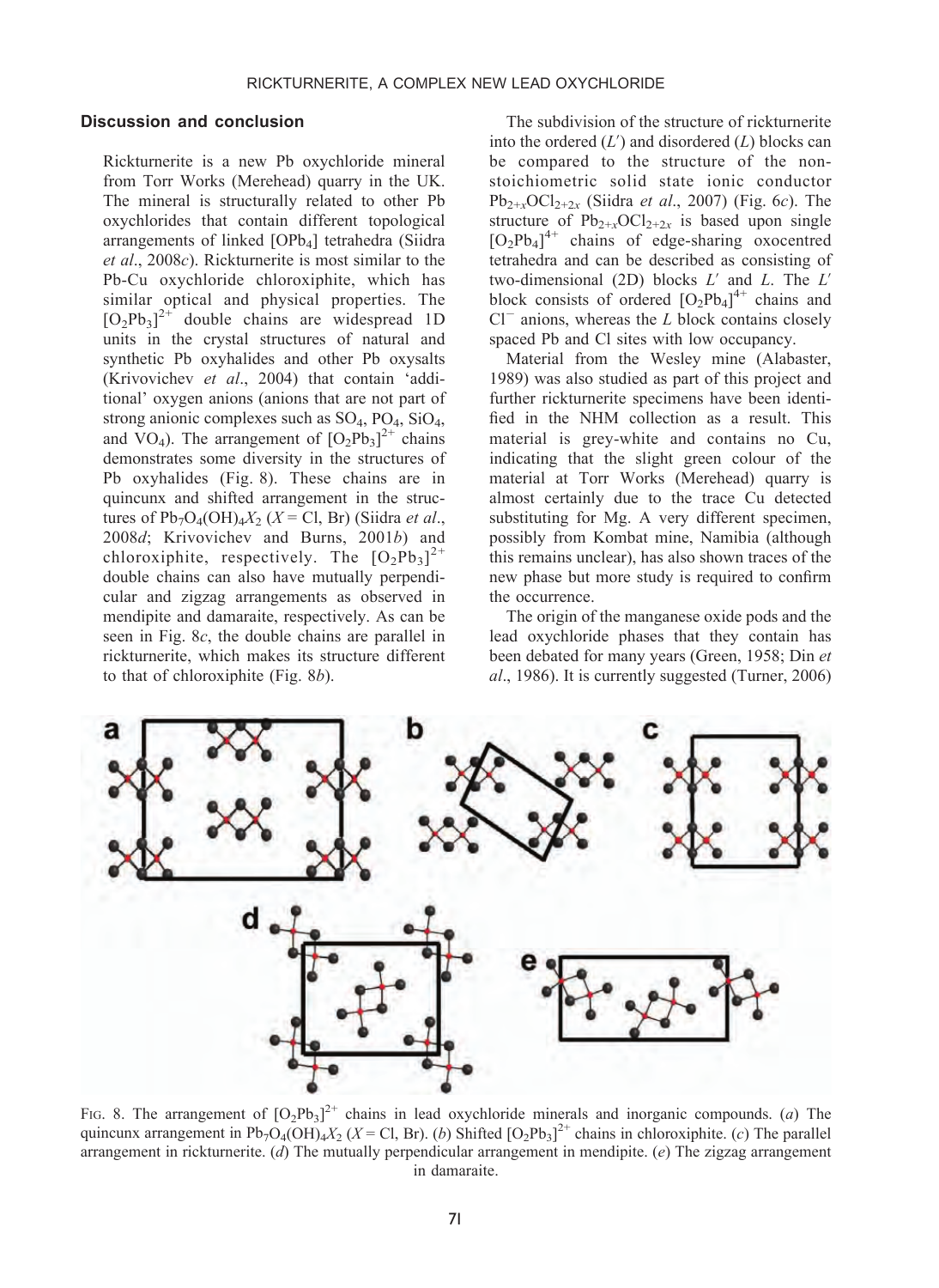## Discussion and conclusion

Rickturnerite is a new Pb oxychloride mineral from Torr Works (Merehead) quarry in the UK. The mineral is structurally related to other Pb oxychlorides that contain different topological arrangements of linked [OPb4] tetrahedra (Siidra et al., 2008c). Rickturnerite is most similar to the Pb-Cu oxychloride chloroxiphite, which has similar optical and physical properties. The  $[O_2Pb_3]^{2+}$  double chains are widespread 1D units in the crystal structures of natural and synthetic Pb oxyhalides and other Pb oxysalts (Krivovichev et al., 2004) that contain 'additional' oxygen anions (anions that are not part of strong anionic complexes such as  $SO_4$ ,  $PO_4$ ,  $SiO_4$ , and  $\text{VO}_4$ ). The arrangement of  $\left[\text{O}_2\text{Pb}_3\right]^{2+}$  chains demonstrates some diversity in the structures of Pb oxyhalides (Fig. 8). These chains are in quincunx and shifted arrangement in the structures of  $Pb_7O_4(OH)_4X_2$  (X = Cl, Br) (Siidra *et al.*, 2008d; Krivovichev and Burns, 2001b) and chloroxiphite, respectively. The  $[O_2Pb_3]^{2+}$ double chains can also have mutually perpendicular and zigzag arrangements as observed in mendipite and damaraite, respectively. As can be seen in Fig. 8c, the double chains are parallel in rickturnerite, which makes its structure different to that of chloroxiphite (Fig. 8b).

The subdivision of the structure of rickturnerite into the ordered  $(L')$  and disordered  $(L)$  blocks can be compared to the structure of the nonstoichiometric solid state ionic conductor  $Pb_{2+r}OCl_{2+2r}$  (Siidra *et al.*, 2007) (Fig. 6c). The structure of  $Pb_{2+r}OCl_{2+2r}$  is based upon single  $[O_2Pb_4]^{4+}$  chains of edge-sharing oxocentred tetrahedra and can be described as consisting of two-dimensional (2D) blocks  $L'$  and  $L$ . The  $L'$ block consists of ordered  $[O_2Pb_4]^{4+}$  chains and  $Cl^-$  anions, whereas the  $L$  block contains closely spaced Pb and Cl sites with low occupancy.

Material from the Wesley mine (Alabaster, 1989) was also studied as part of this project and further rickturnerite specimens have been identified in the NHM collection as a result. This material is grey-white and contains no Cu, indicating that the slight green colour of the material at Torr Works (Merehead) quarry is almost certainly due to the trace Cu detected substituting for Mg. A very different specimen, possibly from Kombat mine, Namibia (although this remains unclear), has also shown traces of the new phase but more study is required to confirm the occurrence.

The origin of the manganese oxide pods and the lead oxychloride phases that they contain has been debated for many years (Green, 1958; Din et al., 1986). It is currently suggested (Turner, 2006)



FIG. 8. The arrangement of  $[O_2Pb_3]^{2+}$  chains in lead oxychloride minerals and inorganic compounds. (a) The quincunx arrangement in Pb<sub>7</sub>O<sub>4</sub>(OH)<sub>4</sub>X<sub>2</sub> (X = Cl, Br). (b) Shifted [O<sub>2</sub>Pb<sub>3</sub>]<sup>2+</sup> chains in chloroxiphite. (c) The parallel arrangement in rickturnerite. (d) The mutually perpendicular arrangement in mendipite. (e) The zigzag arrangement in damaraite.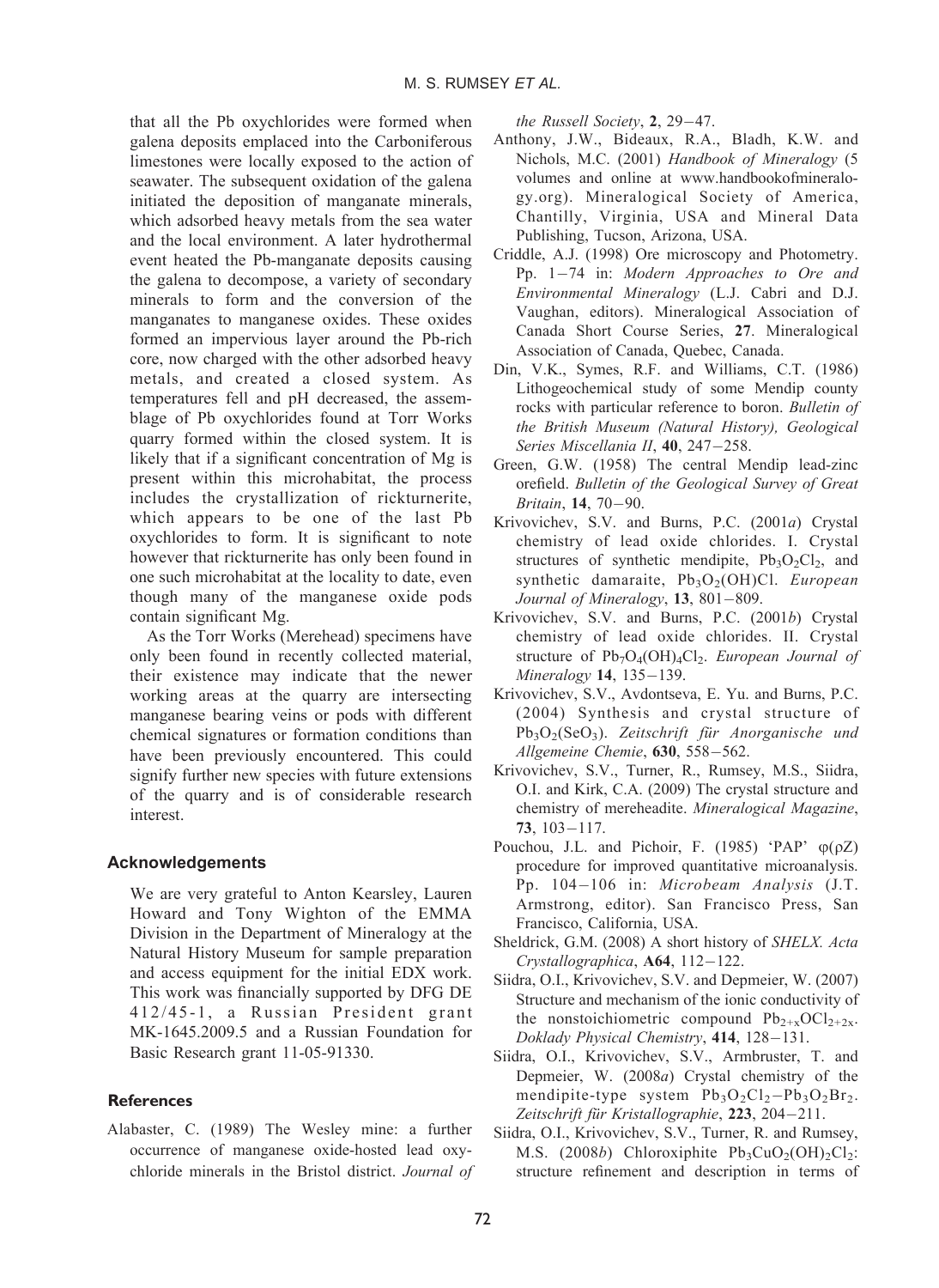that all the Pb oxychlorides were formed when galena deposits emplaced into the Carboniferous limestones were locally exposed to the action of seawater. The subsequent oxidation of the galena initiated the deposition of manganate minerals, which adsorbed heavy metals from the sea water and the local environment. A later hydrothermal event heated the Pb-manganate deposits causing the galena to decompose, a variety of secondary minerals to form and the conversion of the manganates to manganese oxides. These oxides formed an impervious layer around the Pb-rich core, now charged with the other adsorbed heavy metals, and created a closed system. As temperatures fell and pH decreased, the assemblage of Pb oxychlorides found at Torr Works quarry formed within the closed system. It is likely that if a significant concentration of Mg is present within this microhabitat, the process includes the crystallization of rickturnerite, which appears to be one of the last Pb oxychlorides to form. It is significant to note however that rickturnerite has only been found in one such microhabitat at the locality to date, even though many of the manganese oxide pods contain significant Mg.

As the Torr Works (Merehead) specimens have only been found in recently collected material, their existence may indicate that the newer working areas at the quarry are intersecting manganese bearing veins or pods with different chemical signatures or formation conditions than have been previously encountered. This could signify further new species with future extensions of the quarry and is of considerable research interest.

#### Acknowledgements

We are very grateful to Anton Kearsley, Lauren Howard and Tony Wighton of the EMMA Division in the Department of Mineralogy at the Natural History Museum for sample preparation and access equipment for the initial EDX work. This work was financially supported by DFG DE 412/45-1, a Russian President grant MK-1645.2009.5 and a Russian Foundation for Basic Research grant 11-05-91330.

#### References

Alabaster, C. (1989) The Wesley mine: a further occurrence of manganese oxide-hosted lead oxychloride minerals in the Bristol district. Journal of the Russell Society, 2, 29-47.

- Anthony, J.W., Bideaux, R.A., Bladh, K.W. and Nichols, M.C. (2001) Handbook of Mineralogy (5 volumes and online at www.handbookofmineralogy.org). Mineralogical Society of America, Chantilly, Virginia, USA and Mineral Data Publishing, Tucson, Arizona, USA.
- Criddle, A.J. (1998) Ore microscopy and Photometry. Pp. 1-74 in: Modern Approaches to Ore and Environmental Mineralogy (L.J. Cabri and D.J. Vaughan, editors). Mineralogical Association of Canada Short Course Series, 27. Mineralogical Association of Canada, Quebec, Canada.
- Din, V.K., Symes, R.F. and Williams, C.T. (1986) Lithogeochemical study of some Mendip county rocks with particular reference to boron. Bulletin of the British Museum (Natural History), Geological Series Miscellania II, 40, 247–258.
- Green, G.W. (1958) The central Mendip lead-zinc orefield. Bulletin of the Geological Survey of Great Britain, 14, 70-90.
- Krivovichev, S.V. and Burns, P.C. (2001a) Crystal chemistry of lead oxide chlorides. I. Crystal structures of synthetic mendipite,  $Pb_3O_2Cl_2$ , and synthetic damaraite,  $Pb_3O_2(OH)Cl$ . European Journal of Mineralogy, 13, 801–809.
- Krivovichev, S.V. and Burns, P.C. (2001b) Crystal chemistry of lead oxide chlorides. II. Crystal structure of  $Pb_7O_4(OH)_4Cl_2$ . European Journal of Mineralogy **14**, 135–139.
- Krivovichev, S.V., Avdontseva, E. Yu. and Burns, P.C. (2004) Synthesis and crystal structure of Pb<sub>3</sub>O<sub>2</sub>(SeO<sub>3</sub>). Zeitschrift für Anorganische und Allgemeine Chemie, 630, 558-562.
- Krivovichev, S.V., Turner, R., Rumsey, M.S., Siidra, O.I. and Kirk, C.A. (2009) The crystal structure and chemistry of mereheadite. Mineralogical Magazine, 73, 103-117.
- Pouchou, J.L. and Pichoir, F. (1985) 'PAP'  $\varphi$ ( $\rho$ Z) procedure for improved quantitative microanalysis. Pp. 104-106 in: Microbeam Analysis (J.T. Armstrong, editor). San Francisco Press, San Francisco, California, USA.
- Sheldrick, G.M. (2008) A short history of SHELX. Acta Crystallographica, A64, 112-122.
- Siidra, O.I., Krivovichev, S.V. and Depmeier, W. (2007) Structure and mechanism of the ionic conductivity of the nonstoichiometric compound  $Pb_{2+x}OCl_{2+2x}$ . Doklady Physical Chemistry, 414, 128-131.
- Siidra, O.I., Krivovichev, S.V., Armbruster, T. and Depmeier, W. (2008a) Crystal chemistry of the mendipite-type system  $Pb_3O_2Cl_2-Pb_3O_2Br_2$ . Zeitschrift für Kristallographie, 223, 204-211.
- Siidra, O.I., Krivovichev, S.V., Turner, R. and Rumsey, M.S. (2008b) Chloroxiphite  $Pb_3CuO_2(OH)_2Cl_2$ : structure refinement and description in terms of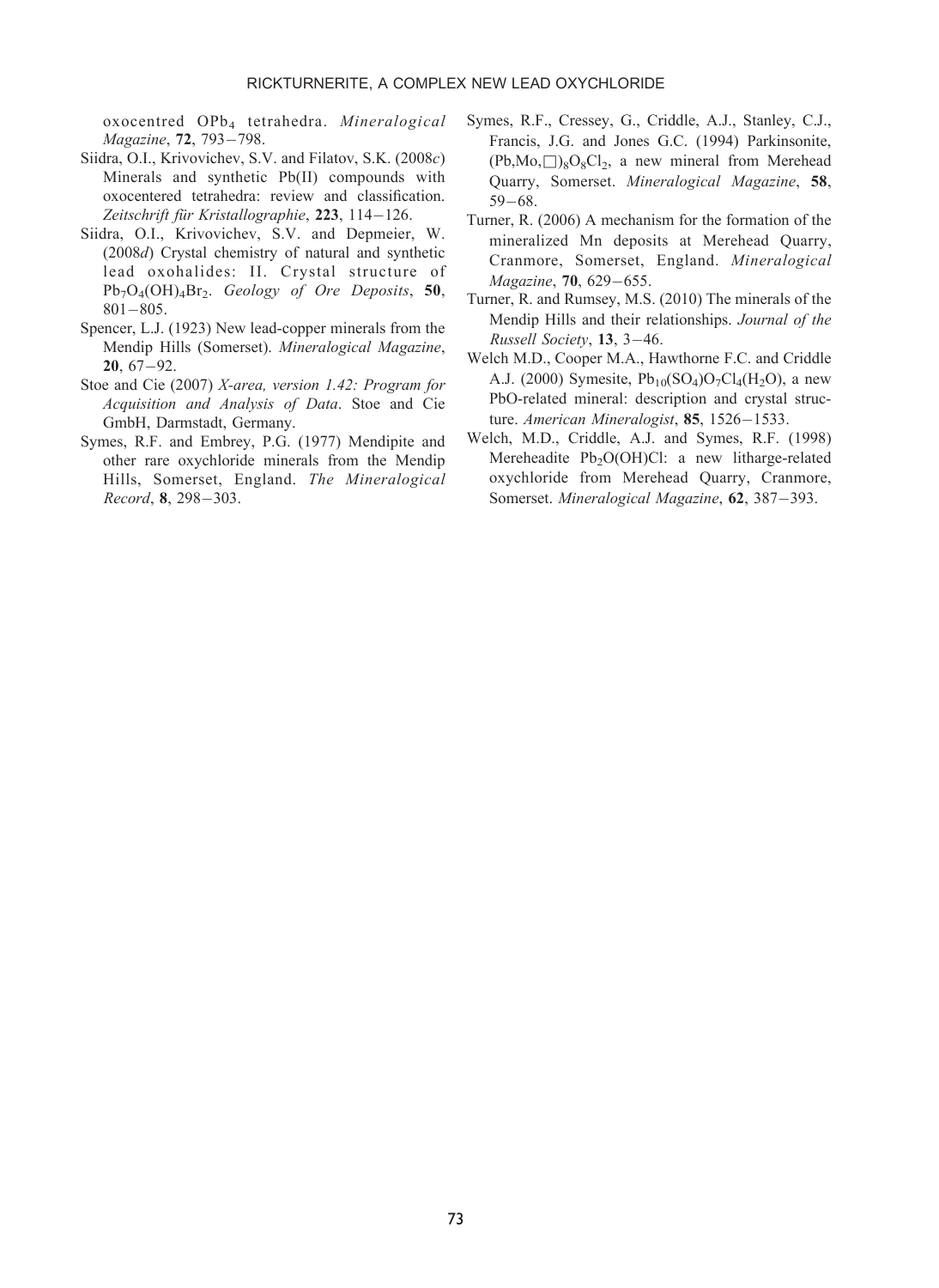oxocentred OPb4 tetrahedra. Mineralogical Magazine, **72**, 793–798.

- Siidra, O.I., Krivovichev, S.V. and Filatov, S.K. (2008c) Minerals and synthetic Pb(II) compounds with oxocentered tetrahedra: review and classification. Zeitschrift für Kristallographie, 223, 114–126.
- Siidra, O.I., Krivovichev, S.V. and Depmeier, W. (2008d) Crystal chemistry of natural and synthetic lead oxohalides: II. Crystal structure of  $Pb_7O_4(OH)_4Br_2$ . Geology of Ore Deposits, 50,  $801 - 805.$
- Spencer, L.J. (1923) New lead-copper minerals from the Mendip Hills (Somerset). Mineralogical Magazine,  $20, 67 - 92.$
- Stoe and Cie (2007) X-area, version 1.42: Program for Acquisition and Analysis of Data. Stoe and Cie GmbH, Darmstadt, Germany.
- Symes, R.F. and Embrey, P.G. (1977) Mendipite and other rare oxychloride minerals from the Mendip Hills, Somerset, England. The Mineralogical Record, 8, 298-303.
- Symes, R.F., Cressey, G., Criddle, A.J., Stanley, C.J., Francis, J.G. and Jones G.C. (1994) Parkinsonite,  $(Pb, Mo, \Box)_{8}O_{8}Cl_{2}$ , a new mineral from Merehead Quarry, Somerset. Mineralogical Magazine, 58, 59-68.
- Turner, R. (2006) A mechanism for the formation of the mineralized Mn deposits at Merehead Quarry, Cranmore, Somerset, England. Mineralogical Magazine, 70, 629-655.
- Turner, R. and Rumsey, M.S. (2010) The minerals of the Mendip Hills and their relationships. Journal of the Russell Society, 13, 3-46.
- Welch M.D., Cooper M.A., Hawthorne F.C. and Criddle A.J. (2000) Symesite,  $Pb_{10}(SO_4)O_7Cl_4(H_2O)$ , a new PbO-related mineral: description and crystal structure. American Mineralogist, 85, 1526-1533.
- Welch, M.D., Criddle, A.J. and Symes, R.F. (1998) Mereheadite  $Pb_2O(OH)Cl$ : a new litharge-related oxychloride from Merehead Quarry, Cranmore, Somerset. Mineralogical Magazine, 62, 387-393.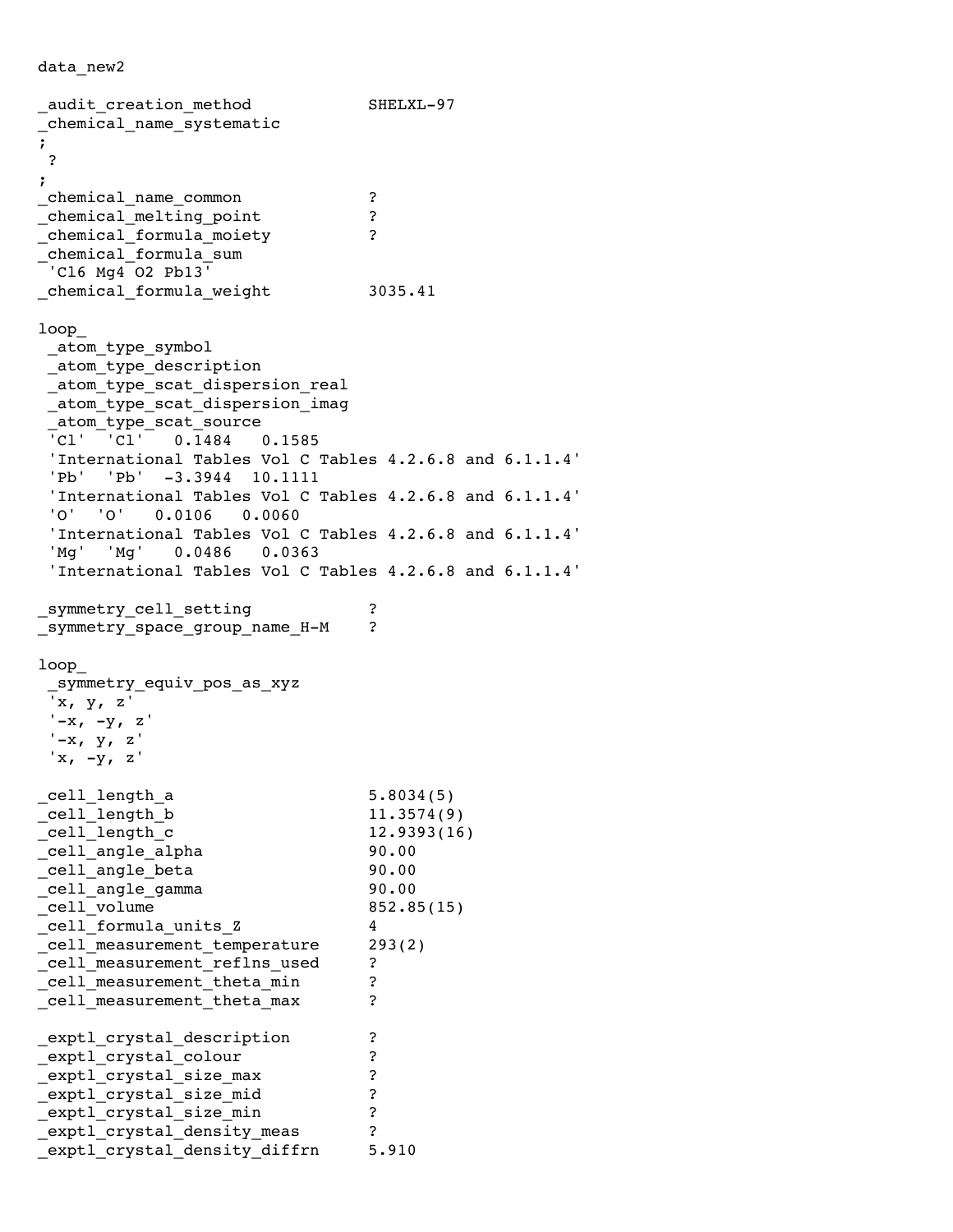data\_new2

```
\begin{array}{c} \texttt{audit\_creation\_method} \\ \end{array}_chemical_name_systematic
;
 ?
;
_chemical_name_common ?
_chemical_melting_point ?
_chemical_formula_moiety ?
_chemical_formula_sum
 'Cl6 Mg4 O2 Pb13'
_chemical_formula_weight 3035.41
loop_
 _atom_type_symbol
 _atom_type_description
 _atom_type_scat_dispersion_real
 _atom_type_scat_dispersion_imag
  _atom_type_scat_source
  'Cl' 'Cl' 0.1484 0.1585
  'International Tables Vol C Tables 4.2.6.8 and 6.1.1.4'
  'Pb' 'Pb' -3.3944 10.1111
  'International Tables Vol C Tables 4.2.6.8 and 6.1.1.4'
  'O' 'O' 0.0106 0.0060
  'International Tables Vol C Tables 4.2.6.8 and 6.1.1.4'
  'Mg' 'Mg' 0.0486 0.0363
  'International Tables Vol C Tables 4.2.6.8 and 6.1.1.4'
symmetry cell setting ?
_symmetry_space_group_name_H-M ?
loop_
  _symmetry_equiv_pos_as_xyz
 'x, y, z''-x, -y, z''-x, y, z''x, -y, z'\begin{array}{c} \texttt{cell_length\_a} \end{array} \qquad \qquad \begin{array}{c} \texttt{5.8034(5)} \end{array}_cell_length_b 11.3574(9)
_cell_length_c 12.9393(16)
_cell_angle_alpha 90.00
_cell_angle_beta 90.00
_cell_angle_gamma 90.00
_cell_volume 852.85(15)
_cell_formula_units_Z 4
_cell_measurement_temperature 293(2)
_cell_measurement_reflns_used ?
_cell_measurement_theta_min ?
_cell_measurement_theta_max ?
_exptl_crystal_description ?
_exptl_crystal_colour ?
_exptl_crystal_size_max ?
_exptl_crystal_size_mid ?
exptl crystal size min ?
_exptl_crystal_density_meas ?
_exptl_crystal_density_diffrn 5.910
```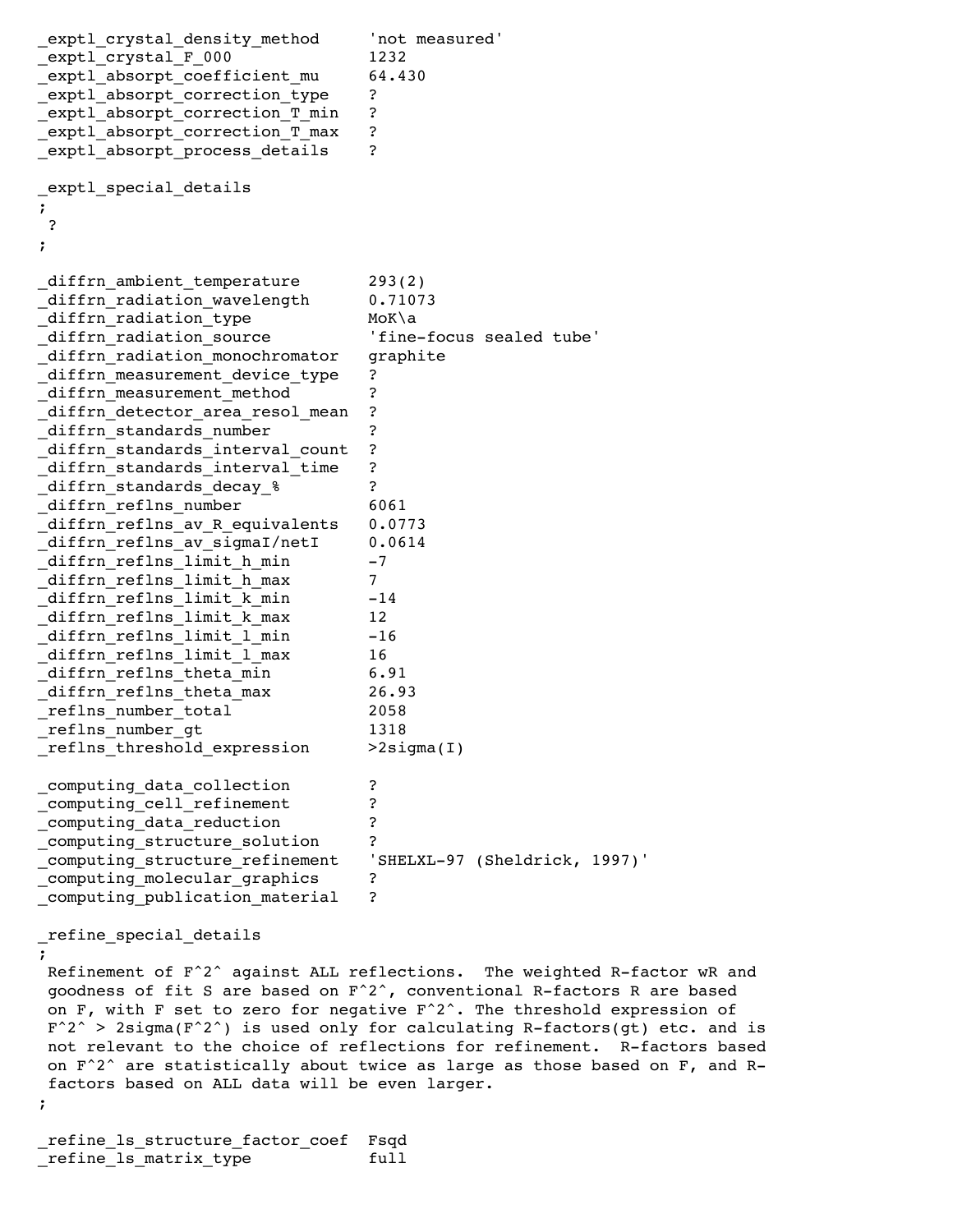```
exptl crystal density method 'not measured'
_exptl_crystal_F_000 1232
_exptl_absorpt_coefficient_mu 64.430
exptl_absorpt_correction_type ?
_exptl_absorpt_correction_T_min ?
_exptl_absorpt_correction_T_max ?
_exptl_absorpt_process_details ?
_exptl_special_details
;
 ?
;
diffrn_ambient_temperature 293(2)
diffrn radiation wavelength 0.71073
diffrn radiation type MoK\a
_diffrn_radiation_source 'fine-focus sealed tube'
diffrn radiation monochromator graphite
diffrn_measurement_device_type ?
\_diffrn\_measurement\_method ?
diffrn detector area resol mean ?
diffrn standards number ?
diffrn standards interval count ?
_diffrn_standards_interval_time ?
diffrn standards decay % ?
diffrn_reflns_number 6061
diffrn reflns av R equivalents 0.0773
diffrn_reflns_av_sigmaI/netI 0.0614
diffrn reflns limit h min -7
diffrn reflns limit h max 7
_diffrn_reflns_limit_k_min -14
diffrn_reflns_limit_k_max 12
diffrn reflns limit 1 min -16
\_diffrn\_reflns\_limit\_l\_max 16
_diffrn_reflns_theta_min 6.91
diffrn_reflns_theta_max 26.93
reflns number total 1058
_reflns_number_gt 1318
_reflns_threshold_expression >2sigma(I)
_computing_data_collection ?
_computing_cell_refinement ?
_computing_data_reduction ?
_computing_structure_solution ?
_computing_structure_refinement 'SHELXL-97 (Sheldrick, 1997)'
_computing_molecular_graphics ?
_computing_publication_material ?
```
\_refine\_special\_details

;

Refinement of F^2^ against ALL reflections. The weighted R-factor wR and goodness of fit S are based on F^2^, conventional R-factors R are based on F, with F set to zero for negative  $F^2$ . The threshold expression of  $F^2$  > 2sigma( $F^2$ ) is used only for calculating R-factors(gt) etc. and is not relevant to the choice of reflections for refinement. R-factors based on  $F^2$  are statistically about twice as large as those based on F, and R factors based on ALL data will be even larger. ;

refine ls structure factor coef Fsqd \_refine\_ls\_matrix\_type full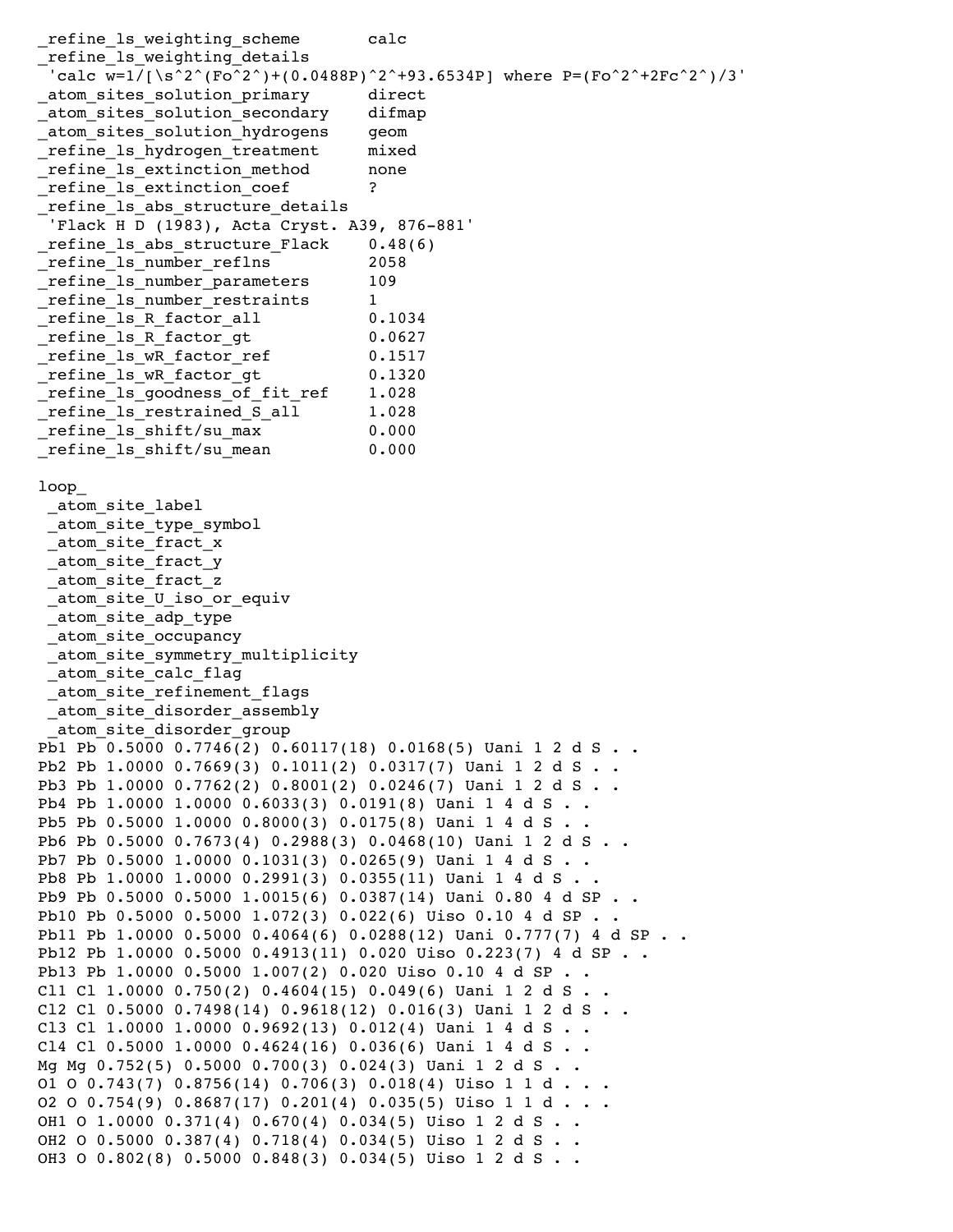```
refine ls weighting scheme calc
_refine_ls_weighting_details
 'calc w=1/[\s^2^(Fo^2^)+(0.0488P)^2^+93.6534P] where P=(Fo^2^+2Fc^2^)/3'
_atom_sites_solution_primary direct
_atom_sites_solution_secondary difmap
_atom_sites_solution_hydrogens geom
_refine_ls_hydrogen_treatment mixed
refine 1s extinction method none
_refine_ls_extinction coef ?
\_refine\_ls\_abs\_structure details
  'Flack H D (1983), Acta Cryst. A39, 876-881'
_refine_ls_abs_structure_Flack 0.48(6)
_refine_ls_number_reflns 2058
_refine_ls_number_parameters 109
refine ls number restraints 1
_refine_ls_R_factor_all 0.1034
_refine_ls_R_factor_gt 0.0627
refine ls wR factor ref 0.1517_refine_ls_wR_factor_gt 0.1320
_refine_ls_goodness_of_fit_ref 1.028
_refine_ls_restrained_S_all 1.028
refine ls shift/su max 0.000
_refine_ls_shift/su_mean 0.000
loop_
  _atom_site_label
 atom site type symbol
  _atom_site_fract_x
  _atom_site_fract_y
  _atom_site_fract_z
  _atom_site_U_iso_or_equiv
  _atom_site_adp_type
  _atom_site_occupancy
  _atom_site_symmetry_multiplicity
  _atom_site_calc_flag
  _atom_site_refinement_flags
 atom site disorder assembly
 atom site disorder group
Pb1 Pb 0.5000 0.7746(2) 0.60117(18) 0.0168(5) Uani 1 2 d S . .
Pb2 Pb 1.0000 0.7669(3) 0.1011(2) 0.0317(7) Uani 1 2 d S . .
Pb3 Pb 1.0000 0.7762(2) 0.8001(2) 0.0246(7) Uani 1 2 d S . .
Pb4 Pb 1.0000 1.0000 0.6033(3) 0.0191(8) Uani 1 4 d S . .
Pb5 Pb 0.5000 1.0000 0.8000(3) 0.0175(8) Uani 1 4 d S . .
Pb6 Pb 0.5000 0.7673(4) 0.2988(3) 0.0468(10) Uani 1 2 d S . .
Pb7 Pb 0.5000 1.0000 0.1031(3) 0.0265(9) Uani 1 4 d S . .
Pb8 Pb 1.0000 1.0000 0.2991(3) 0.0355(11) Uani 1 4 d S . .
Pb9 Pb 0.5000 0.5000 1.0015(6) 0.0387(14) Uani 0.80 4 d SP . .
Pb10 Pb 0.5000 0.5000 1.072(3) 0.022(6) Uiso 0.10 4 d SP . .
Pb11 Pb 1.0000 0.5000 0.4064(6) 0.0288(12) Uani 0.777(7) 4 d SP . .
Pb12 Pb 1.0000 0.5000 0.4913(11) 0.020 Uiso 0.223(7) 4 d SP . .
Pb13 Pb 1.0000 0.5000 1.007(2) 0.020 Uiso 0.10 4 d SP . .
Cl1 Cl 1.0000 0.750(2) 0.4604(15) 0.049(6) Uani 1 2 d S ..
Cl2 Cl 0.5000 0.7498(14) 0.9618(12) 0.016(3) Uani 1 2 d S . .
Cl3 Cl 1.0000 1.0000 0.9692(13) 0.012(4) Uani 1 4 d S . .
Cl4 Cl 0.5000 1.0000 0.4624(16) 0.036(6) Uani 1 4 d S . Mg Mg 0.752(5) 0.5000 0.700(3) 0.024(3) Uani 1 2 d S . .
O1 O 0.743(7) 0.8756(14) 0.706(3) 0.018(4) Uiso 1 1 d . . .
O2 O 0.754(9) 0.8687(17) 0.201(4) 0.035(5) Uiso 1 1 d \ldotsOH1 O 1.0000 0.371(4) 0.670(4) 0.034(5) Uiso 1 2 d S . .
OH2 O 0.5000 0.387(4) 0.718(4) 0.034(5) Uiso 1 2 d S . .
OH3 O 0.802(8) 0.5000 0.848(3) 0.034(5) Uiso 1 2 d S . .
```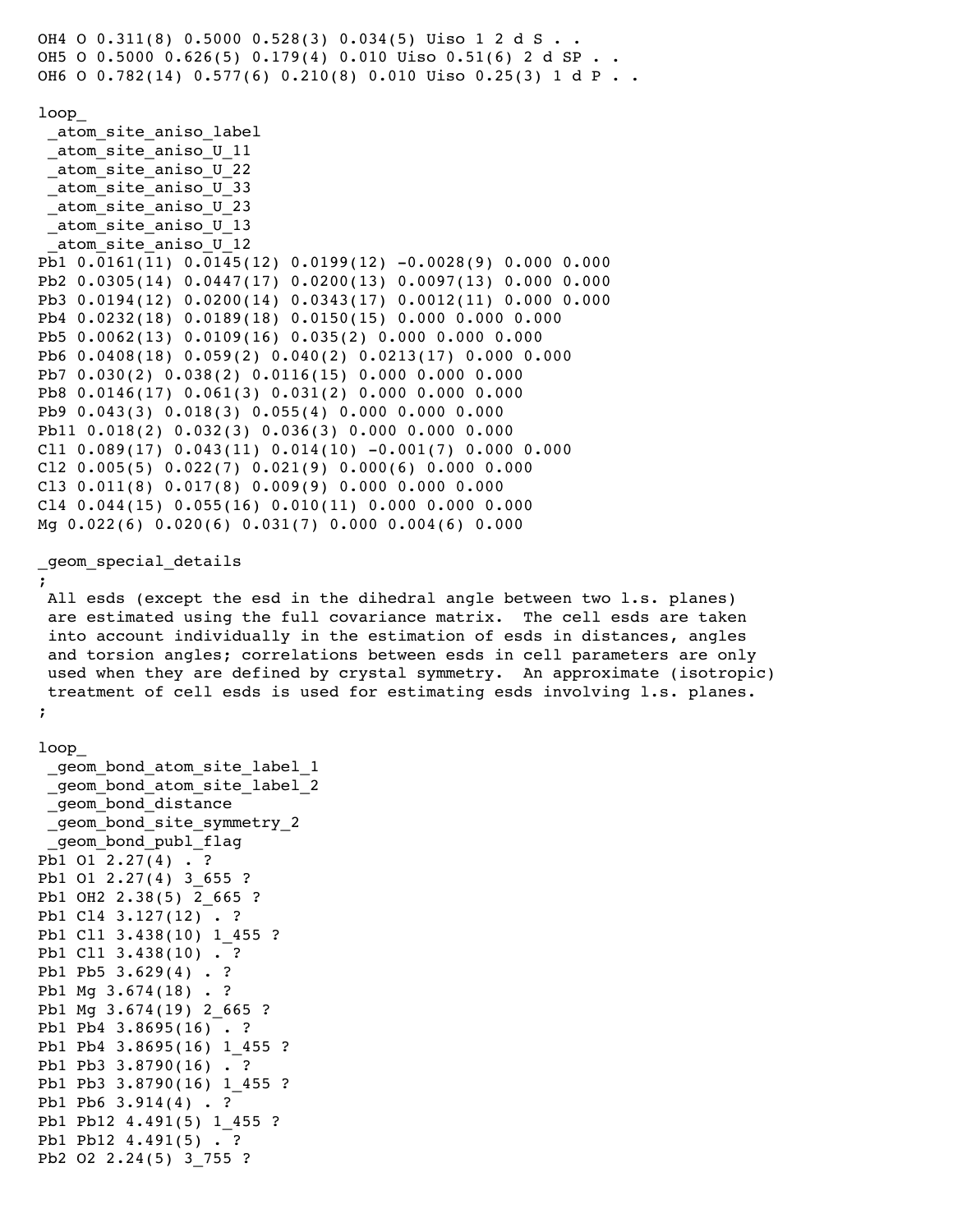```
OH4 O 0.311(8) 0.5000 0.528(3) 0.034(5) Uiso 1 2 d S . .
OH5 O 0.5000 0.626(5) 0.179(4) 0.010 Uiso 0.51(6) 2 d SP . .
OH6 O 0.782(14) 0.577(6) 0.210(8) 0.010 Uiso 0.25(3) 1 d P . .
loop_
  _atom_site_aniso_label
  _atom_site_aniso_U_11
  _atom_site_aniso_U_22
  _atom_site_aniso_U_33
  _atom_site_aniso_U_23
  _atom_site_aniso_U_13
 atom site aniso U 12
Pb1 0.0161(11) 0.0145(12) 0.0199(12) -0.0028(9) 0.000 0.000
Pb2 0.0305(14) 0.0447(17) 0.0200(13) 0.0097(13) 0.000 0.000
Pb3 0.0194(12) 0.0200(14) 0.0343(17) 0.0012(11) 0.000 0.000
Pb4 0.0232(18) 0.0189(18) 0.0150(15) 0.000 0.000 0.000
Pb5 0.0062(13) 0.0109(16) 0.035(2) 0.000 0.000 0.000
Pb6 0.0408(18) 0.059(2) 0.040(2) 0.0213(17) 0.000 0.000
Pb7 0.030(2) 0.038(2) 0.0116(15) 0.000 0.000 0.000
Pb8 0.0146(17) 0.061(3) 0.031(2) 0.000 0.000 0.000
Pb9 0.043(3) 0.018(3) 0.055(4) 0.000 0.000 0.000
Pb11 0.018(2) 0.032(3) 0.036(3) 0.000 0.000 0.000
Cl1 0.089(17) 0.043(11) 0.014(10) -0.001(7) 0.000 0.000Cl2 0.005(5) 0.022(7) 0.021(9) 0.000(6) 0.000 0.000
Cl3 0.011(8) 0.017(8) 0.009(9) 0.000 0.000 0.000
C14 0.044(15) 0.055(16) 0.010(11) 0.000 0.000 0.000
Mg 0.022(6) 0.020(6) 0.031(7) 0.000 0.004(6) 0.000
_geom_special_details
;
  All esds (except the esd in the dihedral angle between two l.s. planes)
  are estimated using the full covariance matrix. The cell esds are taken
  into account individually in the estimation of esds in distances, angles
  and torsion angles; correlations between esds in cell parameters are only
  used when they are defined by crystal symmetry. An approximate (isotropic)
  treatment of cell esds is used for estimating esds involving l.s. planes.
;
loop_
 _geom_bond_atom_site_label_1
  _geom_bond_atom_site_label_2
  _geom_bond_distance
  _geom_bond_site_symmetry_2
 qeom bond publ flag
Pb1 O1 2.27(4) . ?
Pb1 01 2.27(4) 3 655 ?
Pb1 OH2 2.38(5) 2 665 ?
Pb1 Cl4 3.127(12) . ?
Pb1 Cl1 3.438(10) 1 455 ?
Pb1 Cl1 3.438(10) . ?
Pb1 Pb5 3.629(4) . ?
Pb1 Mg 3.674(18) . ?
Pb1 Mg 3.674(19) 2 665 ?
Pb1 Pb4 3.8695(16) . ?
Pb1 Pb4 3.8695(16) 1 455 ?
Pb1 Pb3 3.8790(16) . ?
Pb1 Pb3 3.8790(16) 1 455 ?
Pb1 Pb6 3.914(4) . ?
Pb1 Pb12 4.491(5) 1 455 ?
Pb1 Pb12 4.491(5) . ?
Pb2 O2 2.24(5) 3_755 ?
```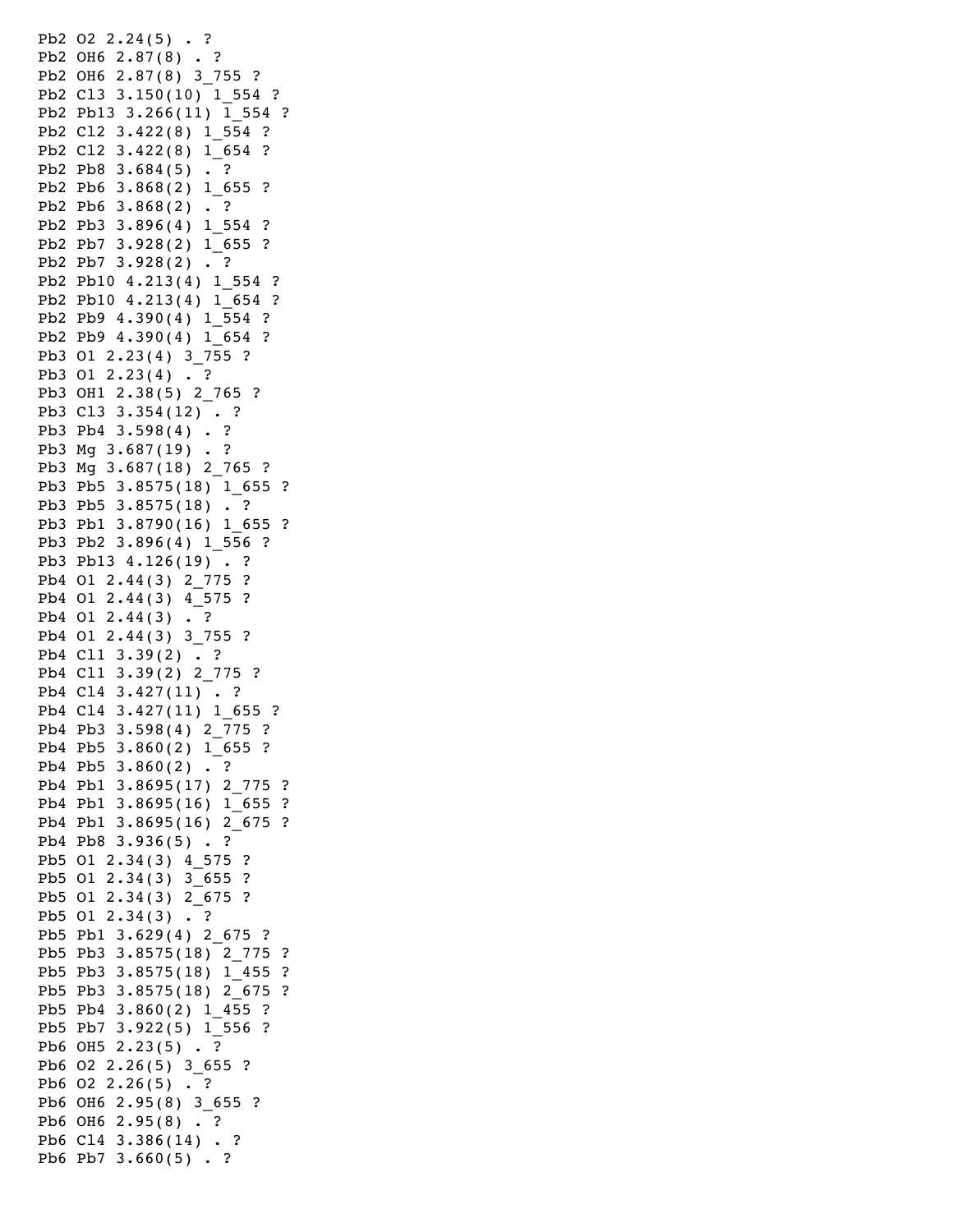Pb2 O2 2.24(5) . ? Pb2 OH6 2.87(8) . ? Pb2 OH6 2.87(8) 3 755 ? Pb2 Cl3 3.150(10) 1 554 ? Pb2 Pb13 3.266(11) 1 554 ? Pb2 Cl2 3.422(8) 1\_554 ? Pb2 Cl2 3.422(8) 1\_654 ? Pb2 Pb8 3.684(5) . ? Pb2 Pb6 3.868(2) 1 655 ? Pb2 Pb6 3.868(2) . ? Pb2 Pb3 3.896(4) 1 554 ? Pb2 Pb7 3.928(2) 1 655 ? Pb2 Pb7 3.928(2) . ? Pb2 Pb10 4.213(4) 1 554 ? Pb2 Pb10 4.213(4) 1\_654 ? Pb2 Pb9 4.390(4) 1 554 ? Pb2 Pb9 4.390(4) 1\_654 ? Pb3 O1 2.23(4) 3\_755 ? Pb3 O1 2.23(4) . ? Pb3 OH1 2.38(5) 2\_765 ? Pb3 Cl3 3.354(12) . ? Pb3 Pb4 3.598(4) . ? Pb3 Mg 3.687(19) . ? Pb3 Mg 3.687(18) 2\_765 ? Pb3 Pb5 3.8575(18) 1\_655 ? Pb3 Pb5 3.8575(18) . ? Pb3 Pb1 3.8790(16) 1\_655 ? Pb3 Pb2 3.896(4) 1 556 ? Pb3 Pb13 4.126(19) . ? Pb4 O1 2.44(3) 2\_775 ? Pb4 O1 2.44(3) 4\_575 ? Pb4 O1 2.44(3) . ? Pb4 O1 2.44(3) 3\_755 ? Pb4 Cl1 3.39(2) . ? Pb4 Cl1 3.39(2) 2\_775 ? Pb4 Cl4 3.427(11) . ? Pb4 Cl4 3.427(11) 1\_655 ? Pb4 Pb3 3.598(4) 2\_775 ? Pb4 Pb5 3.860(2) 1 655 ? Pb4 Pb5 3.860(2) . ? Pb4 Pb1 3.8695(17) 2\_775 ? Pb4 Pb1 3.8695(16) 1 655 ? Pb4 Pb1 3.8695(16) 2\_675 ? Pb4 Pb8 3.936(5) . ? Pb5 01 2.34(3) 4 575 ? Pb5 01 2.34(3) 3 655 ? Pb5 O1 2.34(3) 2\_675 ? Pb5 O1 2.34(3) . ? Pb5 Pb1 3.629(4) 2 675 ? Pb5 Pb3 3.8575(18) 2\_775 ? Pb5 Pb3 3.8575(18) 1\_455 ? Pb5 Pb3 3.8575(18) 2\_675 ? Pb5 Pb4 3.860(2) 1 455 ? Pb5 Pb7 3.922(5) 1 556 ? Pb6 OH5 2.23(5) . ? Pb6 02 2.26(5) 3 655 ? Pb6 O2 2.26(5) . ? Pb6 OH6 2.95(8) 3\_655 ? Pb6 OH6 2.95(8) . ? Pb6 Cl4 3.386(14) . ? Pb6 Pb7 3.660(5) . ?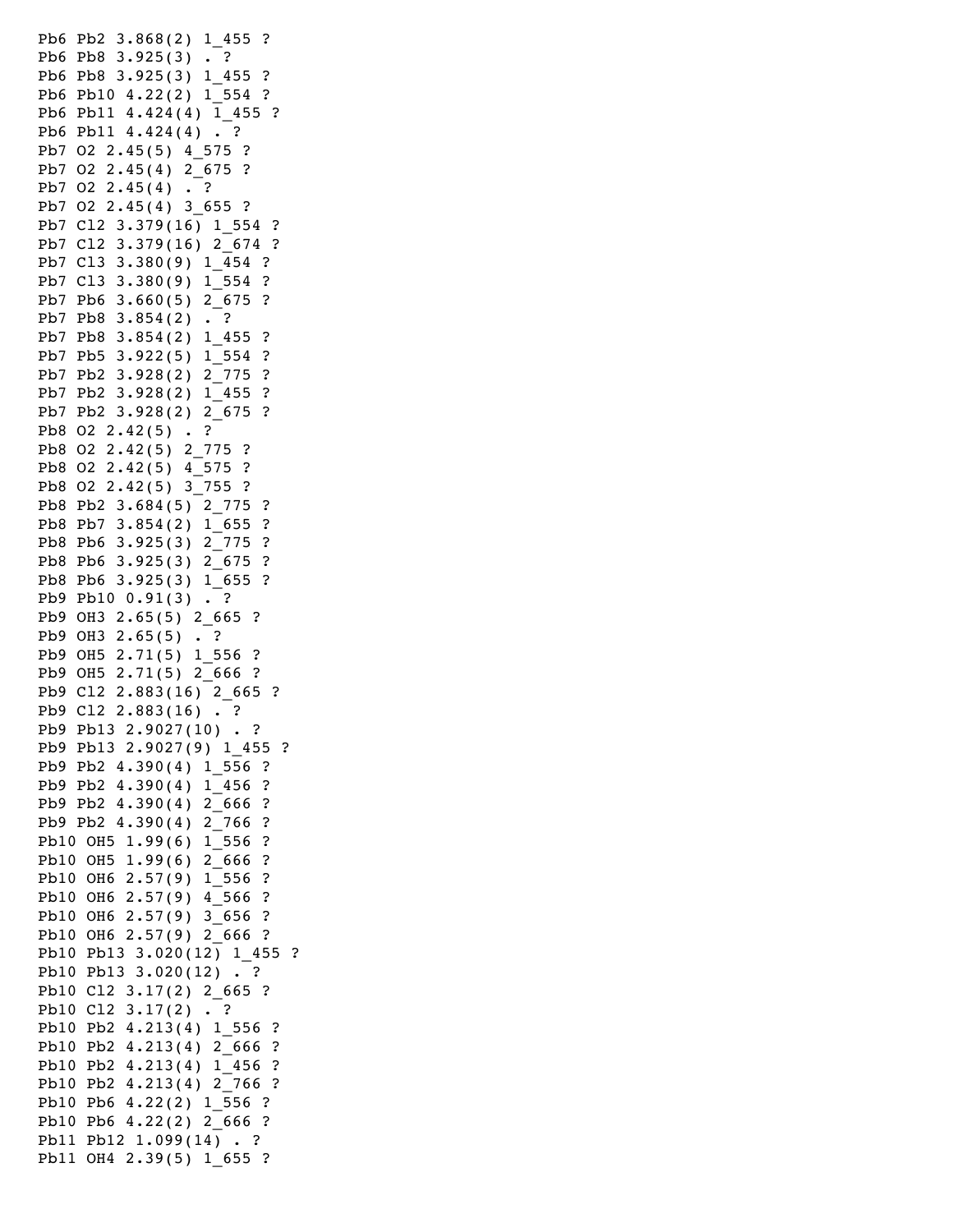Pb6 Pb2 3.868(2) 1 455 ? Pb6 Pb8 3.925(3) . ? Pb6 Pb8 3.925(3) 1 455 ? Pb6 Pb10 4.22(2) 1\_554 ? Pb6 Pb11 4.424(4) 1 455 ? Pb6 Pb11 4.424(4) . ? Pb7 O2 2.45(5) 4\_575 ? Pb7 O2 2.45(4) 2\_675 ? Pb7 O2 2.45(4) . ? Pb7 02 2.45(4) 3 655 ? Pb7 Cl2 3.379(16) 1\_554 ? Pb7 Cl2 3.379(16) 2\_674 ? Pb7 Cl3 3.380(9) 1\_454 ? Pb7 Cl3 3.380(9) 1\_554 ? Pb7 Pb6 3.660(5) 2\_675 ? Pb7 Pb8 3.854(2) . ? Pb7 Pb8 3.854(2) 1\_455 ? Pb7 Pb5 3.922(5) 1\_554 ? Pb7 Pb2 3.928(2) 2\_775 ? Pb7 Pb2 3.928(2) 1 455 ? Pb7 Pb2 3.928(2) 2 675 ? Pb8 O2 2.42(5) . ? Pb8 O2 2.42(5) 2\_775 ? Pb8 O2 2.42(5) 4\_575 ? Pb8 O2 2.42(5) 3\_755 ? Pb8 Pb2 3.684(5) 2\_775 ? Pb8 Pb7 3.854(2) 1\_655 ? Pb8 Pb6 3.925(3) 2\_775 ? Pb8 Pb6 3.925(3) 2\_675 ? Pb8 Pb6 3.925(3) 1\_655 ? Pb9 Pb10 0.91(3) . ? Pb9 OH3 2.65(5) 2 665 ? Pb9 OH3 2.65(5) . ? Pb9 OH5 2.71(5) 1 556 ? Pb9 OH5 2.71(5) 2\_666 ? Pb9 Cl2 2.883(16) 2\_665 ? Pb9 Cl2 2.883(16) . ? Pb9 Pb13 2.9027(10) . ? Pb9 Pb13 2.9027(9) 1 455 ? Pb9 Pb2 4.390(4) 1 556 ? Pb9 Pb2 4.390(4) 1\_456 ? Pb9 Pb2 4.390(4) 2\_666 ? Pb9 Pb2 4.390(4) 2 766 ? Pb10 OH5 1.99(6) 1 556 ? Pb10 OH5 1.99(6) 2 666 ? Pb10 OH6 2.57(9) 1\_556 ? Pb10 OH6 2.57(9) 4 566 ? Pb10 OH6 2.57(9) 3\_656 ? Pb10 OH6 2.57(9) 2\_666 ? Pb10 Pb13 3.020(12) 1\_455 ? Pb10 Pb13 3.020(12) . ? Pb10 Cl2 3.17(2) 2\_665 ? Pb10 Cl2 3.17(2) . ? Pb10 Pb2 4.213(4) 1 556 ? Pb10 Pb2 4.213(4) 2 666 ? Pb10 Pb2 4.213(4) 1 456 ? Pb10 Pb2 4.213(4) 2 766 ? Pb10 Pb6 4.22(2) 1 556 ? Pb10 Pb6 4.22(2) 2\_666 ? Pb11 Pb12 1.099(14) . ? Pb11 OH4 2.39(5) 1 655 ?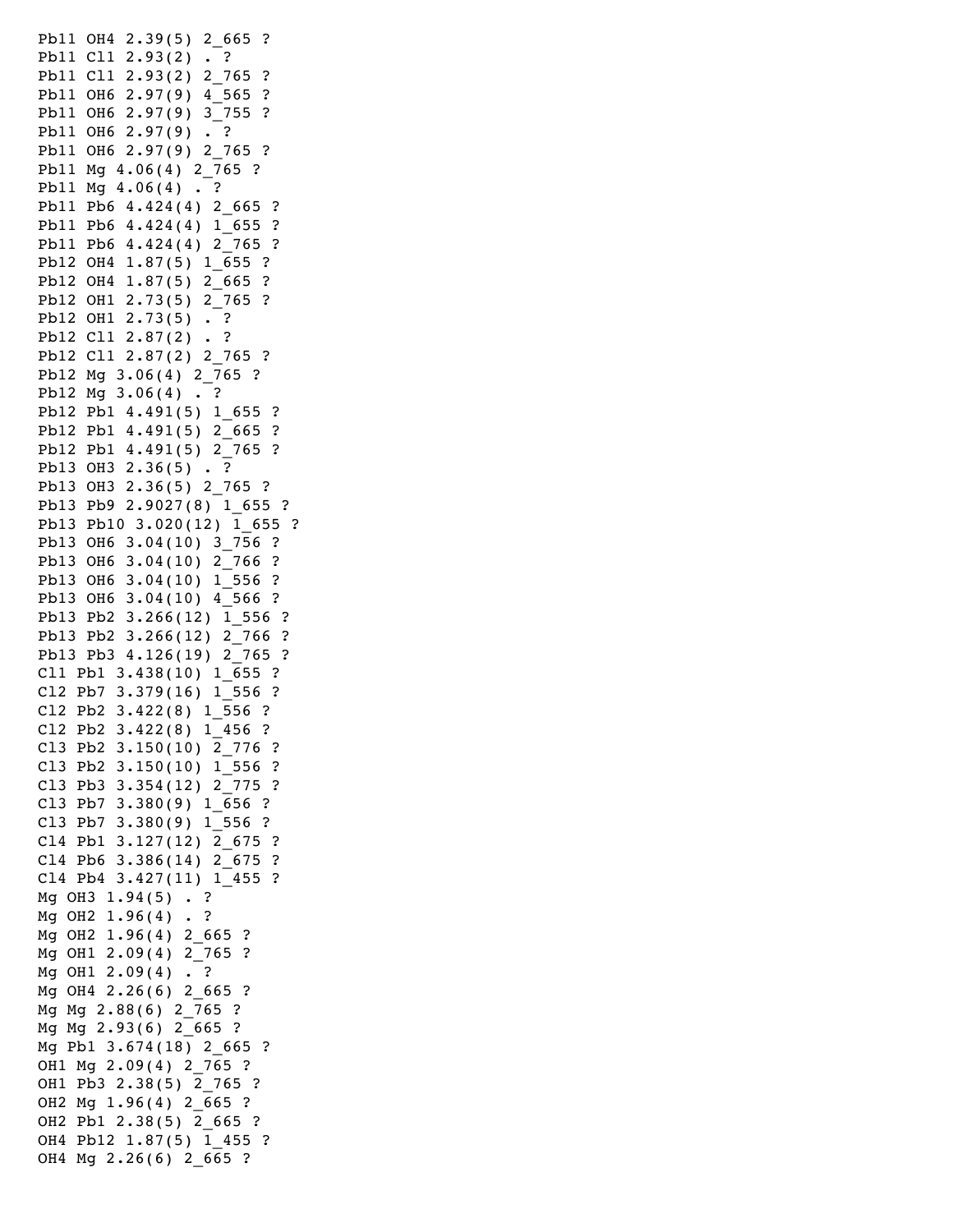Pb11 OH4 2.39(5) 2 665 ? Pb11 Cl1 2.93(2) . ? Pb11 Cl1 2.93(2) 2 765 ? Pb11 OH6 2.97(9) 4 565 ? Pb11 OH6 2.97(9) 3 755 ? Pb11 OH6 2.97(9) . ? Pb11 OH6 2.97(9) 2 765 ? Pb11 Mg 4.06(4) 2\_765 ? Pb11 Mg 4.06(4) . ? Pb11 Pb6 4.424(4) 2 665 ? Pb11 Pb6 4.424(4) 1 655 ? Pb11 Pb6 4.424(4) 2 765 ? Pb12 OH4 1.87(5) 1 655 ? Pb12 OH4 1.87(5) 2 665 ? Pb12 OH1 2.73(5) 2\_765 ? Pb12 OH1 2.73(5) . ? Pb12 Cl1 2.87(2) . ? Pb12 Cl1 2.87(2) 2\_765 ? Pb12 Mg 3.06(4) 2\_765 ? Pb12 Mg 3.06(4) . ? Pb12 Pb1 4.491(5) 1 655 ? Pb12 Pb1 4.491(5) 2 665 ? Pb12 Pb1 4.491(5) 2 765 ? Pb13 OH3 2.36(5) . ? Pb13 OH3 2.36(5) 2 765 ? Pb13 Pb9 2.9027(8) 1\_655 ? Pb13 Pb10 3.020(12) 1 655 ? Pb13 OH6 3.04(10) 3 756 ? Pb13 OH6 3.04(10) 2 766 ? Pb13 OH6 3.04(10) 1\_556 ? Pb13 OH6 3.04(10) 4 566 ? Pb13 Pb2 3.266(12) 1 556 ? Pb13 Pb2 3.266(12) 2\_766 ? Pb13 Pb3 4.126(19) 2 765 ? Cl1 Pb1 3.438(10) 1 655 ? Cl2 Pb7 3.379(16) 1\_556 ? Cl2 Pb2 3.422(8) 1\_556 ? Cl2 Pb2 3.422(8) 1\_456 ? Cl3 Pb2 3.150(10) 2\_776 ? Cl3 Pb2 3.150(10) 1\_556 ? Cl3 Pb3 3.354(12) 2\_775 ? Cl3 Pb7 3.380(9) 1\_656 ? Cl3 Pb7 3.380(9) 1\_556 ? Cl4 Pb1 3.127(12) 2\_675 ? Cl4 Pb6 3.386(14) 2\_675 ? Cl4 Pb4 3.427(11) 1\_455 ? Mg OH3 1.94(5) . ? Mg OH2 1.96(4) . ? Mg OH2 1.96(4) 2\_665 ? Mg OH1 2.09(4) 2 765 ? Mq OH1 2.09(4) . ? Mg OH4 2.26(6) 2 665 ? Mg Mg 2.88(6) 2\_765 ? Mg Mg 2.93(6) 2 665 ? Mg Pb1 3.674(18) 2 665 ? OH1 Mg 2.09(4) 2 765 ? OH1 Pb3 2.38(5) 2 765 ? OH2 Mg 1.96(4) 2 665 ? OH2 Pb1 2.38(5) 2 665 ? OH4 Pb12 1.87(5) 1 455 ? OH4 Mg 2.26(6) 2\_665 ?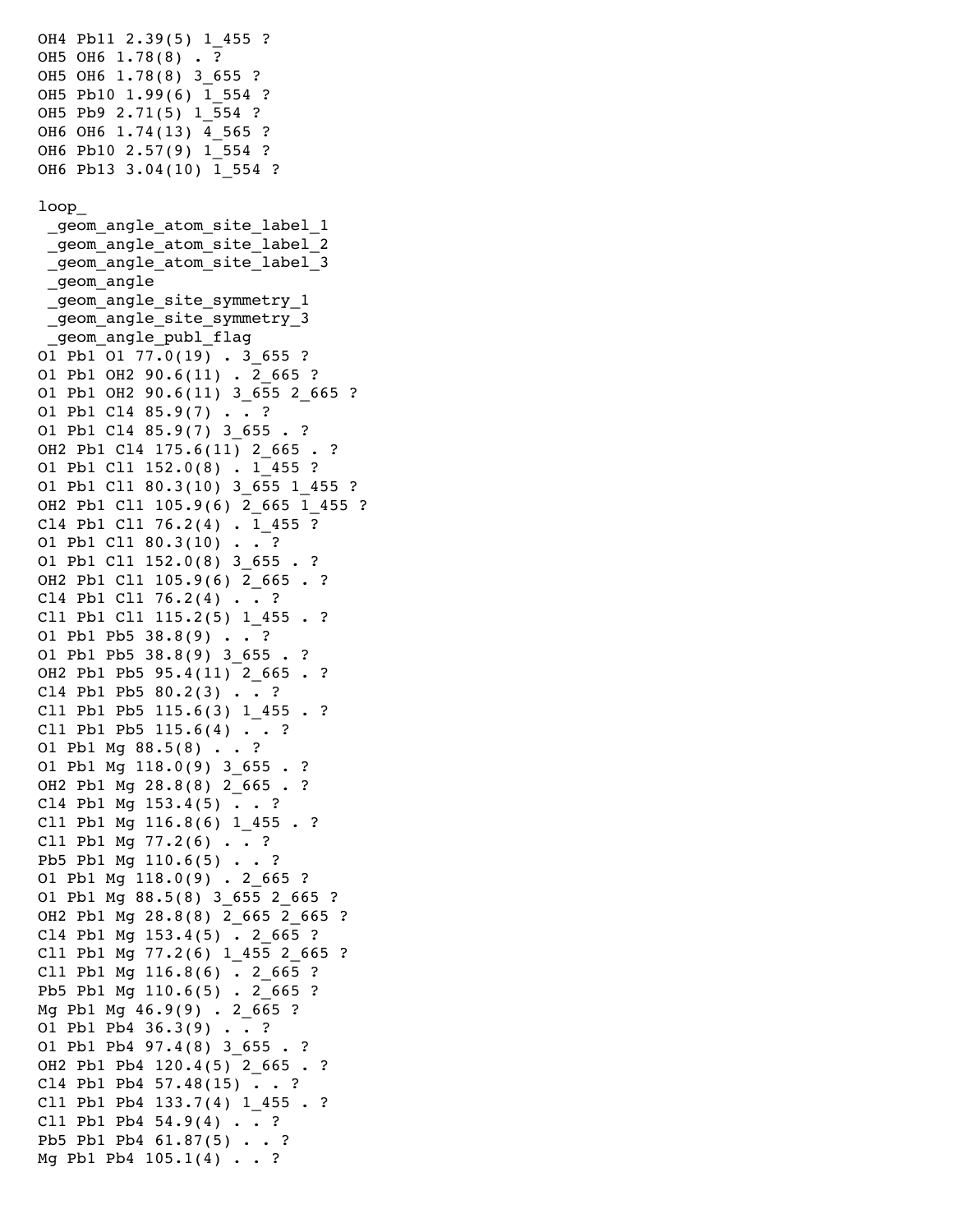OH4 Pb11 2.39(5) 1\_455 ? OH5 OH6 1.78(8) . ? OH5 OH6 1.78(8) 3 655 ? OH5 Pb10 1.99(6) 1\_554 ? OH5 Pb9 2.71(5) 1\_554 ? OH6 OH6 1.74(13) 4 565 ? OH6 Pb10 2.57(9) 1\_554 ? OH6 Pb13 3.04(10) 1 554 ? loop\_ \_geom\_angle\_atom\_site\_label\_1 \_geom\_angle\_atom\_site\_label\_2 \_geom\_angle\_atom\_site\_label\_3 \_geom\_angle \_geom\_angle\_site\_symmetry\_1 \_geom\_angle\_site symmetry 3 qeom angle publ flag O1 Pb1 O1 77.0(19) . 3\_655 ? O1 Pb1 OH2 90.6(11) . 2\_665 ? O1 Pb1 OH2 90.6(11) 3\_655 2\_665 ? O1 Pb1 Cl4 85.9(7) . . ? O1 Pb1 Cl4 85.9(7) 3\_655 . ? OH2 Pb1 Cl4 175.6(11) 2 665 . ? O1 Pb1 Cl1 152.0(8) . 1\_455 ? O1 Pb1 Cl1 80.3(10) 3\_655 1\_455 ? OH2 Pb1 Cl1 105.9(6) 2\_665 1\_455 ? Cl4 Pb1 Cl1 76.2(4) . 1\_455 ? O1 Pb1 Cl1 80.3(10) . . ? O1 Pb1 Cl1 152.0(8) 3\_655 . ? OH2 Pb1 Cl1 105.9(6) 2\_665 . ? Cl4 Pb1 Cl1 76.2(4) . . ? Cl1 Pb1 Cl1 115.2(5) 1\_455 . ? O1 Pb1 Pb5 38.8(9) . . ? O1 Pb1 Pb5 38.8(9) 3\_655 . ? OH2 Pb1 Pb5 95.4(11) 2 665 . ? Cl4 Pb1 Pb5 80.2(3) . . ? Cl1 Pb1 Pb5 115.6(3) 1\_455 . ? Cl1 Pb1 Pb5 115.6(4) . . ? O1 Pb1 Mg 88.5(8) . . ? O1 Pb1 Mg 118.0(9) 3\_655 . ? OH2 Pb1 Mg 28.8(8) 2\_665 . ? Cl4 Pb1 Mg 153.4(5) . . ? Cl1 Pb1 Mg 116.8(6) 1\_455 . ? Cl1 Pb1 Mg 77.2(6) . . ? Pb5 Pb1 Mg 110.6(5) . . ? O1 Pb1 Mg 118.0(9) . 2\_665 ? O1 Pb1 Mg 88.5(8) 3\_655 2\_665 ? OH2 Pb1 Mg 28.8(8) 2\_665 2\_665 ? Cl4 Pb1 Mg 153.4(5) . 2\_665 ? Cl1 Pb1 Mg 77.2(6) 1\_455 2\_665 ? Cl1 Pb1 Mg 116.8(6) . 2\_665 ? Pb5 Pb1 Mg 110.6(5) . 2\_665 ? Mg Pb1 Mg 46.9(9) . 2 665 ? O1 Pb1 Pb4 36.3(9) . . ? O1 Pb1 Pb4 97.4(8) 3\_655 . ? OH2 Pb1 Pb4 120.4(5) 2 665 . ? Cl4 Pb1 Pb4 57.48(15) . . ? Cl1 Pb1 Pb4 133.7(4) 1\_455 . ? Cl1 Pb1 Pb4  $54.9(4)$  . . ? Pb5 Pb1 Pb4 61.87(5) . . ? Mg Pb1 Pb4 105.1(4) . . ?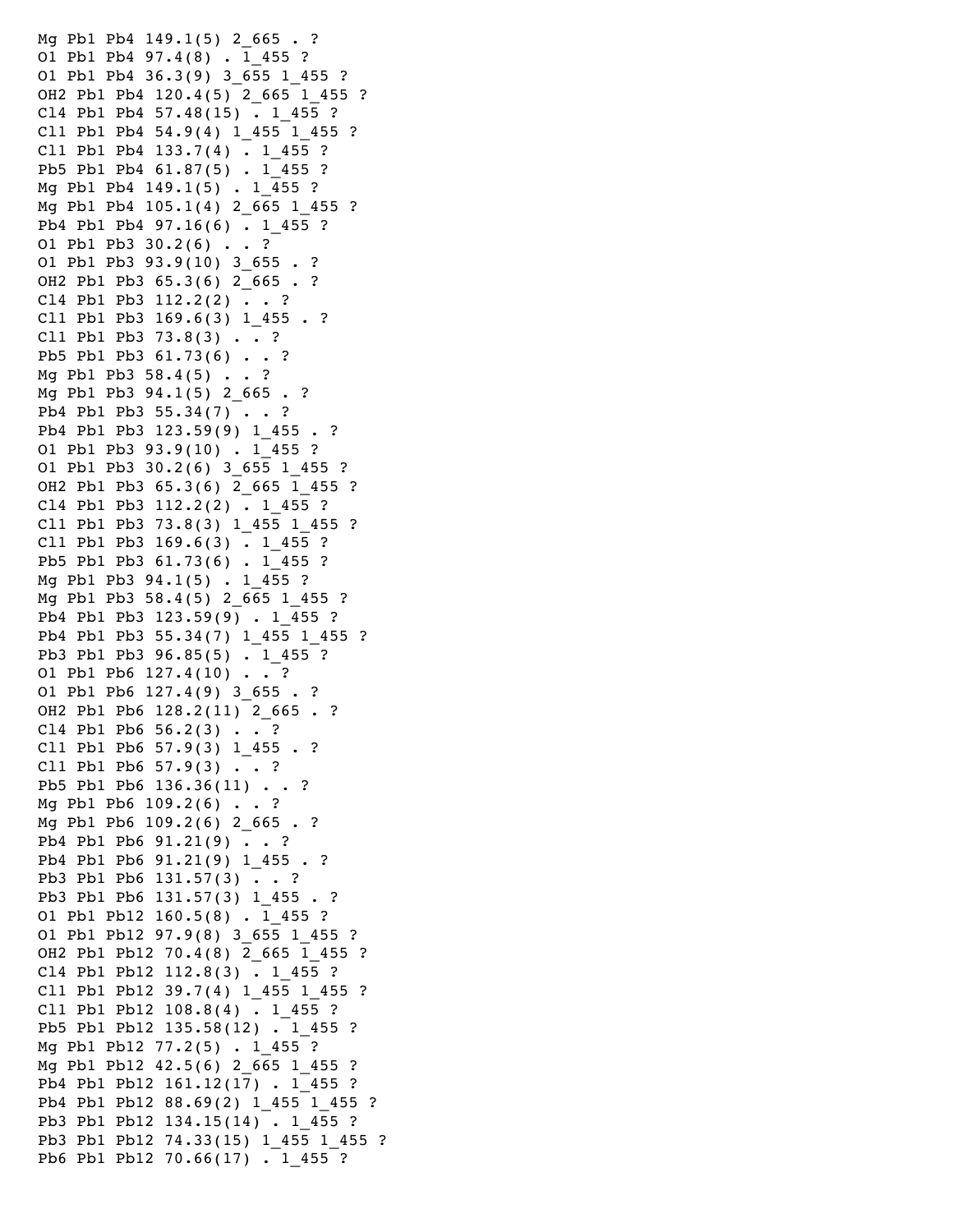Mg Pb1 Pb4 149.1(5) 2 665 . ? O1 Pb1 Pb4 97.4(8) . 1\_455 ? O1 Pb1 Pb4 36.3(9) 3\_655 1\_455 ? OH2 Pb1 Pb4 120.4(5) 2\_665 1\_455 ? Cl4 Pb1 Pb4 57.48(15) . 1\_455 ? Cl1 Pb1 Pb4 54.9(4) 1 455 1 455 ? Cl1 Pb1 Pb4 133.7(4) . 1\_455 ? Pb5 Pb1 Pb4 61.87(5) . 1\_455 ? Mg Pb1 Pb4 149.1(5) . 1 455 ? Mg Pb1 Pb4 105.1(4) 2 665 1 455 ? Pb4 Pb1 Pb4 97.16(6) . 1 455 ? O1 Pb1 Pb3 30.2(6) . . ? O1 Pb1 Pb3 93.9(10) 3\_655 . ? OH2 Pb1 Pb3 65.3(6) 2 665 . ? Cl4 Pb1 Pb3 112.2(2) . . ? Cl1 Pb1 Pb3 169.6(3) 1\_455 . ? Cl1 Pb1 Pb3 73.8(3) . . ? Pb5 Pb1 Pb3 61.73(6) . . ? Mg Pb1 Pb3 58.4(5) . . ? Mg Pb1 Pb3 94.1(5) 2 665. Pb4 Pb1 Pb3 55.34(7) . . ? Pb4 Pb1 Pb3 123.59(9) 1 455 . ? O1 Pb1 Pb3 93.9(10) . 1\_455 ? O1 Pb1 Pb3 30.2(6) 3\_655 1\_455 ? OH2 Pb1 Pb3 65.3(6) 2 665 1 455 ? Cl4 Pb1 Pb3 112.2(2) . 1\_455 ? Cl1 Pb1 Pb3 73.8(3) 1 455 1 455 ? Cl1 Pb1 Pb3 169.6(3) . 1\_455 ? Pb5 Pb1 Pb3 61.73(6) . 1 455 ? Mg Pb1 Pb3 94.1(5) . 1\_455 ? Mg Pb1 Pb3 58.4(5) 2 665 1 455 ? Pb4 Pb1 Pb3 123.59(9) . 1 455 ? Pb4 Pb1 Pb3 55.34(7) 1 455 1 455 ? Pb3 Pb1 Pb3 96.85(5) . 1 455 ? O1 Pb1 Pb6 127.4(10) . . ? O1 Pb1 Pb6 127.4(9) 3\_655 . ? OH2 Pb1 Pb6 128.2(11) 2\_665 . ? Cl4 Pb1 Pb6 56.2(3) . . ? Cl1 Pb1 Pb6 57.9(3) 1\_455 . ? Cl1 Pb1 Pb6 57.9(3) . . ? Pb5 Pb1 Pb6 136.36(11) . . ? Mg Pb1 Pb6 109.2(6) . . ? Mg Pb1 Pb6 109.2(6) 2 665 . ? Pb4 Pb1 Pb6 91.21(9) . . ? Pb4 Pb1 Pb6 91.21(9) 1 455 . ? Pb3 Pb1 Pb6 131.57(3) . . ? Pb3 Pb1 Pb6 131.57(3) 1 455 . ? O1 Pb1 Pb12 160.5(8) . 1\_455 ? O1 Pb1 Pb12 97.9(8) 3\_655 1\_455 ? OH2 Pb1 Pb12 70.4(8) 2\_665 1\_455 ? Cl4 Pb1 Pb12 112.8(3) . 1\_455 ? Cl1 Pb1 Pb12 39.7(4) 1\_455 1\_455 ? Cl1 Pb1 Pb12 108.8(4) . 1\_455 ? Pb5 Pb1 Pb12 135.58(12) . 1 455 ? Mg Pb1 Pb12 77.2(5) . 1 455 ? Mg Pb1 Pb12 42.5(6) 2 665 1 455 ? Pb4 Pb1 Pb12 161.12(17) . 1 455 ? Pb4 Pb1 Pb12 88.69(2) 1 455 1 455 ? Pb3 Pb1 Pb12 134.15(14) . 1 455 ? Pb3 Pb1 Pb12 74.33(15) 1 455 1 455 ? Pb6 Pb1 Pb12 70.66(17) . 1\_455 ?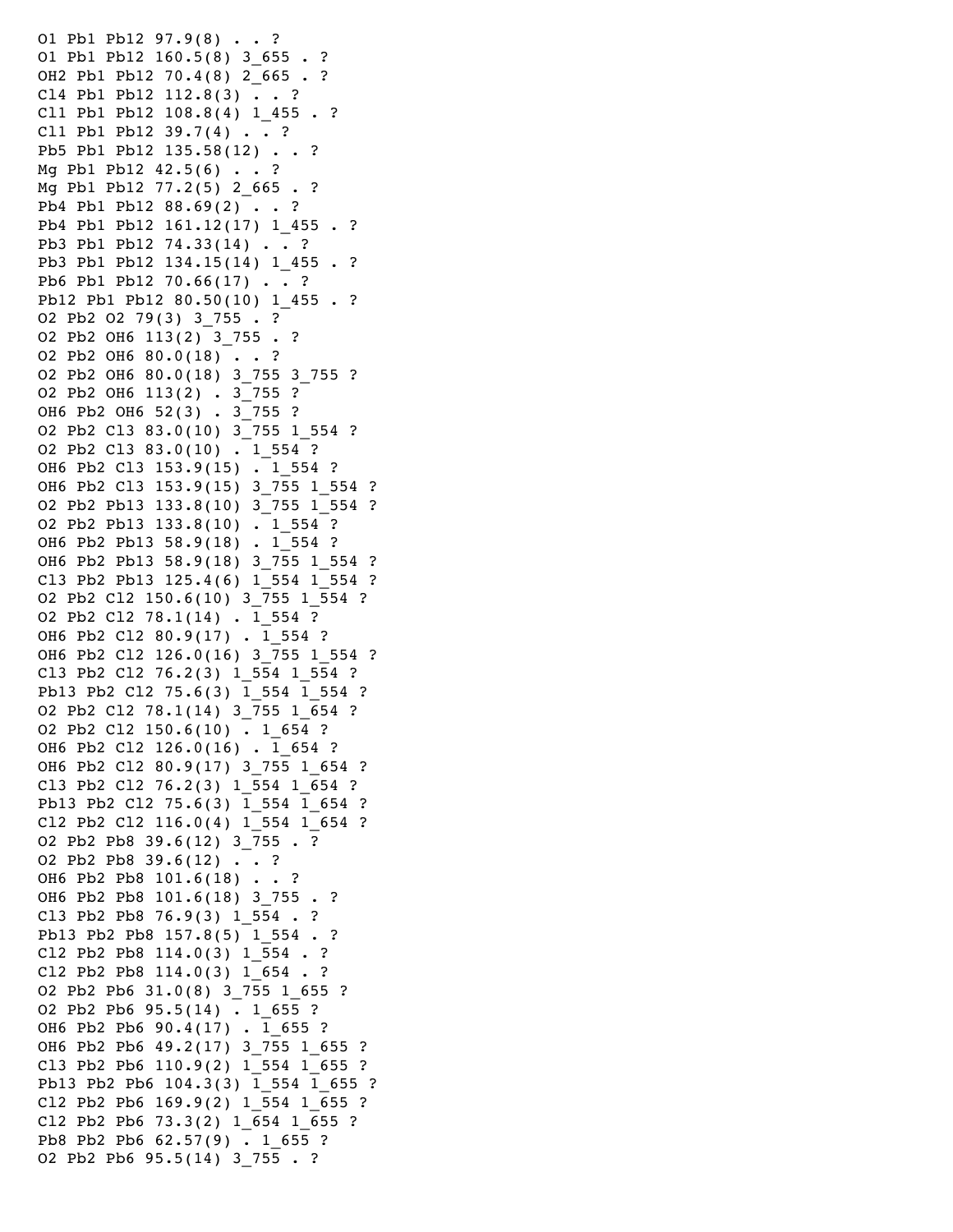O1 Pb1 Pb12 97.9(8) . . ? O1 Pb1 Pb12 160.5(8) 3\_655 . ? OH2 Pb1 Pb12 70.4(8) 2 665 . ? Cl4 Pb1 Pb12 112.8(3) . . ? Cl1 Pb1 Pb12 108.8(4) 1 455 . ? Cl1 Pb1 Pb12 39.7(4) . . ? Pb5 Pb1 Pb12 135.58(12) . . ? Mg Pb1 Pb12 42.5(6) . . ? Mg Pb1 Pb12 77.2(5) 2 665 . ? Pb4 Pb1 Pb12 88.69(2) . . ? Pb4 Pb1 Pb12 161.12(17) 1 455 Pb3 Pb1 Pb12 74.33(14) . . ? Pb3 Pb1 Pb12 134.15(14) 1 455 . ? Pb6 Pb1 Pb12 70.66(17) . . ? Pb12 Pb1 Pb12 80.50(10) 1 455 . ? O2 Pb2 O2 79(3) 3\_755 . ? O2 Pb2 OH6 113(2) 3\_755 . ? O2 Pb2 OH6 80.0(18) . . ? O2 Pb2 OH6 80.0(18) 3\_755 3\_755 ? O2 Pb2 OH6 113(2) . 3\_755 ? OH6 Pb2 OH6 52(3) . 3 755 ? O2 Pb2 Cl3 83.0(10) 3\_755 1\_554 ? O2 Pb2 Cl3 83.0(10) . 1\_554 ? OH6 Pb2 Cl3 153.9(15) . 1\_554 ? OH6 Pb2 Cl3 153.9(15) 3 755 1 554 ? O2 Pb2 Pb13 133.8(10) 3\_755 1\_554 ? O2 Pb2 Pb13 133.8(10) . 1\_554 ? OH6 Pb2 Pb13 58.9(18) . 1\_554 ? OH6 Pb2 Pb13 58.9(18) 3 755 1 554 ? Cl3 Pb2 Pb13 125.4(6) 1\_554 1\_554 ? O2 Pb2 Cl2 150.6(10) 3\_755 1\_554 ? O2 Pb2 Cl2 78.1(14) . 1\_554 ? OH6 Pb2 Cl2 80.9(17) . 1 554 ? OH6 Pb2 Cl2 126.0(16) 3 755 1 554 ? Cl3 Pb2 Cl2 76.2(3) 1\_554 1\_554 ? Pb13 Pb2 Cl2 75.6(3) 1 554 1 554 ? O2 Pb2 Cl2 78.1(14) 3\_755 1\_654 ? O2 Pb2 Cl2 150.6(10) . 1\_654 ? OH6 Pb2 Cl2 126.0(16) . 1 654 ? OH6 Pb2 Cl2 80.9(17) 3 755 1 654 ? Cl3 Pb2 Cl2 76.2(3) 1\_554 1\_654 ? Pb13 Pb2 Cl2 75.6(3) 1\_554 1\_654 ? Cl2 Pb2 Cl2 116.0(4) 1 554 1 654 ? O2 Pb2 Pb8 39.6(12) 3\_755 . ? O2 Pb2 Pb8 39.6(12) . . ? OH6 Pb2 Pb8 101.6(18) . . ? OH6 Pb2 Pb8 101.6(18) 3 755 . ? Cl3 Pb2 Pb8 76.9(3) 1\_554 . ? Pb13 Pb2 Pb8 157.8(5) 1 554 . ? Cl2 Pb2 Pb8 114.0(3) 1\_554 . ? Cl2 Pb2 Pb8 114.0(3) 1\_654 . ? O2 Pb2 Pb6 31.0(8) 3\_755 1\_655 ? O2 Pb2 Pb6 95.5(14) . 1\_655 ? OH6 Pb2 Pb6 90.4(17) . 1 655 ? OH6 Pb2 Pb6 49.2(17) 3 755 1 655 ? Cl3 Pb2 Pb6 110.9(2) 1 554 1 655 ? Pb13 Pb2 Pb6 104.3(3) 1 554 1 655 ? Cl2 Pb2 Pb6 169.9(2) 1\_554 1\_655 ? Cl2 Pb2 Pb6 73.3(2) 1 654 1 655 ? Pb8 Pb2 Pb6 62.57(9) . 1 655 ? O2 Pb2 Pb6 95.5(14) 3 755 . ?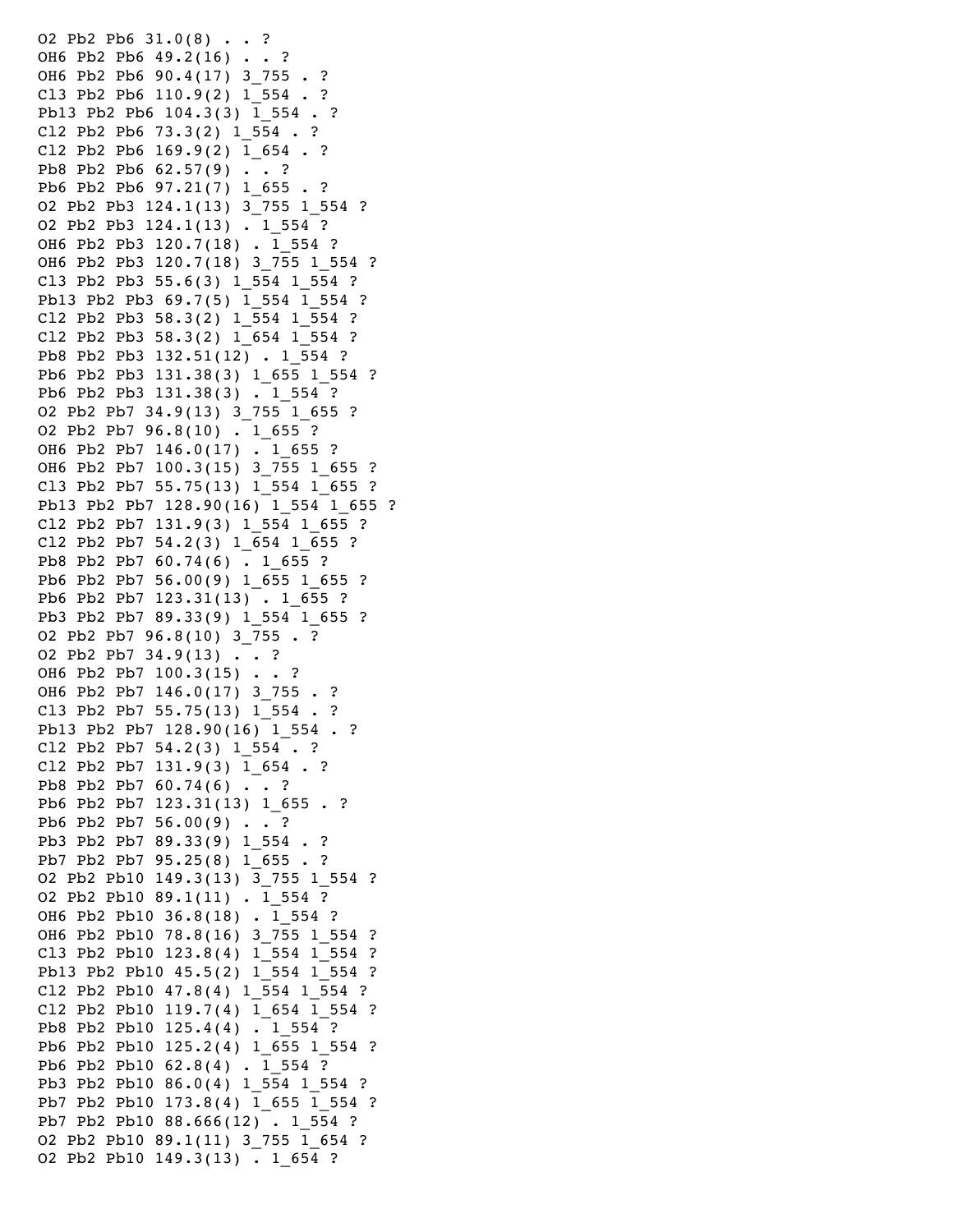O2 Pb2 Pb6 31.0(8) . . ? OH6 Pb2 Pb6 49.2(16) . . ? OH6 Pb2 Pb6 90.4(17) 3 755 . ? Cl3 Pb2 Pb6 110.9(2) 1\_554 . ? Pb13 Pb2 Pb6 104.3(3) 1 554 . ? Cl2 Pb2 Pb6 73.3(2) 1\_554 . ? Cl2 Pb2 Pb6 169.9(2) 1\_654 . ? Pb8 Pb2 Pb6 62.57(9) . . ? Pb6 Pb2 Pb6 97.21(7) 1 655 . ? O2 Pb2 Pb3 124.1(13) 3\_755 1\_554 ? O2 Pb2 Pb3 124.1(13) . 1\_554 ? OH6 Pb2 Pb3 120.7(18) . 1 554 ? OH6 Pb2 Pb3 120.7(18) 3 755 1 554 ? Cl3 Pb2 Pb3 55.6(3) 1\_554 1\_554 ? Pb13 Pb2 Pb3 69.7(5) 1 554 1 554 ? Cl2 Pb2 Pb3 58.3(2) 1\_554 1\_554 ? Cl2 Pb2 Pb3 58.3(2) 1 654 1 554 ? Pb8 Pb2 Pb3 132.51(12) . 1 554 ? Pb6 Pb2 Pb3 131.38(3) 1\_655 1\_554 ? Pb6 Pb2 Pb3 131.38(3) . 1 554 ? O2 Pb2 Pb7 34.9(13) 3\_755 1\_655 ? O2 Pb2 Pb7 96.8(10) . 1 655 ? OH6 Pb2 Pb7 146.0(17) . 1 655 ? OH6 Pb2 Pb7 100.3(15) 3\_755 1\_655 ? Cl3 Pb2 Pb7 55.75(13) 1 554 1 655 ? Pb13 Pb2 Pb7 128.90(16) 1\_554 1\_655 ? Cl2 Pb2 Pb7 131.9(3) 1\_554 1\_655 ? Cl2 Pb2 Pb7 54.2(3) 1 654 1 655 ? Pb8 Pb2 Pb7 60.74(6) . 1 655 ? Pb6 Pb2 Pb7 56.00(9) 1\_655 1\_655 ? Pb6 Pb2 Pb7 123.31(13) . 1 655 ? Pb3 Pb2 Pb7 89.33(9) 1 554 1 655 ? O2 Pb2 Pb7 96.8(10) 3\_755 . ? O2 Pb2 Pb7 34.9(13) . . ? OH6 Pb2 Pb7 100.3(15) . . ? OH6 Pb2 Pb7 146.0(17) 3 755 . ? Cl3 Pb2 Pb7 55.75(13) 1\_554 . ? Pb13 Pb2 Pb7 128.90(16) 1 554 . ? Cl2 Pb2 Pb7 54.2(3) 1\_554 . ? Cl2 Pb2 Pb7 131.9(3) 1\_654 . ? Pb8 Pb2 Pb7 60.74(6) . . ? Pb6 Pb2 Pb7 123.31(13) 1 655 . ? Pb6 Pb2 Pb7 56.00(9) . . ? Pb3 Pb2 Pb7 89.33(9) 1 554 . ? Pb7 Pb2 Pb7 95.25(8) 1 655 . ? O2 Pb2 Pb10 149.3(13) 3\_755 1\_554 ? O2 Pb2 Pb10 89.1(11) . 1\_554 ? OH6 Pb2 Pb10 36.8(18) . 1 554 ? OH6 Pb2 Pb10 78.8(16) 3 755 1 554 ? Cl3 Pb2 Pb10 123.8(4) 1\_554 1\_554 ? Pb13 Pb2 Pb10 45.5(2) 1 554 1 554 ? Cl2 Pb2 Pb10 47.8(4) 1\_554 1\_554 ? Cl2 Pb2 Pb10 119.7(4) 1 654 1 554 ? Pb8 Pb2 Pb10 125.4(4) . 1 554 ? Pb6 Pb2 Pb10 125.2(4) 1 655 1 554 ? Pb6 Pb2 Pb10 62.8(4) . 1 554 ? Pb3 Pb2 Pb10 86.0(4) 1 554 1 554 ? Pb7 Pb2 Pb10 173.8(4) 1 655 1 554 ? Pb7 Pb2 Pb10 88.666(12) . 1 554 ? O2 Pb2 Pb10 89.1(11) 3\_755 1\_654 ? O2 Pb2 Pb10 149.3(13) . 1\_654 ?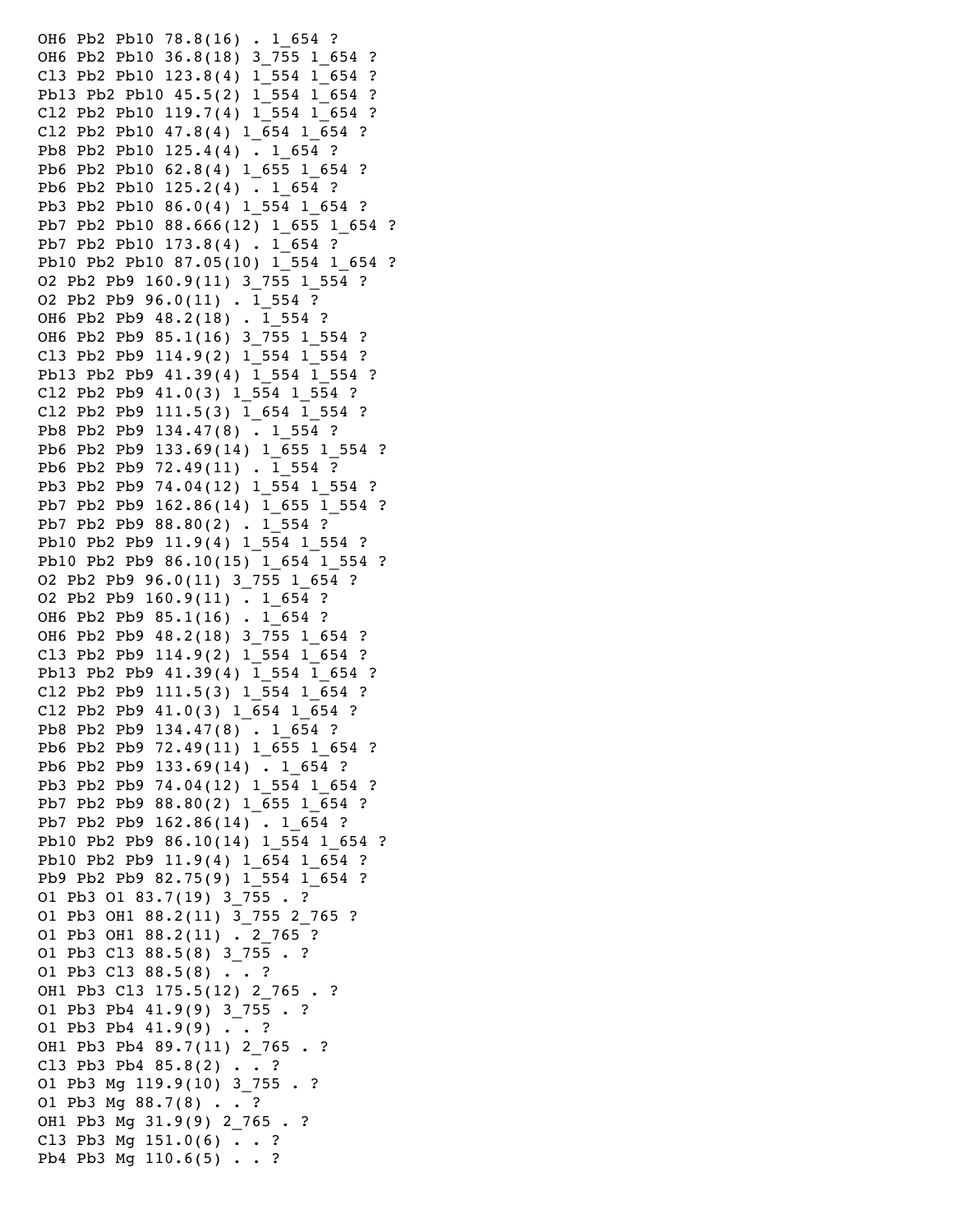OH6 Pb2 Pb10 78.8(16) . 1 654 ? OH6 Pb2 Pb10 36.8(18) 3\_755 1\_654 ? Cl3 Pb2 Pb10 123.8(4) 1 554 1 654 ? Pb13 Pb2 Pb10 45.5(2) 1\_554 1\_654 ? Cl2 Pb2 Pb10 119.7(4) 1 554 1 654 ? Cl2 Pb2 Pb10 47.8(4) 1 654 1 654 ? Pb8 Pb2 Pb10 125.4(4) . 1 654 ? Pb6 Pb2 Pb10 62.8(4) 1\_655 1\_654 ? Pb6 Pb2 Pb10 125.2(4) . 1 654 ? Pb3 Pb2 Pb10 86.0(4) 1 554 1 654 ? Pb7 Pb2 Pb10 88.666(12) 1 655 1 654 ? Pb7 Pb2 Pb10 173.8(4) . 1 654 ? Pb10 Pb2 Pb10 87.05(10) 1 554 1 654 ? O2 Pb2 Pb9 160.9(11) 3\_755 1\_554 ? O2 Pb2 Pb9 96.0(11) . 1\_554 ? OH6 Pb2 Pb9 48.2(18) . 1 554 ? OH6 Pb2 Pb9 85.1(16) 3\_755 1\_554 ? Cl3 Pb2 Pb9 114.9(2) 1 554 1 554 ? Pb13 Pb2 Pb9 41.39(4) 1\_554 1\_554 ? Cl2 Pb2 Pb9 41.0(3) 1 554 1 554 ? Cl2 Pb2 Pb9 111.5(3) 1 654 1 554 ? Pb8 Pb2 Pb9 134.47(8) . 1 554 ? Pb6 Pb2 Pb9 133.69(14) 1 655 1 554 ? Pb6 Pb2 Pb9 72.49(11) . 1\_554 ? Pb3 Pb2 Pb9 74.04(12) 1 554 1 554 ? Pb7 Pb2 Pb9 162.86(14) 1 655 1 554 ? Pb7 Pb2 Pb9 88.80(2) . 1 554 ? Pb10 Pb2 Pb9 11.9(4) 1 554 1 554 ? Pb10 Pb2 Pb9 86.10(15) 1 654 1 554 ? O2 Pb2 Pb9 96.0(11) 3\_755 1\_654 ? O2 Pb2 Pb9 160.9(11) . 1\_654 ? OH6 Pb2 Pb9 85.1(16) . 1 654 ? OH6 Pb2 Pb9 48.2(18) 3 755 1 654 ? Cl3 Pb2 Pb9 114.9(2) 1 554 1 654 ? Pb13 Pb2 Pb9 41.39(4) 1 554 1 654 ? Cl2 Pb2 Pb9 111.5(3) 1 554 1 654 ? Cl2 Pb2 Pb9 41.0(3) 1\_654 1\_654 ? Pb8 Pb2 Pb9 134.47(8) . 1 654 ? Pb6 Pb2 Pb9 72.49(11) 1\_655 1\_654 ? Pb6 Pb2 Pb9 133.69(14) . 1 654 ? Pb3 Pb2 Pb9 74.04(12) 1\_554 1\_654 ? Pb7 Pb2 Pb9 88.80(2) 1\_655 1\_654 ? Pb7 Pb2 Pb9 162.86(14) . 1 654 ? Pb10 Pb2 Pb9 86.10(14) 1 554 1 654 ? Pb10 Pb2 Pb9 11.9(4) 1 654 1 654 ? Pb9 Pb2 Pb9 82.75(9) 1\_554 1\_654 ? O1 Pb3 O1 83.7(19) 3\_755 . ? O1 Pb3 OH1 88.2(11) 3\_755 2\_765 ? O1 Pb3 OH1 88.2(11) . 2\_765 ? O1 Pb3 Cl3 88.5(8) 3\_755 . ? O1 Pb3 Cl3 88.5(8) . . ? OH1 Pb3 Cl3 175.5(12) 2\_765 . ? O1 Pb3 Pb4 41.9(9) 3\_755 . ? O1 Pb3 Pb4 41.9(9) . . ? OH1 Pb3 Pb4 89.7(11) 2 765 . ? Cl3 Pb3 Pb4  $85.8(2)$  . . ? O1 Pb3 Mg 119.9(10) 3\_755 . ? O1 Pb3 Mg 88.7(8) . . ? OH1 Pb3 Mg 31.9(9) 2 765 . ? Cl3 Pb3 Mg  $151.0(6)$  . . ? Pb4 Pb3 Mg 110.6(5) . . ?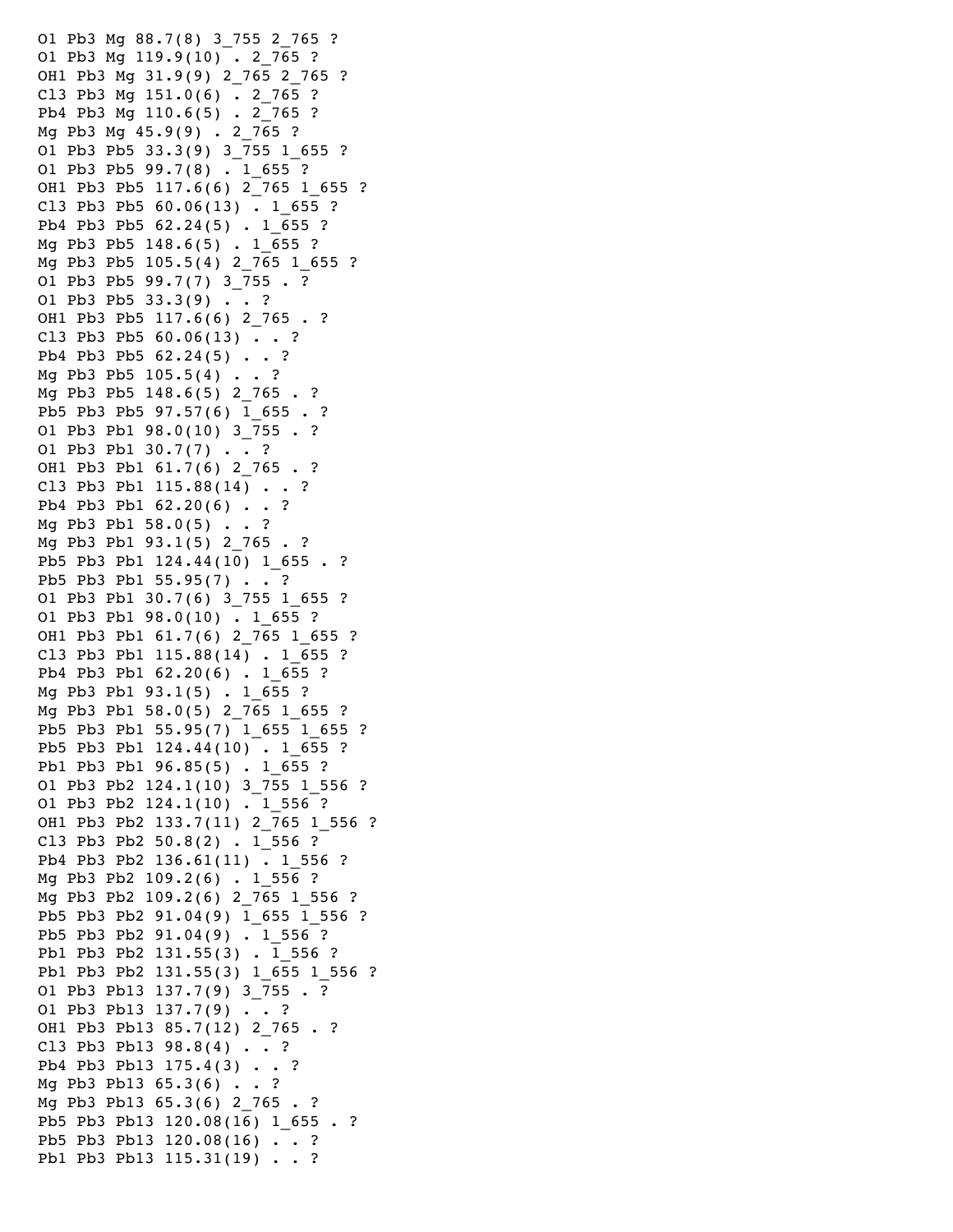O1 Pb3 Mg 88.7(8) 3\_755 2\_765 ? O1 Pb3 Mg 119.9(10) . 2\_765 ? OH1 Pb3 Mg 31.9(9) 2\_765 2\_765 ? Cl3 Pb3 Mg 151.0(6) . 2 765 ? Pb4 Pb3 Mg 110.6(5) . 2 765 ? Mg Pb3 Mg 45.9(9) . 2\_765 ? O1 Pb3 Pb5 33.3(9) 3\_755 1\_655 ? O1 Pb3 Pb5 99.7(8) . 1\_655 ? OH1 Pb3 Pb5 117.6(6) 2\_765 1\_655 ? Cl3 Pb3 Pb5 60.06(13) . 1 655 ? Pb4 Pb3 Pb5 62.24(5) . 1 655 ? Mg Pb3 Pb5 148.6(5) . 1 655 ? Mg Pb3 Pb5 105.5(4) 2 765 1 655 ? O1 Pb3 Pb5 99.7(7) 3\_755 . ? O1 Pb3 Pb5 33.3(9) . . ? OH1 Pb3 Pb5 117.6(6) 2 765 . ? Cl3 Pb3 Pb5 60.06(13) . . ? Pb4 Pb3 Pb5 62.24(5) . . ? Mg Pb3 Pb5 105.5(4) . . ? Mg Pb3 Pb5 148.6(5) 2\_765 . ? Pb5 Pb3 Pb5 97.57(6) 1 655 . ? O1 Pb3 Pb1 98.0(10) 3\_755 . ? O1 Pb3 Pb1 30.7(7) . . ? OH1 Pb3 Pb1 61.7(6) 2 765 . ? Cl3 Pb3 Pb1 115.88(14) . . ? Pb4 Pb3 Pb1 62.20(6) . . ? Mg Pb3 Pb1 58.0(5) . . ? Mg Pb3 Pb1 93.1(5) 2\_765 . ? Pb5 Pb3 Pb1 124.44(10) 1\_655 . ? Pb5 Pb3 Pb1 55.95(7) . . ? O1 Pb3 Pb1 30.7(6) 3\_755 1\_655 ? O1 Pb3 Pb1 98.0(10) . 1\_655 ? OH1 Pb3 Pb1 61.7(6) 2 765 1 655 ? Cl3 Pb3 Pb1 115.88(14) . 1 655 ? Pb4 Pb3 Pb1 62.20(6) . 1 655 ? Mg Pb3 Pb1 93.1(5) . 1 655 ? Mg Pb3 Pb1 58.0(5) 2\_765 1\_655 ? Pb5 Pb3 Pb1 55.95(7) 1 655 1 655 ? Pb5 Pb3 Pb1 124.44(10) . 1\_655 ? Pb1 Pb3 Pb1 96.85(5) . 1 655 ? O1 Pb3 Pb2 124.1(10) 3\_755 1\_556 ? O1 Pb3 Pb2 124.1(10) . 1\_556 ? OH1 Pb3 Pb2 133.7(11) 2 765 1 556 ? Cl3 Pb3 Pb2 50.8(2) . 1\_556 ? Pb4 Pb3 Pb2 136.61(11) . 1 556 ? Mg Pb3 Pb2 109.2(6) . 1 556 ? Mg Pb3 Pb2 109.2(6) 2 765 1 556 ? Pb5 Pb3 Pb2 91.04(9) 1\_655 1\_556 ? Pb5 Pb3 Pb2 91.04(9) . 1 556 ? Pb1 Pb3 Pb2 131.55(3) . 1\_556 ? Pb1 Pb3 Pb2 131.55(3) 1\_655 1\_556 ? O1 Pb3 Pb13 137.7(9) 3\_755 . ? O1 Pb3 Pb13 137.7(9) . . ? OH1 Pb3 Pb13 85.7(12) 2\_765 . ? Cl3 Pb3 Pb13 98.8(4) . . ? Pb4 Pb3 Pb13 175.4(3) . . ? Mg Pb3 Pb13 65.3(6) . . ? Mg Pb3 Pb13 65.3(6) 2 765 . ? Pb5 Pb3 Pb13 120.08(16) 1 655 . ? Pb5 Pb3 Pb13 120.08(16) . . ? Pb1 Pb3 Pb13 115.31(19) . . ?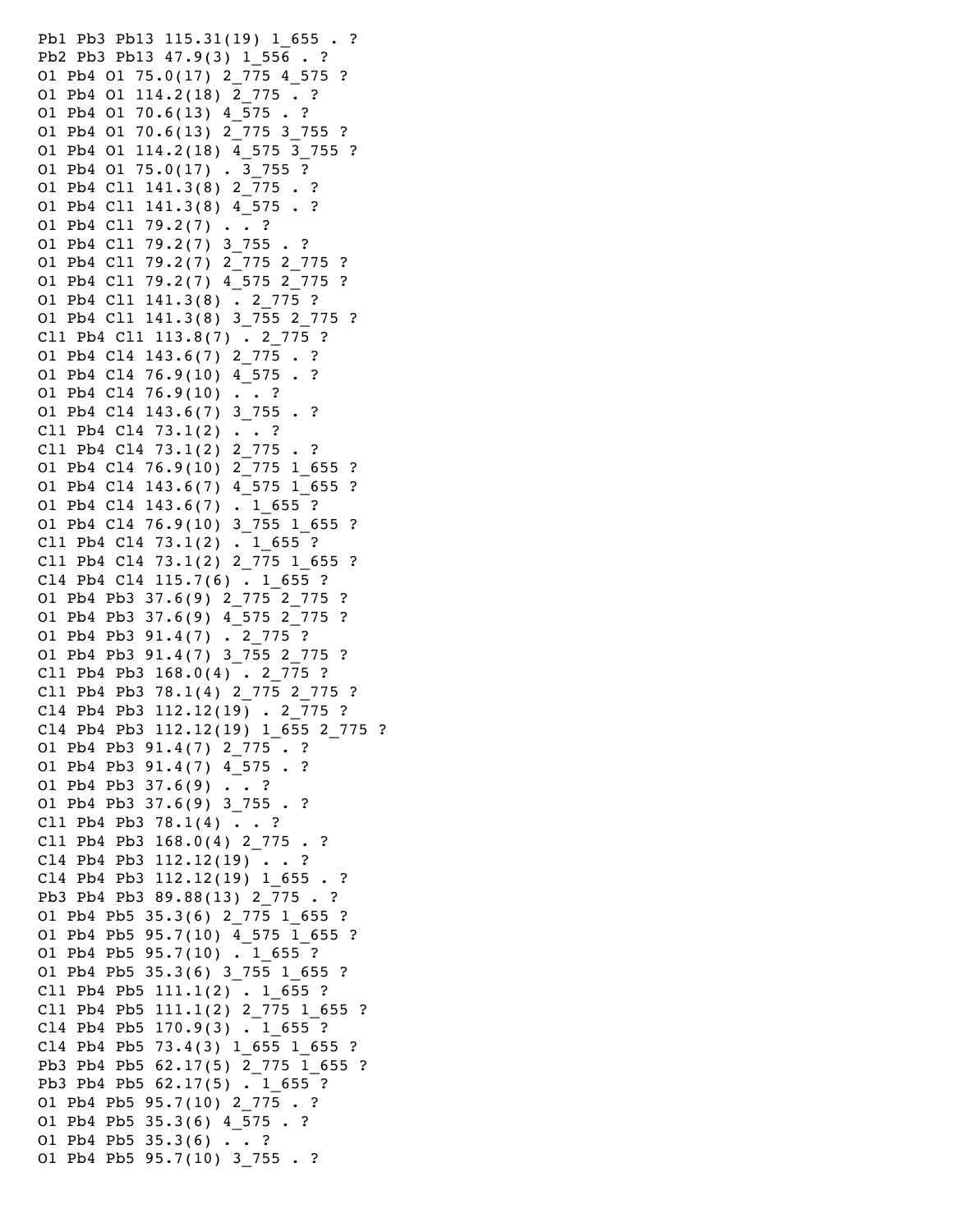Pb1 Pb3 Pb13 115.31(19) 1 655 . ? Pb2 Pb3 Pb13 47.9(3) 1\_556 . ? O1 Pb4 O1 75.0(17) 2\_775 4\_575 ? O1 Pb4 O1 114.2(18) 2\_775 . ? O1 Pb4 O1 70.6(13) 4\_575 . ? O1 Pb4 O1 70.6(13) 2\_775 3\_755 ? O1 Pb4 O1 114.2(18) 4\_575 3\_755 ? O1 Pb4 O1 75.0(17) . 3\_755 ? O1 Pb4 Cl1 141.3(8) 2\_775 . ? O1 Pb4 Cl1 141.3(8) 4\_575 . ? O1 Pb4 Cl1 79.2(7) . . ? O1 Pb4 Cl1 79.2(7) 3\_755 . ? O1 Pb4 Cl1 79.2(7) 2\_775 2\_775 ? O1 Pb4 Cl1 79.2(7) 4\_575 2\_775 ? O1 Pb4 Cl1 141.3(8) . 2\_775 ? O1 Pb4 Cl1 141.3(8) 3\_755 2\_775 ? Cl1 Pb4 Cl1 113.8(7) . 2\_775 ? O1 Pb4 Cl4 143.6(7) 2\_775 . ? O1 Pb4 Cl4 76.9(10) 4\_575 . ? O1 Pb4 Cl4 76.9(10) . . ? O1 Pb4 Cl4 143.6(7) 3\_755 . ? Cl1 Pb4 Cl4 73.1(2) . . ? Cl1 Pb4 Cl4 73.1(2) 2\_775 . ? O1 Pb4 Cl4 76.9(10) 2\_775 1\_655 ? O1 Pb4 Cl4 143.6(7) 4\_575 1\_655 ? O1 Pb4 Cl4 143.6(7) . 1\_655 ? O1 Pb4 Cl4 76.9(10) 3\_755 1\_655 ? Cl1 Pb4 Cl4 73.1(2) . 1\_655 ? Cl1 Pb4 Cl4 73.1(2) 2\_775 1\_655 ? Cl4 Pb4 Cl4 115.7(6) . 1\_655 ? O1 Pb4 Pb3 37.6(9) 2\_775 2\_775 ? O1 Pb4 Pb3 37.6(9) 4\_575 2\_775 ? O1 Pb4 Pb3 91.4(7) . 2\_775 ? O1 Pb4 Pb3 91.4(7) 3\_755 2\_775 ? Cl1 Pb4 Pb3 168.0(4) . 2\_775 ? Cl1 Pb4 Pb3 78.1(4) 2\_775 2\_775 ? Cl4 Pb4 Pb3 112.12(19) . 2\_775 ? Cl4 Pb4 Pb3 112.12(19) 1 655 2 775 ? O1 Pb4 Pb3 91.4(7) 2\_775 . ? O1 Pb4 Pb3 91.4(7) 4\_575 . ? O1 Pb4 Pb3 37.6(9) . . ? O1 Pb4 Pb3 37.6(9) 3\_755 . ? Cl1 Pb4 Pb3 78.1(4) . . ? Cl1 Pb4 Pb3 168.0(4) 2\_775 . ? Cl4 Pb4 Pb3 112.12(19) . . ? Cl4 Pb4 Pb3 112.12(19) 1\_655 . ? Pb3 Pb4 Pb3 89.88(13) 2\_775 . ? O1 Pb4 Pb5 35.3(6) 2\_775 1\_655 ? O1 Pb4 Pb5 95.7(10) 4\_575 1\_655 ? O1 Pb4 Pb5 95.7(10) . 1\_655 ? O1 Pb4 Pb5 35.3(6) 3\_755 1\_655 ? Cl1 Pb4 Pb5 111.1(2) . 1\_655 ? Cl1 Pb4 Pb5 111.1(2) 2\_775 1\_655 ? Cl4 Pb4 Pb5 170.9(3) . 1\_655 ? Cl4 Pb4 Pb5 73.4(3) 1 655 1 655 ? Pb3 Pb4 Pb5 62.17(5) 2\_775 1\_655 ? Pb3 Pb4 Pb5 62.17(5) . 1\_655 ? O1 Pb4 Pb5 95.7(10) 2\_775 . ? O1 Pb4 Pb5 35.3(6) 4\_575 . ? O1 Pb4 Pb5 35.3(6) . . ? O1 Pb4 Pb5 95.7(10) 3\_755 . ?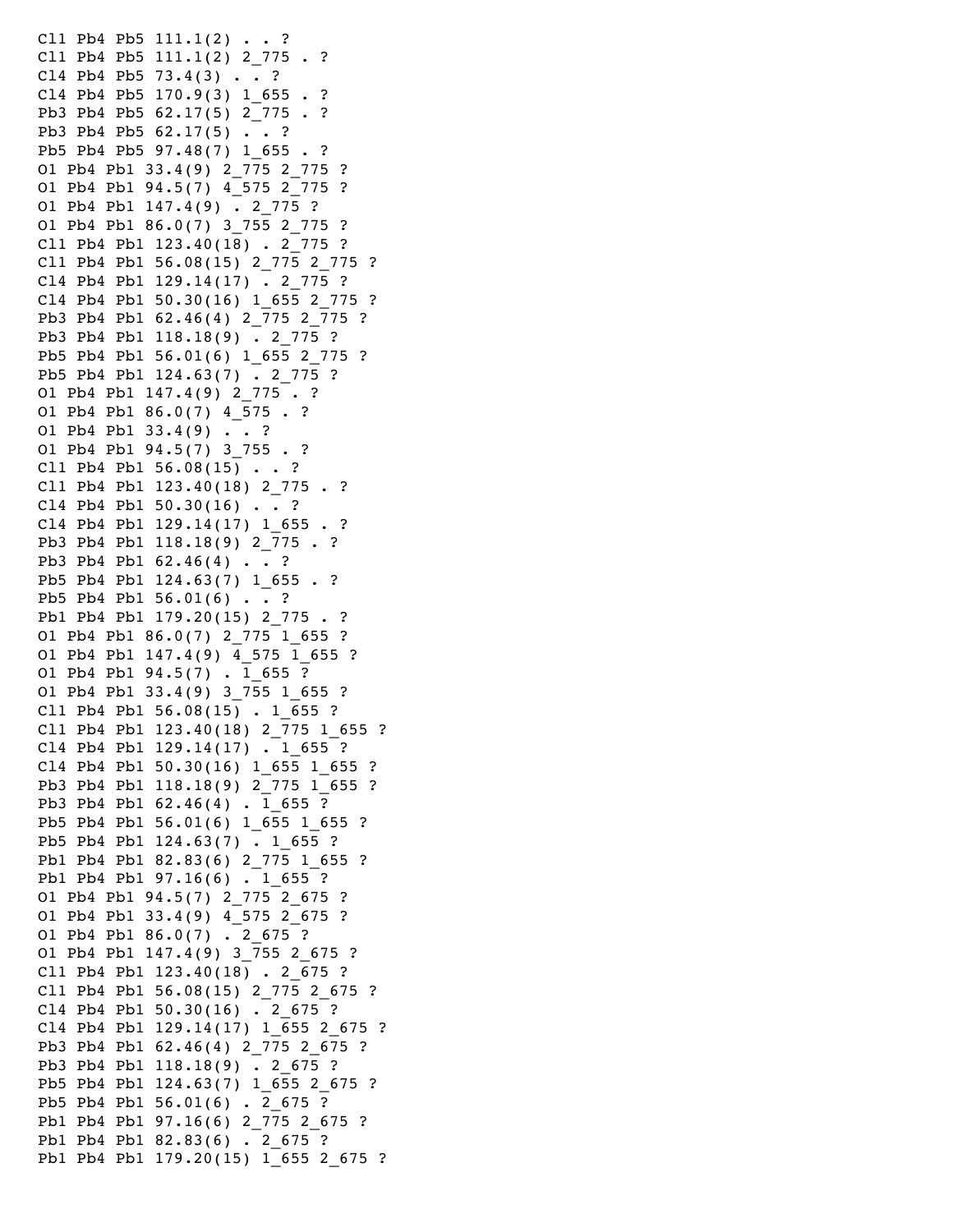Cl1 Pb4 Pb5 111.1(2) . . ? Cl1 Pb4 Pb5 111.1(2) 2\_775 . ? Cl4 Pb4 Pb5  $73.4(3)$ ...? Cl4 Pb4 Pb5 170.9(3) 1\_655 . ? Pb3 Pb4 Pb5 62.17(5) 2 775 . ? Pb3 Pb4 Pb5 62.17(5) . . ? Pb5 Pb4 Pb5 97.48(7) 1 655 . ? O1 Pb4 Pb1 33.4(9) 2\_775 2\_775 ? O1 Pb4 Pb1 94.5(7) 4\_575 2\_775 ? O1 Pb4 Pb1 147.4(9) . 2\_775 ? O1 Pb4 Pb1 86.0(7) 3\_755 2\_775 ? Cl1 Pb4 Pb1 123.40(18) . 2\_775 ? Cl1 Pb4 Pb1 56.08(15) 2\_775 2\_775 ? Cl4 Pb4 Pb1 129.14(17) . 2\_775 ? Cl4 Pb4 Pb1 50.30(16) 1\_655 2\_775 ? Pb3 Pb4 Pb1 62.46(4) 2\_775 2\_775 ? Pb3 Pb4 Pb1 118.18(9) . 2\_775 ? Pb5 Pb4 Pb1 56.01(6) 1 655 2 775 ? Pb5 Pb4 Pb1 124.63(7) . 2\_775 ? O1 Pb4 Pb1 147.4(9) 2\_775 . ? O1 Pb4 Pb1 86.0(7) 4\_575 . ? O1 Pb4 Pb1 33.4(9) . . ? O1 Pb4 Pb1 94.5(7) 3\_755 . ? Cl1 Pb4 Pb1 56.08(15) . . ? Cl1 Pb4 Pb1 123.40(18) 2\_775 . ? Cl4 Pb4 Pb1 50.30(16) . . ? Cl4 Pb4 Pb1 129.14(17) 1 655 . ? Pb3 Pb4 Pb1 118.18(9) 2\_775 . ? Pb3 Pb4 Pb1 62.46(4) . . ? Pb5 Pb4 Pb1 124.63(7) 1\_655 . ? Pb5 Pb4 Pb1 56.01(6) . . ? Pb1 Pb4 Pb1 179.20(15) 2 775 . ? O1 Pb4 Pb1 86.0(7) 2\_775 1\_655 ? O1 Pb4 Pb1 147.4(9) 4 575 1 655 ? O1 Pb4 Pb1 94.5(7) . 1\_655 ? O1 Pb4 Pb1 33.4(9) 3\_755 1\_655 ? Cl1 Pb4 Pb1 56.08(15) . 1\_655 ? Cl1 Pb4 Pb1 123.40(18) 2\_775 1\_655 ? Cl4 Pb4 Pb1 129.14(17) . 1\_655 ? Cl4 Pb4 Pb1 50.30(16) 1 655 1 655 ? Pb3 Pb4 Pb1 118.18(9) 2\_775 1\_655 ? Pb3 Pb4 Pb1 62.46(4) . 1 655 ? Pb5 Pb4 Pb1 56.01(6) 1 655 1 655 ? Pb5 Pb4 Pb1 124.63(7) . 1 655 ? Pb1 Pb4 Pb1 82.83(6) 2\_775 1\_655 ? Pb1 Pb4 Pb1 97.16(6) . 1\_655 ? O1 Pb4 Pb1 94.5(7) 2\_775 2\_675 ? O1 Pb4 Pb1 33.4(9) 4\_575 2\_675 ? O1 Pb4 Pb1 86.0(7) . 2\_675 ? O1 Pb4 Pb1 147.4(9) 3\_755 2\_675 ? Cl1 Pb4 Pb1 123.40(18) . 2\_675 ? Cl1 Pb4 Pb1 56.08(15) 2\_775 2\_675 ? Cl4 Pb4 Pb1 50.30(16) . 2\_675 ? Cl4 Pb4 Pb1 129.14(17) 1 655 2 675 ? Pb3 Pb4 Pb1 62.46(4) 2 775 2 675 ? Pb3 Pb4 Pb1 118.18(9) . 2\_675 ? Pb5 Pb4 Pb1 124.63(7) 1 655 2 675 ? Pb5 Pb4 Pb1 56.01(6) . 2 675 ? Pb1 Pb4 Pb1 97.16(6) 2\_775 2\_675 ? Pb1 Pb4 Pb1 82.83(6) . 2\_675 ? Pb1 Pb4 Pb1 179.20(15) 1\_655 2\_675 ?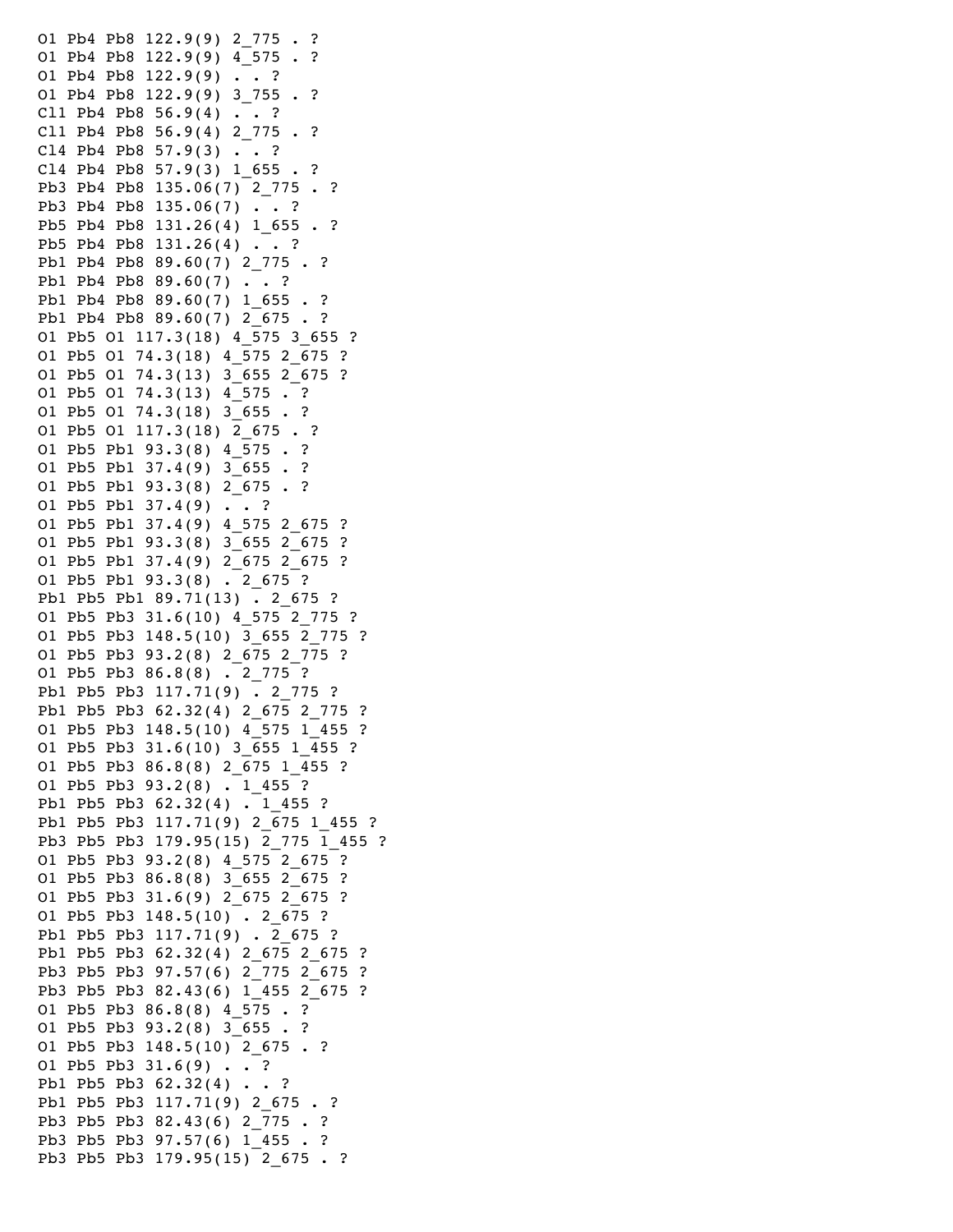O1 Pb4 Pb8 122.9(9) 2\_775 . ? O1 Pb4 Pb8 122.9(9) 4\_575 . ? O1 Pb4 Pb8 122.9(9) . . ? O1 Pb4 Pb8 122.9(9) 3\_755 . ? Cl1 Pb4 Pb8  $56.9(4)$ ...? Cl1 Pb4 Pb8 56.9(4) 2\_775 . ? Cl4 Pb4 Pb8  $57.9(3)$ ...? Cl4 Pb4 Pb8 57.9(3) 1\_655 . ? Pb3 Pb4 Pb8 135.06(7) 2\_775 . ? Pb3 Pb4 Pb8 135.06(7) . . ? Pb5 Pb4 Pb8 131.26(4) 1 655 . ? Pb5 Pb4 Pb8 131.26(4) . . ? Pb1 Pb4 Pb8 89.60(7) 2\_775 . ? Pb1 Pb4 Pb8 89.60(7) . . ? Pb1 Pb4 Pb8 89.60(7) 1 655 . ? Pb1 Pb4 Pb8 89.60(7) 2\_675 . ? O1 Pb5 O1 117.3(18) 4\_575 3\_655 ? O1 Pb5 O1 74.3(18) 4 575 2 675 ? O1 Pb5 O1 74.3(13) 3\_655 2\_675 ? O1 Pb5 O1 74.3(13) 4\_575 . ? O1 Pb5 O1 74.3(18) 3 655 . ? O1 Pb5 O1 117.3(18) 2\_675 . ? O1 Pb5 Pb1 93.3(8) 4\_575 . ? O1 Pb5 Pb1 37.4(9) 3\_655 . ? O1 Pb5 Pb1 93.3(8) 2\_675 . ? O1 Pb5 Pb1 37.4(9) . . ? O1 Pb5 Pb1 37.4(9) 4\_575 2\_675 ? O1 Pb5 Pb1 93.3(8) 3\_655 2\_675 ? O1 Pb5 Pb1 37.4(9) 2\_675 2\_675 ? O1 Pb5 Pb1 93.3(8) . 2\_675 ? Pb1 Pb5 Pb1 89.71(13) . 2 675 ? O1 Pb5 Pb3 31.6(10) 4\_575 2\_775 ? O1 Pb5 Pb3 148.5(10) 3\_655 2\_775 ? O1 Pb5 Pb3 93.2(8) 2\_675 2\_775 ? O1 Pb5 Pb3 86.8(8) . 2\_775 ? Pb1 Pb5 Pb3 117.71(9) . 2 775 ? Pb1 Pb5 Pb3 62.32(4) 2\_675 2\_775 ? O1 Pb5 Pb3 148.5(10) 4\_575 1\_455 ? O1 Pb5 Pb3 31.6(10) 3\_655 1\_455 ? O1 Pb5 Pb3 86.8(8) 2\_675 1\_455 ? O1 Pb5 Pb3 93.2(8) . 1\_455 ? Pb1 Pb5 Pb3 62.32(4) . 1\_455 ? Pb1 Pb5 Pb3 117.71(9) 2 675 1 455 ? Pb3 Pb5 Pb3 179.95(15) 2 775 1 455 ? O1 Pb5 Pb3 93.2(8) 4\_575 2\_675 ? O1 Pb5 Pb3 86.8(8) 3\_655 2\_675 ? O1 Pb5 Pb3 31.6(9) 2\_675 2\_675 ? O1 Pb5 Pb3 148.5(10) . 2\_675 ? Pb1 Pb5 Pb3 117.71(9) . 2 675 ? Pb1 Pb5 Pb3 62.32(4) 2\_675 2\_675 ? Pb3 Pb5 Pb3 97.57(6) 2 775 2 675 ? Pb3 Pb5 Pb3 82.43(6) 1\_455 2\_675 ? O1 Pb5 Pb3 86.8(8) 4\_575 . ? O1 Pb5 Pb3 93.2(8) 3 655 . ? O1 Pb5 Pb3 148.5(10) 2\_675 . ? O1 Pb5 Pb3 31.6(9) . . ? Pb1 Pb5 Pb3 62.32(4) . . ? Pb1 Pb5 Pb3 117.71(9) 2 675 . ? Pb3 Pb5 Pb3 82.43(6) 2\_775 . ? Pb3 Pb5 Pb3 97.57(6) 1 455 . ? Pb3 Pb5 Pb3 179.95(15) 2 675 . ?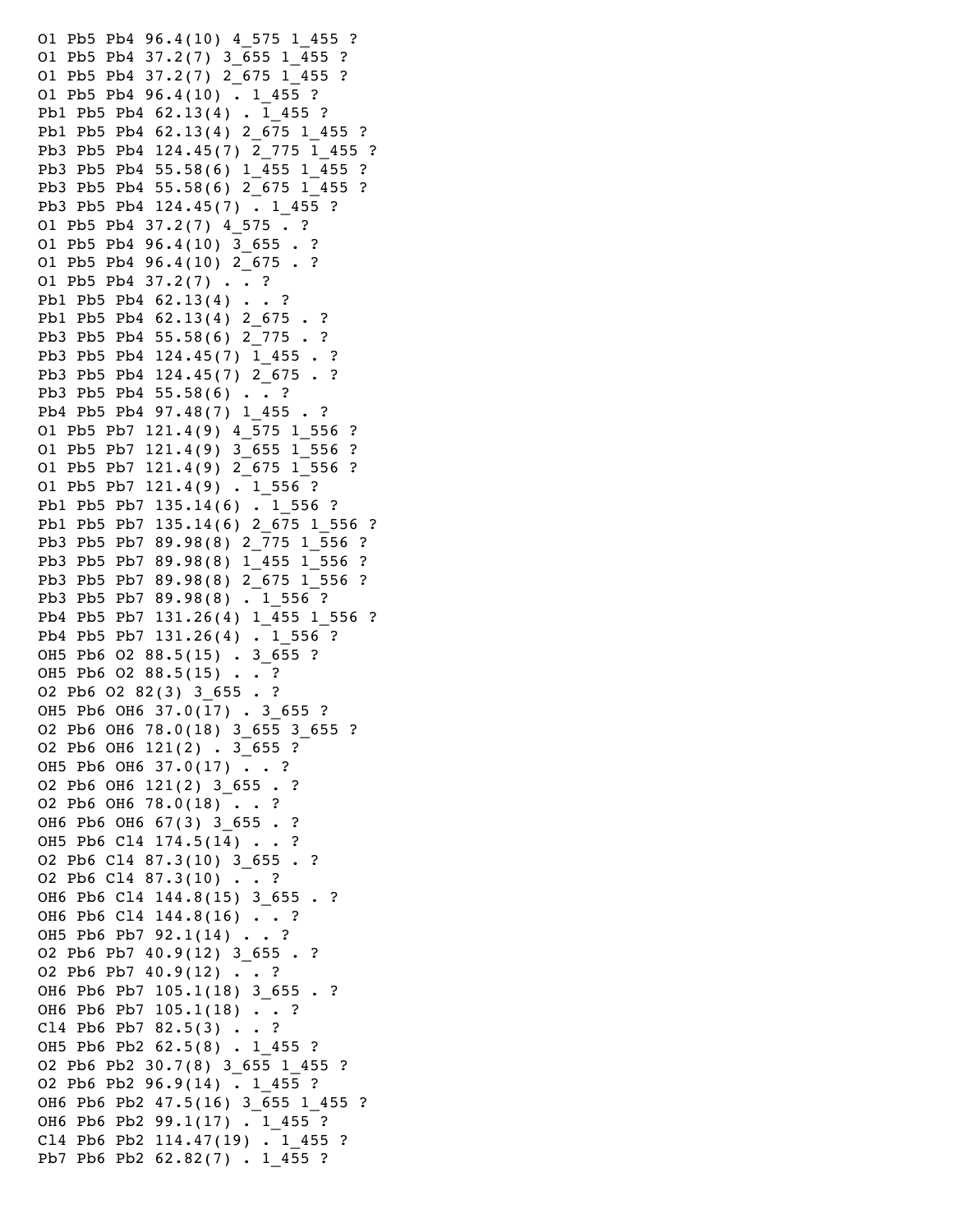```
O1 Pb5 Pb4 96.4(10) 4_575 1_455 ?
O1 Pb5 Pb4 37.2(7) 3_655 1_455 ?
O1 Pb5 Pb4 37.2(7) 2_675 1_455 ?
O1 Pb5 Pb4 96.4(10) . 1_455 ?
Pb1 Pb5 Pb4 62.13(4) . 1 455 ?
Pb1 Pb5 Pb4 62.13(4) 2 675 1 455 ?
Pb3 Pb5 Pb4 124.45(7) 2 775 1 455 ?
Pb3 Pb5 Pb4 55.58(6) 1_455 1_455 ?
Pb3 Pb5 Pb4 55.58(6) 2_675 1_455 ?
Pb3 Pb5 Pb4 124.45(7) . 1 455 ?
O1 Pb5 Pb4 37.2(7) 4_575 . ?
O1 Pb5 Pb4 96.4(10) 3 655 . ?
O1 Pb5 Pb4 96.4(10) 2 675 . ?
O1 Pb5 Pb4 37.2(7) . . ?
Pb1 Pb5 Pb4 62.13(4) . . ?
Pb1 Pb5 Pb4 62.13(4) 2_675 . ?
Pb3 Pb5 Pb4 55.58(6) 2_775 . ?
Pb3 Pb5 Pb4 124.45(7) 1 455 . ?
Pb3 Pb5 Pb4 124.45(7) 2_675 . ?
Pb3 Pb5 Pb4 55.58(6) . . ?
Pb4 Pb5 Pb4 97.48(7) 1 455 . ?
O1 Pb5 Pb7 121.4(9) 4_575 1_556 ?
O1 Pb5 Pb7 121.4(9) 3_655 1_556 ?
O1 Pb5 Pb7 121.4(9) 2_675 1_556 ?
O1 Pb5 Pb7 121.4(9) . 1_556 ?
Pb1 Pb5 Pb7 135.14(6) . 1 556 ?
Pb1 Pb5 Pb7 135.14(6) 2 675 1 556 ?
Pb3 Pb5 Pb7 89.98(8) 2_775 1_556 ?
Pb3 Pb5 Pb7 89.98(8) 1 455 1 556 ?
Pb3 Pb5 Pb7 89.98(8) 2_675 1_556 ?
Pb3 Pb5 Pb7 89.98(8) . 1 556 ?
Pb4 Pb5 Pb7 131.26(4) 1 455 1 556 ?
Pb4 Pb5 Pb7 131.26(4) . 1 556 ?
OH5 Pb6 O2 88.5(15) . 3 655 ?
OH5 Pb6 O2 88.5(15) . . ?
O2 Pb6 O2 82(3) 3 655 . ?
OH5 Pb6 OH6 37.0(17) . 3 655 ?
O2 Pb6 OH6 78.0(18) 3 655 3 655 ?
O2 Pb6 OH6 121(2) . 3_655 ?
OH5 Pb6 OH6 37.0(17) . . ?
O2 Pb6 OH6 121(2) 3_655 . ?
O2 Pb6 OH6 78.0(18) . . ?
OH6 Pb6 OH6 67(3) 3 655 . ?
OH5 Pb6 Cl4 174.5(14) . . ?
O2 Pb6 Cl4 87.3(10) 3_655 . ?
O2 Pb6 Cl4 87.3(10) . . ?
OH6 Pb6 Cl4 144.8(15) 3 655 . ?
OH6 Pb6 Cl4 144.8(16) . . ?
OH5 Pb6 Pb7 92.1(14) . . ?
O2 Pb6 Pb7 40.9(12) 3 655 . ?
O2 Pb6 Pb7 40.9(12) . . ?
OH6 Pb6 Pb7 105.1(18) 3 655 . ?
OH6 Pb6 Pb7 105.1(18) . .
Cl4 Pb6 Pb7 82.5(3) . . ?
OH5 Pb6 Pb2 62.5(8) . 1 455 ?
O2 Pb6 Pb2 30.7(8) 3_655 1_455 ?
O2 Pb6 Pb2 96.9(14) . 1_455 ?
OH6 Pb6 Pb2 47.5(16) 3 655 1 455 ?
OH6 Pb6 Pb2 99.1(17) . 1 455 ?
Cl4 Pb6 Pb2 114.47(19) . 1_455 ?
Pb7 Pb6 Pb2 62.82(7) . 1 455 ?
```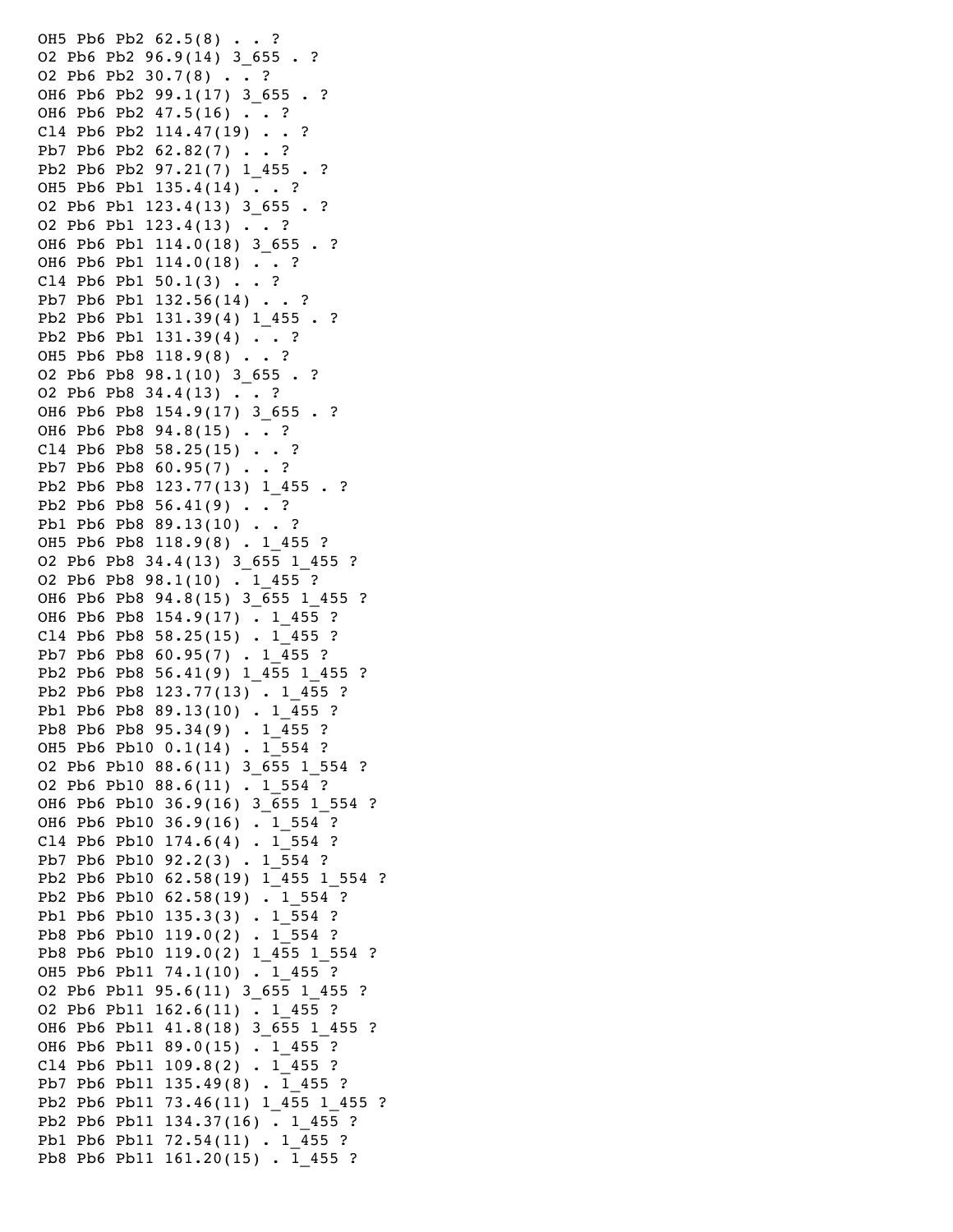OH5 Pb6 Pb2 62.5(8) . . ? O2 Pb6 Pb2 96.9(14) 3\_655 . ? O2 Pb6 Pb2 30.7(8) . . ? OH6 Pb6 Pb2 99.1(17) 3 655 . ? OH6 Pb6 Pb2 47.5(16) . . ? Cl4 Pb6 Pb2 114.47(19) . . ? Pb7 Pb6 Pb2 62.82(7) . . ? Pb2 Pb6 Pb2 97.21(7) 1\_455 . ? OH5 Pb6 Pb1 135.4(14) . . ? O2 Pb6 Pb1 123.4(13) 3\_655 . ? O2 Pb6 Pb1 123.4(13) . . ? OH6 Pb6 Pb1 114.0(18) 3 655 . ? OH6 Pb6 Pb1 114.0(18) . . ? Cl4 Pb6 Pb1 50.1(3) . . ? Pb7 Pb6 Pb1 132.56(14) . . ? Pb2 Pb6 Pb1 131.39(4) 1\_455 . ? Pb2 Pb6 Pb1 131.39(4) . . ? OH5 Pb6 Pb8 118.9(8) . . ? O2 Pb6 Pb8 98.1(10) 3\_655 . ? O2 Pb6 Pb8 34.4(13) . . ? OH6 Pb6 Pb8 154.9(17) 3 655 . ? OH6 Pb6 Pb8 94.8(15) . . ? Cl4 Pb6 Pb8 58.25(15) . . ? Pb7 Pb6 Pb8 60.95(7) . . ? Pb2 Pb6 Pb8 123.77(13) 1 455 . ? Pb2 Pb6 Pb8 56.41(9) . . ? Pb1 Pb6 Pb8 89.13(10) . . ? OH5 Pb6 Pb8 118.9(8) . 1\_455 ? O2 Pb6 Pb8 34.4(13) 3 655 1 455 O2 Pb6 Pb8 98.1(10) . 1\_455 ? OH6 Pb6 Pb8 94.8(15) 3 655 1 455 ? OH6 Pb6 Pb8 154.9(17) . 1 455 ? Cl4 Pb6 Pb8 58.25(15) . 1\_455 ? Pb7 Pb6 Pb8 60.95(7) . 1 455 ? Pb2 Pb6 Pb8 56.41(9) 1\_455 1\_455 ? Pb2 Pb6 Pb8 123.77(13) . 1 455 ? Pb1 Pb6 Pb8 89.13(10) . 1\_455 ? Pb8 Pb6 Pb8 95.34(9) . 1 455 ? OH5 Pb6 Pb10 0.1(14) . 1 554 ? O2 Pb6 Pb10 88.6(11) 3 655 1 554 ? O2 Pb6 Pb10 88.6(11) . 1\_554 ? OH6 Pb6 Pb10 36.9(16) 3 655 1 554 ? OH6 Pb6 Pb10 36.9(16) . 1 554 ? Cl4 Pb6 Pb10 174.6(4) . 1\_554 ? Pb7 Pb6 Pb10 92.2(3) . 1 554 ? Pb2 Pb6 Pb10 62.58(19) 1\_455 1\_554 ? Pb2 Pb6 Pb10 62.58(19) . 1\_554 ? Pb1 Pb6 Pb10 135.3(3) . 1 554 ? Pb8 Pb6 Pb10 119.0(2) . 1\_554 ? Pb8 Pb6 Pb10 119.0(2) 1\_455 1\_554 ? OH5 Pb6 Pb11 74.1(10) . 1 455 ? O2 Pb6 Pb11 95.6(11) 3\_655 1\_455 ? O2 Pb6 Pb11 162.6(11) . 1\_455 ? OH6 Pb6 Pb11 41.8(18) 3 655 1 455 ? OH6 Pb6 Pb11 89.0(15) . 1 455 ? Cl4 Pb6 Pb11 109.8(2) . 1\_455 ? Pb7 Pb6 Pb11 135.49(8) . 1 455 ? Pb2 Pb6 Pb11 73.46(11) 1 455 1 455 ? Pb2 Pb6 Pb11 134.37(16) . 1 455 ? Pb1 Pb6 Pb11 72.54(11) . 1 455 ? Pb8 Pb6 Pb11 161.20(15) . 1 455 ?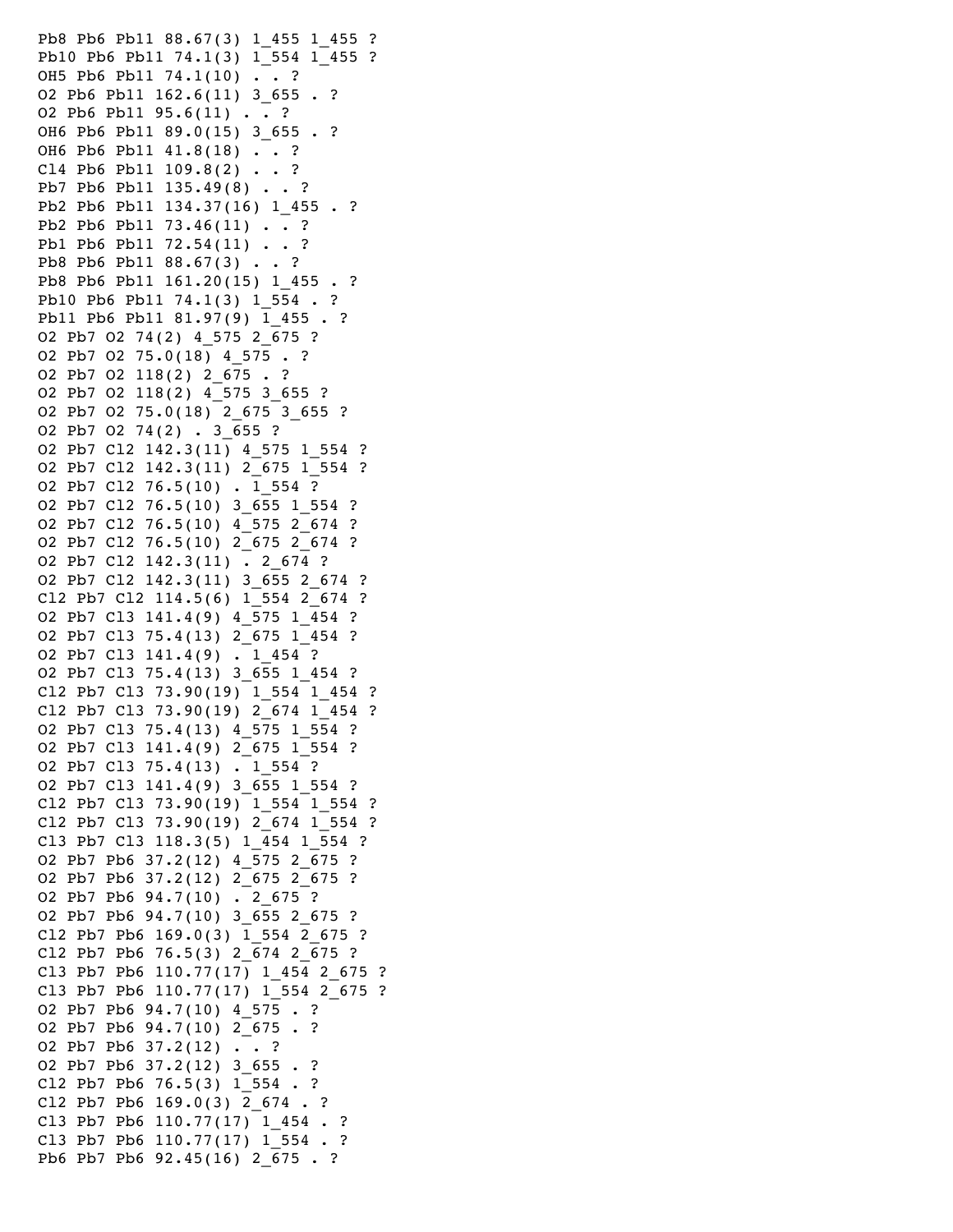Pb8 Pb6 Pb11 88.67(3) 1 455 1 455 ? Pb10 Pb6 Pb11 74.1(3) 1\_554 1\_455 ? OH5 Pb6 Pb11 74.1(10) . . ? O2 Pb6 Pb11 162.6(11) 3\_655 . ? O2 Pb6 Pb11 95.6(11) . . ? OH6 Pb6 Pb11 89.0(15) 3 655 . ? OH6 Pb6 Pb11 41.8(18) . . ? Cl4 Pb6 Pb11 109.8(2) . . ? Pb7 Pb6 Pb11 135.49(8) . . ? Pb2 Pb6 Pb11 134.37(16) 1 455 . ? Pb2 Pb6 Pb11 73.46(11) . . ? Pb1 Pb6 Pb11 72.54(11) . . ? Pb8 Pb6 Pb11 88.67(3) . . ? Pb8 Pb6 Pb11 161.20(15) 1 455 . ? Pb10 Pb6 Pb11 74.1(3) 1 554 . ? Pb11 Pb6 Pb11 81.97(9) 1 455 . ? O2 Pb7 O2 74(2) 4\_575 2\_675 ? O2 Pb7 O2 75.0(18) 4 575 . ? O2 Pb7 O2 118(2) 2\_675 . ? O2 Pb7 O2 118(2) 4\_575 3\_655 ? O2 Pb7 O2 75.0(18) 2 675 3 655 ? O2 Pb7 O2 74(2) . 3\_655 ? O2 Pb7 Cl2 142.3(11) 4\_575 1\_554 ? O2 Pb7 Cl2 142.3(11) 2\_675 1\_554 ? O2 Pb7 Cl2 76.5(10) . 1\_554 ? O2 Pb7 Cl2 76.5(10) 3\_655 1\_554 ? O2 Pb7 Cl2 76.5(10) 4\_575 2\_674 ? O2 Pb7 Cl2 76.5(10) 2\_675 2\_674 ? O2 Pb7 Cl2 142.3(11) . 2\_674 ? O2 Pb7 Cl2 142.3(11) 3\_655 2\_674 ? Cl2 Pb7 Cl2 114.5(6) 1 554 2 674 ? O2 Pb7 Cl3 141.4(9) 4\_575 1\_454 ? O2 Pb7 Cl3 75.4(13) 2\_675 1\_454 ? O2 Pb7 Cl3 141.4(9) . 1\_454 ? O2 Pb7 Cl3 75.4(13) 3\_655 1\_454 ? Cl2 Pb7 Cl3 73.90(19) 1\_554 1\_454 ? Cl2 Pb7 Cl3 73.90(19) 2\_674 1\_454 ? O2 Pb7 Cl3 75.4(13) 4\_575 1\_554 ? O2 Pb7 Cl3 141.4(9) 2\_675 1\_554 ? O2 Pb7 Cl3 75.4(13) . 1\_554 ? O2 Pb7 Cl3 141.4(9) 3\_655 1\_554 ? Cl2 Pb7 Cl3 73.90(19) 1 554 1 554 ? Cl2 Pb7 Cl3 73.90(19) 2\_674 1\_554 ? Cl3 Pb7 Cl3 118.3(5) 1\_454 1\_554 ? O2 Pb7 Pb6 37.2(12) 4\_575 2\_675 ? O2 Pb7 Pb6 37.2(12) 2\_675 2\_675 ? O2 Pb7 Pb6 94.7(10) . 2\_675 ? O2 Pb7 Pb6 94.7(10) 3\_655 2\_675 ? Cl2 Pb7 Pb6 169.0(3) 1\_554 2\_675 ? Cl2 Pb7 Pb6 76.5(3) 2\_674 2\_675 ? Cl3 Pb7 Pb6 110.77(17) 1\_454 2\_675 ? Cl3 Pb7 Pb6 110.77(17) 1\_554 2\_675 ? O2 Pb7 Pb6 94.7(10) 4\_575 . ? O2 Pb7 Pb6 94.7(10) 2 675 . ? O2 Pb7 Pb6 37.2(12) . . ? O2 Pb7 Pb6 37.2(12) 3\_655 . ? Cl2 Pb7 Pb6 76.5(3) 1\_554 . ? Cl2 Pb7 Pb6 169.0(3) 2\_674 . ? Cl3 Pb7 Pb6 110.77(17) 1\_454 . ? Cl3 Pb7 Pb6 110.77(17) 1\_554 . ? Pb6 Pb7 Pb6 92.45(16) 2 675 . ?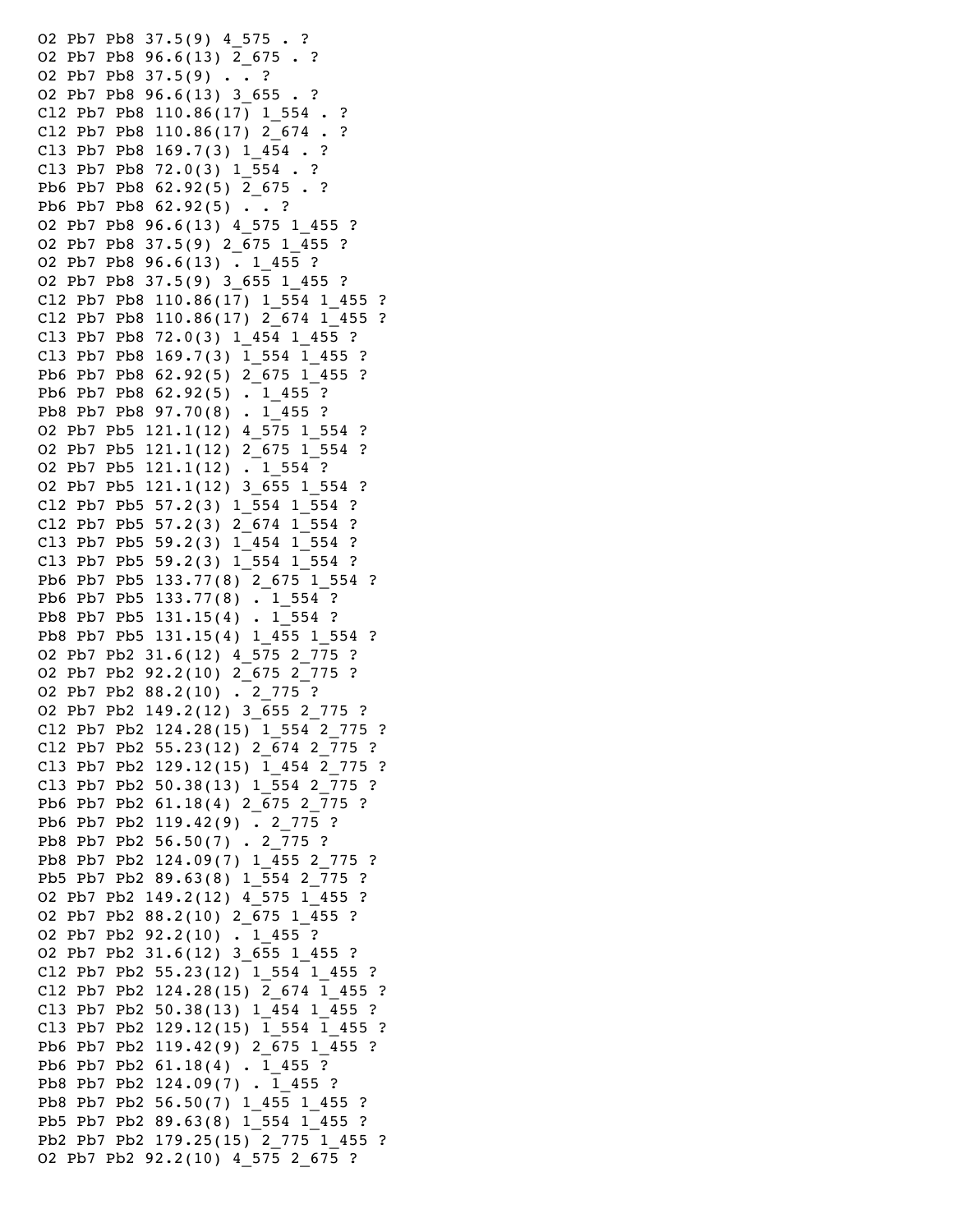O2 Pb7 Pb8 37.5(9) 4\_575 . ? O2 Pb7 Pb8 96.6(13) 2\_675 . ? O2 Pb7 Pb8 37.5(9) . . ? O2 Pb7 Pb8 96.6(13) 3 655 . ? Cl2 Pb7 Pb8 110.86(17) 1\_554 . ? Cl2 Pb7 Pb8 110.86(17) 2\_674 . ? Cl3 Pb7 Pb8 169.7(3) 1\_454 . ? Cl3 Pb7 Pb8 72.0(3) 1\_554 . ? Pb6 Pb7 Pb8 62.92(5) 2\_675 . ? Pb6 Pb7 Pb8 62.92(5) . . ? O2 Pb7 Pb8 96.6(13) 4\_575 1\_455 ? O2 Pb7 Pb8 37.5(9) 2\_675 1\_455 ? O2 Pb7 Pb8 96.6(13) . 1\_455 ? O2 Pb7 Pb8 37.5(9) 3\_655 1\_455 ? Cl2 Pb7 Pb8 110.86(17) 1 554 1 455 ? Cl2 Pb7 Pb8 110.86(17) 2\_674 1\_455 ? Cl3 Pb7 Pb8 72.0(3) 1\_454 1\_455 ? Cl3 Pb7 Pb8 169.7(3) 1\_554 1\_455 ? Pb6 Pb7 Pb8 62.92(5) 2\_675 1\_455 ? Pb6 Pb7 Pb8 62.92(5) . 1 455 ? Pb8 Pb7 Pb8 97.70(8) . 1 455 ? O2 Pb7 Pb5 121.1(12) 4\_575 1\_554 ? O2 Pb7 Pb5 121.1(12) 2\_675 1\_554 ? O2 Pb7 Pb5 121.1(12) . 1\_554 ? O2 Pb7 Pb5 121.1(12) 3\_655 1\_554 ? Cl2 Pb7 Pb5 57.2(3) 1\_554 1\_554 ? Cl2 Pb7 Pb5 57.2(3) 2\_674 1\_554 ? Cl3 Pb7 Pb5 59.2(3) 1\_454 1\_554 ? Cl3 Pb7 Pb5 59.2(3) 1\_554 1\_554 ? Pb6 Pb7 Pb5 133.77(8) 2\_675 1\_554 ? Pb6 Pb7 Pb5 133.77(8) . 1\_554 ? Pb8 Pb7 Pb5 131.15(4) . 1 554 ? Pb8 Pb7 Pb5 131.15(4) 1 455 1 554 ? O2 Pb7 Pb2 31.6(12) 4\_575 2\_775 ? O2 Pb7 Pb2 92.2(10) 2\_675 2\_775 ? O2 Pb7 Pb2 88.2(10) . 2\_775 ? O2 Pb7 Pb2 149.2(12) 3\_655 2\_775 ? Cl2 Pb7 Pb2 124.28(15) 1\_554 2\_775 ? Cl2 Pb7 Pb2 55.23(12) 2\_674 2\_775 ? Cl3 Pb7 Pb2 129.12(15) 1\_454 2\_775 ? Cl3 Pb7 Pb2 50.38(13) 1\_554 2\_775 ? Pb6 Pb7 Pb2 61.18(4) 2\_675 2\_775 ? Pb6 Pb7 Pb2 119.42(9) . 2 775 ? Pb8 Pb7 Pb2 56.50(7) . 2 775 ? Pb8 Pb7 Pb2 124.09(7) 1 455 2 775 ? Pb5 Pb7 Pb2 89.63(8) 1 554 2 775 ? O2 Pb7 Pb2 149.2(12) 4\_575 1\_455 ? O2 Pb7 Pb2 88.2(10) 2\_675 1\_455 ? O2 Pb7 Pb2 92.2(10) . 1\_455 ? O2 Pb7 Pb2 31.6(12) 3\_655 1\_455 ? Cl2 Pb7 Pb2 55.23(12) 1\_554 1\_455 ? Cl2 Pb7 Pb2 124.28(15) 2\_674 1\_455 ? Cl3 Pb7 Pb2 50.38(13) 1\_454 1\_455 ? Cl3 Pb7 Pb2 129.12(15) 1 554 1 455 ? Pb6 Pb7 Pb2 119.42(9) 2 675 1 455 ? Pb6 Pb7 Pb2 61.18(4) . 1 455 ? Pb8 Pb7 Pb2 124.09(7) . 1\_455 ? Pb8 Pb7 Pb2 56.50(7) 1 455 1 455 ? Pb5 Pb7 Pb2 89.63(8) 1\_554 1\_455 ? Pb2 Pb7 Pb2 179.25(15) 2 775 1 455 ? O2 Pb7 Pb2 92.2(10) 4\_575 2\_675 ?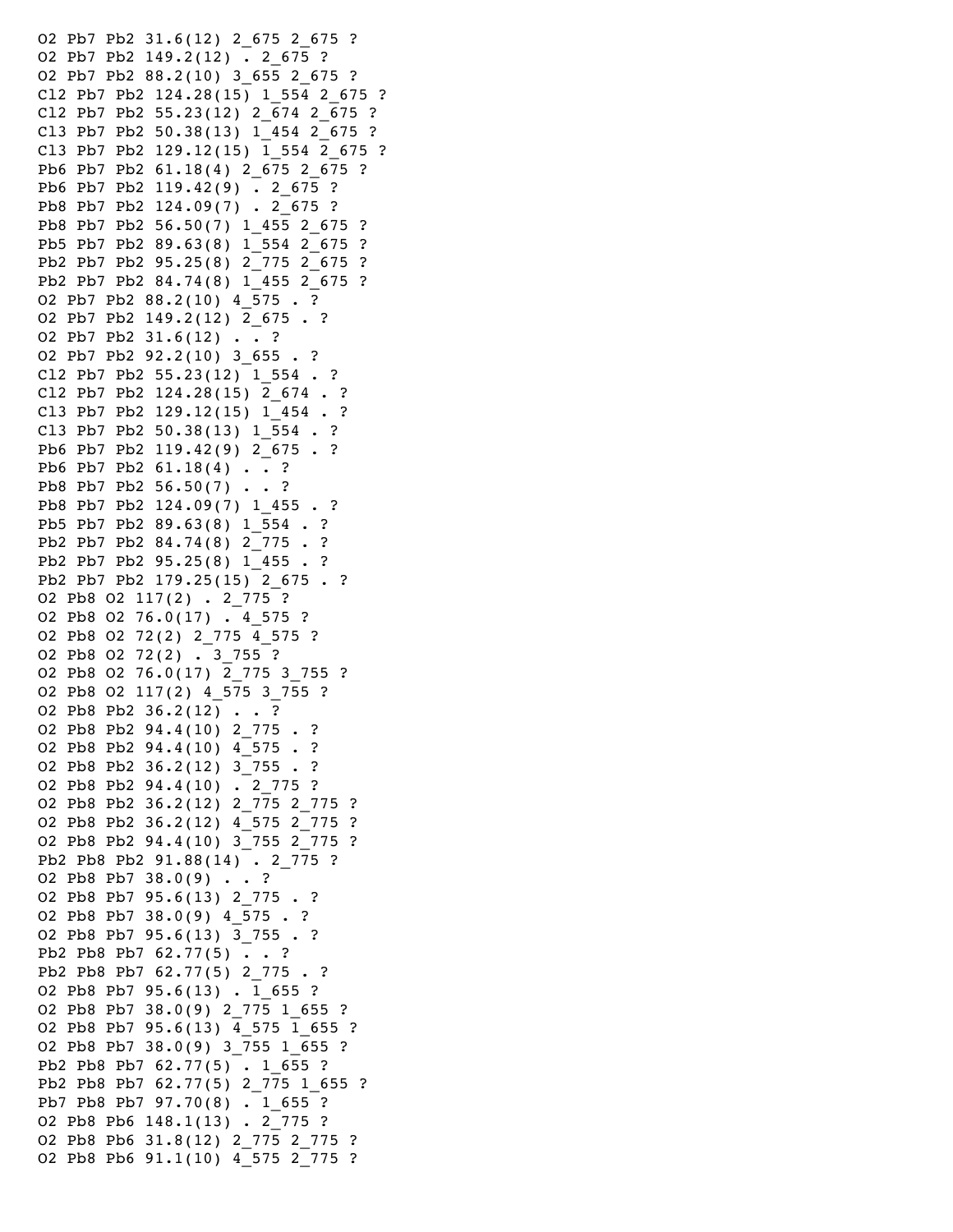O2 Pb7 Pb2 31.6(12) 2\_675 2\_675 ? O2 Pb7 Pb2 149.2(12) . 2\_675 ? O2 Pb7 Pb2 88.2(10) 3\_655 2\_675 ? Cl2 Pb7 Pb2 124.28(15) 1\_554 2\_675 ? Cl2 Pb7 Pb2 55.23(12) 2\_674 2\_675 ? Cl3 Pb7 Pb2 50.38(13) 1\_454 2\_675 ? Cl3 Pb7 Pb2 129.12(15) 1\_554 2\_675 ? Pb6 Pb7 Pb2 61.18(4) 2\_675 2\_675 ? Pb6 Pb7 Pb2 119.42(9) . 2 675 ? Pb8 Pb7 Pb2 124.09(7) . 2 675 ? Pb8 Pb7 Pb2 56.50(7) 1 455 2 675 ? Pb5 Pb7 Pb2 89.63(8) 1 554 2 675 ? Pb2 Pb7 Pb2 95.25(8) 2\_775 2\_675 ? Pb2 Pb7 Pb2 84.74(8) 1 455 2 675 ? O2 Pb7 Pb2 88.2(10) 4\_575 . ? O2 Pb7 Pb2 149.2(12) 2\_675 . ? O2 Pb7 Pb2 31.6(12) . . ? O2 Pb7 Pb2 92.2(10) 3 655 . ? Cl2 Pb7 Pb2 55.23(12) 1\_554 . ? Cl2 Pb7 Pb2 124.28(15) 2\_674 . ? Cl3 Pb7 Pb2 129.12(15) 1\_454 . ? Cl3 Pb7 Pb2 50.38(13) 1\_554 . ? Pb6 Pb7 Pb2 119.42(9) 2 675 . ? Pb6 Pb7 Pb2 61.18(4) . . ? Pb8 Pb7 Pb2 56.50(7) . . ? Pb8 Pb7 Pb2 124.09(7) 1\_455 . ? Pb5 Pb7 Pb2 89.63(8) 1 554 . ? Pb2 Pb7 Pb2 84.74(8) 2\_775 . ? Pb2 Pb7 Pb2 95.25(8) 1 455 . ? Pb2 Pb7 Pb2 179.25(15) 2\_675 . ? O2 Pb8 O2 117(2) . 2\_775 ? O2 Pb8 O2 76.0(17) . 4\_575 ? O2 Pb8 O2 72(2) 2\_775 4\_575 ? O2 Pb8 O2 72(2) . 3\_755 ? O2 Pb8 O2 76.0(17) 2\_775 3\_755 ? O2 Pb8 O2 117(2) 4\_575 3\_755 ? O2 Pb8 Pb2 36.2(12) . . ? O2 Pb8 Pb2 94.4(10) 2\_775 . ? O2 Pb8 Pb2 94.4(10) 4 575 . ? O2 Pb8 Pb2 36.2(12) 3\_755 . ? O2 Pb8 Pb2 94.4(10) . 2\_775 ? O2 Pb8 Pb2 36.2(12) 2\_775 2\_775 ? O2 Pb8 Pb2 36.2(12) 4\_575 2\_775 ? O2 Pb8 Pb2 94.4(10) 3\_755 2\_775 ? Pb2 Pb8 Pb2 91.88(14) . 2 775 ? O2 Pb8 Pb7 38.0(9) . . ? O2 Pb8 Pb7 95.6(13) 2\_775 . ? O2 Pb8 Pb7 38.0(9) 4\_575 . ? O2 Pb8 Pb7 95.6(13) 3\_755 . ? Pb2 Pb8 Pb7 62.77(5) . . ? Pb2 Pb8 Pb7 62.77(5) 2 775 . ? O2 Pb8 Pb7 95.6(13) . 1\_655 ? O2 Pb8 Pb7 38.0(9) 2\_775 1\_655 ? O2 Pb8 Pb7 95.6(13) 4\_575 1\_655 ? O2 Pb8 Pb7 38.0(9) 3\_755 1\_655 ? Pb2 Pb8 Pb7 62.77(5) . 1 655 ? Pb2 Pb8 Pb7 62.77(5) 2\_775 1\_655 ? Pb7 Pb8 Pb7 97.70(8) . 1\_655 ? O2 Pb8 Pb6 148.1(13) . 2\_775 ? O2 Pb8 Pb6 31.8(12) 2\_775 2\_775 ? O2 Pb8 Pb6 91.1(10) 4\_575 2\_775 ?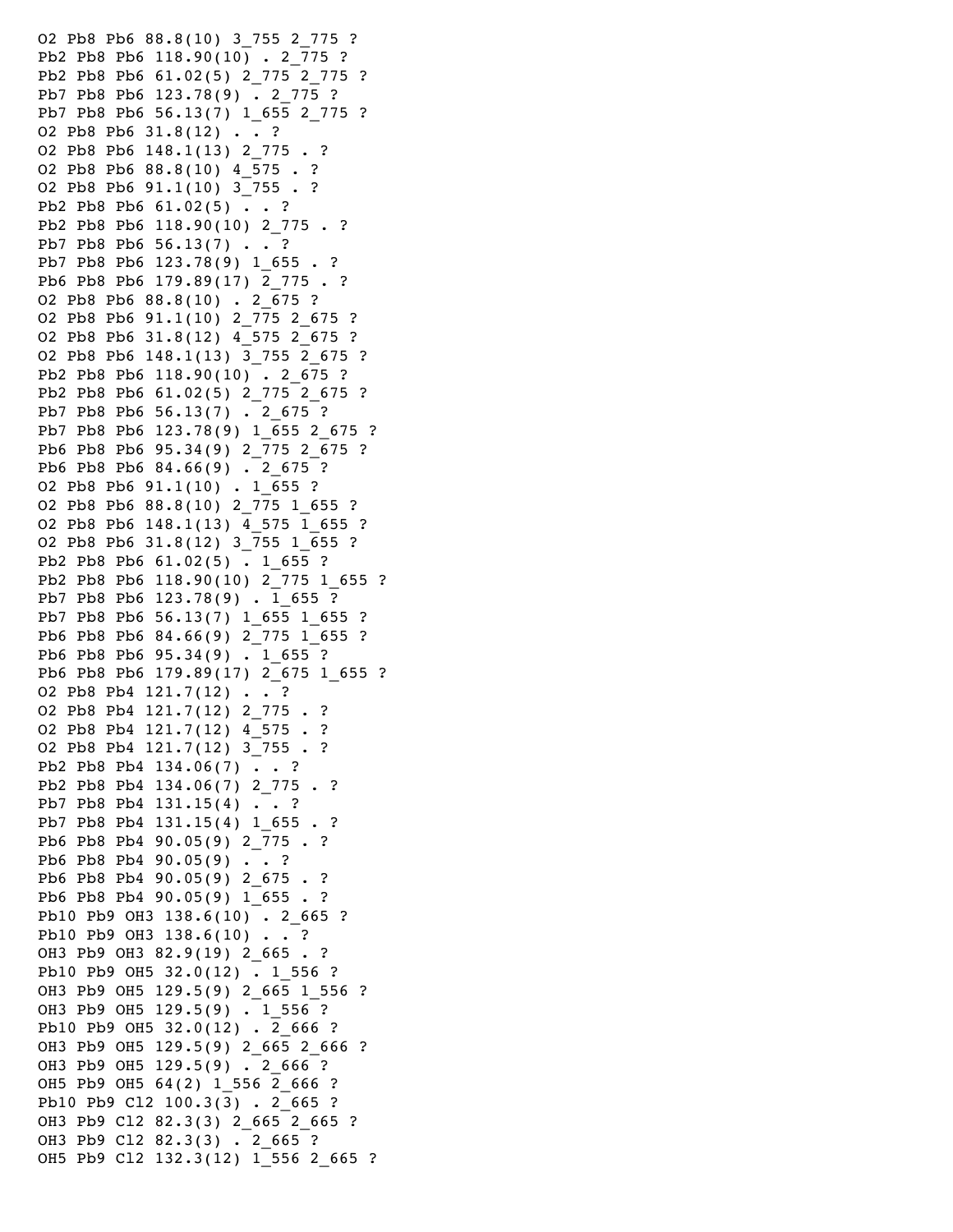O2 Pb8 Pb6 88.8(10) 3\_755 2\_775 ? Pb2 Pb8 Pb6 118.90(10) . 2 775 ? Pb2 Pb8 Pb6 61.02(5) 2\_775 2\_775 ? Pb7 Pb8 Pb6 123.78(9) . 2 775 ? Pb7 Pb8 Pb6 56.13(7) 1 655 2 775 ? O2 Pb8 Pb6 31.8(12) . . ? O2 Pb8 Pb6 148.1(13) 2\_775 . ? O2 Pb8 Pb6 88.8(10) 4\_575 . ? O2 Pb8 Pb6 91.1(10) 3\_755 . ? Pb2 Pb8 Pb6 61.02(5) . . ? Pb2 Pb8 Pb6 118.90(10) 2 775 . ? Pb7 Pb8 Pb6 56.13(7) . . ? Pb7 Pb8 Pb6 123.78(9) 1 655 . ? Pb6 Pb8 Pb6 179.89(17) 2 775 . ? O2 Pb8 Pb6 88.8(10) . 2 675 ? O2 Pb8 Pb6 91.1(10) 2\_775 2\_675 ? O2 Pb8 Pb6 31.8(12) 4\_575 2\_675 ? O2 Pb8 Pb6 148.1(13) 3\_755 2\_675 ? Pb2 Pb8 Pb6 118.90(10) . 2\_675 ? Pb2 Pb8 Pb6 61.02(5) 2\_775 2\_675 ? Pb7 Pb8 Pb6 56.13(7) . 2 675 ? Pb7 Pb8 Pb6 123.78(9) 1 655 2 675 ? Pb6 Pb8 Pb6 95.34(9) 2\_775 2\_675 ? Pb6 Pb8 Pb6 84.66(9) . 2\_675 ? O2 Pb8 Pb6 91.1(10) . 1\_655 ? O2 Pb8 Pb6 88.8(10) 2\_775 1\_655 ? O2 Pb8 Pb6 148.1(13) 4 575 1 655 ? O2 Pb8 Pb6 31.8(12) 3\_755 1\_655 ? Pb2 Pb8 Pb6 61.02(5) . 1 655 ? Pb2 Pb8 Pb6 118.90(10) 2\_775 1\_655 ? Pb7 Pb8 Pb6 123.78(9) . 1\_655 ? Pb7 Pb8 Pb6 56.13(7) 1 655 1 655 ? Pb6 Pb8 Pb6 84.66(9) 2 775 1 655 ? Pb6 Pb8 Pb6 95.34(9) . 1 655 ? Pb6 Pb8 Pb6 179.89(17) 2 675 1 655 ? O2 Pb8 Pb4 121.7(12) . . ? O2 Pb8 Pb4 121.7(12) 2\_775 . ? O2 Pb8 Pb4 121.7(12) 4\_575 . ? O2 Pb8 Pb4 121.7(12) 3\_755 . ? Pb2 Pb8 Pb4 134.06(7) . . ? Pb2 Pb8 Pb4 134.06(7) 2\_775 . ? Pb7 Pb8 Pb4 131.15(4) . . ? Pb7 Pb8 Pb4 131.15(4) 1 655 . ? Pb6 Pb8 Pb4 90.05(9) 2 775 . ? Pb6 Pb8 Pb4 90.05(9) . . ? Pb6 Pb8 Pb4 90.05(9) 2\_675 . ? Pb6 Pb8 Pb4 90.05(9) 1 655 . ? Pb10 Pb9 OH3 138.6(10) . 2 665 ? Pb10 Pb9 OH3 138.6(10) . . ? OH3 Pb9 OH3 82.9(19) 2 665 . ? Pb10 Pb9 OH5 32.0(12) . 1 556 ? OH3 Pb9 OH5 129.5(9) 2\_665 1\_556 ? OH3 Pb9 OH5 129.5(9) . 1 556 ? Pb10 Pb9 OH5 32.0(12) . 2 666 ? OH3 Pb9 OH5 129.5(9) 2 665 2 666 ? OH3 Pb9 OH5 129.5(9) . 2 666 ? OH5 Pb9 OH5 64(2) 1 556 2 666 ? Pb10 Pb9 Cl2 100.3(3) . 2 665 ? OH3 Pb9 Cl2 82.3(3) 2 665 2 665 ? OH3 Pb9 Cl2 82.3(3) . 2 665 ? OH5 Pb9 Cl2 132.3(12) 1 556 2 665 ?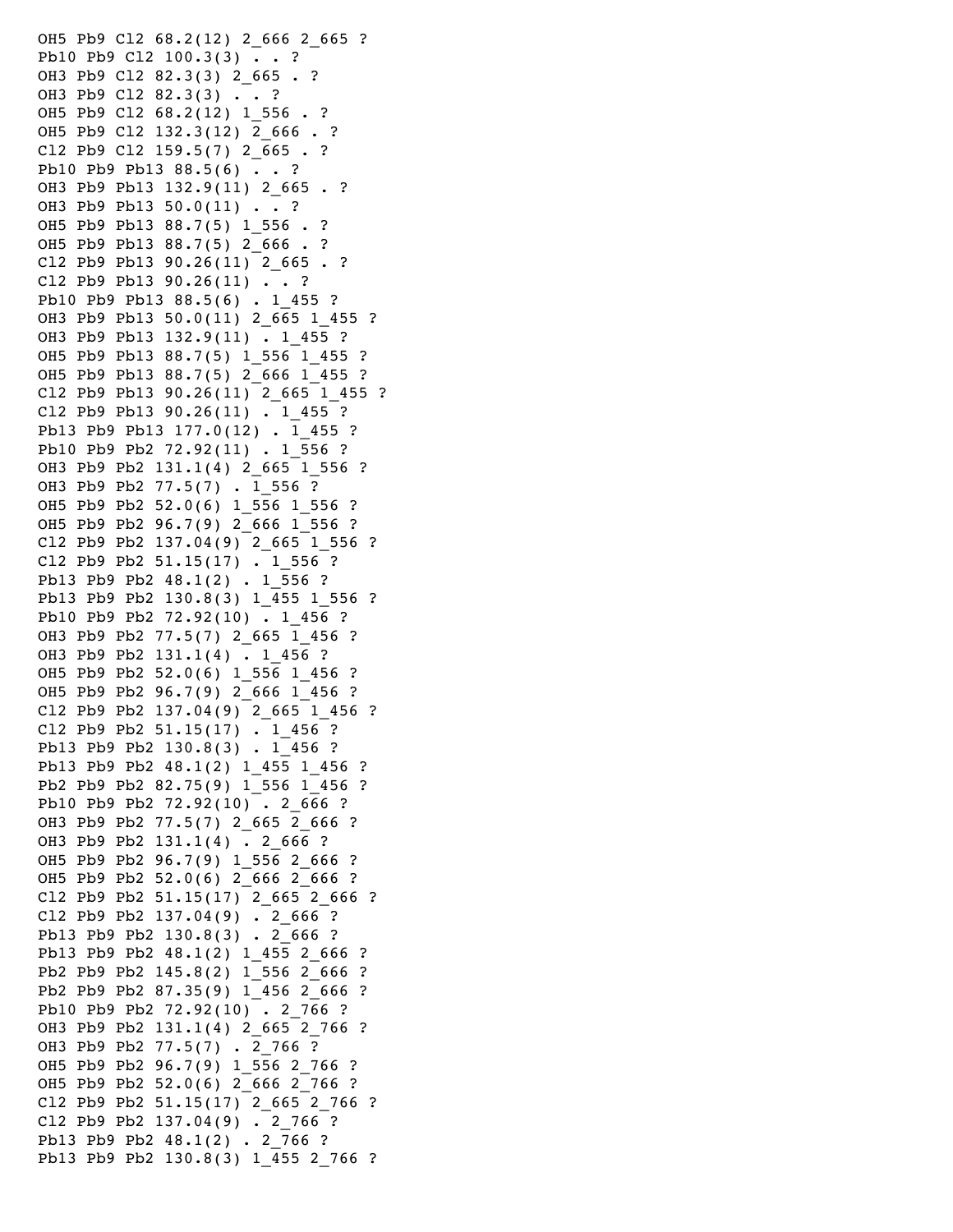OH5 Pb9 Cl2 68.2(12) 2 666 2 665 ? Pb10 Pb9 Cl2 100.3(3) . . ? OH3 Pb9 Cl2 82.3(3) 2 665 . ? OH3 Pb9 Cl2 82.3(3) . . ? OH5 Pb9 Cl2 68.2(12) 1 556 . ? OH5 Pb9 Cl2 132.3(12) 2 666 . ? Cl2 Pb9 Cl2 159.5(7) 2\_665 . ? Pb10 Pb9 Pb13 88.5(6) . . ? OH3 Pb9 Pb13 132.9(11) 2 665 . ? OH3 Pb9 Pb13 50.0(11) . . ? OH5 Pb9 Pb13 88.7(5) 1 556 . ? OH5 Pb9 Pb13 88.7(5) 2 666 . ? Cl2 Pb9 Pb13 90.26(11) 2 665 . ? Cl2 Pb9 Pb13 90.26(11) . . ? Pb10 Pb9 Pb13 88.5(6) . 1 455 ? OH3 Pb9 Pb13 50.0(11) 2 665 1 455 ? OH3 Pb9 Pb13 132.9(11) . 1 455 ? OH5 Pb9 Pb13 88.7(5) 1 556 1 455 ? OH5 Pb9 Pb13 88.7(5) 2\_666 1\_455 ? Cl2 Pb9 Pb13 90.26(11) 2 665 1 455 ? Cl2 Pb9 Pb13 90.26(11) . 1\_455 ? Pb13 Pb9 Pb13 177.0(12) . 1 455 ? Pb10 Pb9 Pb2 72.92(11) . 1 556 ? OH3 Pb9 Pb2 131.1(4) 2 665 1 556 ? OH3 Pb9 Pb2 77.5(7) . 1 556 ? OH5 Pb9 Pb2 52.0(6) 1 556 1 556 ? OH5 Pb9 Pb2 96.7(9) 2 666 1 556 ? Cl2 Pb9 Pb2 137.04(9) 2\_665 1\_556 ? Cl2 Pb9 Pb2 51.15(17) . 1\_556 ? Pb13 Pb9 Pb2 48.1(2) . 1 556 ? Pb13 Pb9 Pb2 130.8(3) 1 455 1 556 ? Pb10 Pb9 Pb2 72.92(10) . 1 456 ? OH3 Pb9 Pb2 77.5(7) 2 665 1 456 ? OH3 Pb9 Pb2 131.1(4) . 1 456 ? OH5 Pb9 Pb2 52.0(6) 1 556 1 456 ? OH5 Pb9 Pb2 96.7(9) 2 666 1 456 ? Cl2 Pb9 Pb2 137.04(9) 2\_665 1\_456 ? Cl2 Pb9 Pb2 51.15(17) . 1\_456 ? Pb13 Pb9 Pb2 130.8(3) . 1\_456 ? Pb13 Pb9 Pb2 48.1(2) 1\_455 1\_456 ? Pb2 Pb9 Pb2 82.75(9) 1\_556 1\_456 ? Pb10 Pb9 Pb2 72.92(10) . 2 666 ? OH3 Pb9 Pb2 77.5(7) 2 665 2 666 ? OH3 Pb9 Pb2 131.1(4) . 2 666 ? OH5 Pb9 Pb2 96.7(9) 1 556 2 666 ? OH5 Pb9 Pb2 52.0(6) 2\_666 2\_666 ? Cl2 Pb9 Pb2 51.15(17) 2\_665 2\_666 ? Cl2 Pb9 Pb2 137.04(9) . 2 666 ? Pb13 Pb9 Pb2 130.8(3) . 2 666 ? Pb13 Pb9 Pb2 48.1(2) 1\_455 2\_666 ? Pb2 Pb9 Pb2 145.8(2) 1\_556 2\_666 ? Pb2 Pb9 Pb2 87.35(9) 1\_456 2\_666 ? Pb10 Pb9 Pb2 72.92(10) . 2 766 ? OH3 Pb9 Pb2 131.1(4) 2 665 2 766 ? OH3 Pb9 Pb2 77.5(7) . 2 766 ? OH5 Pb9 Pb2 96.7(9) 1 556 2 766 ? OH5 Pb9 Pb2 52.0(6) 2\_666 2\_766 ? Cl2 Pb9 Pb2 51.15(17) 2 665 2 766 ? Cl2 Pb9 Pb2 137.04(9) . 2\_766 ? Pb13 Pb9 Pb2 48.1(2) . 2\_766 ? Pb13 Pb9 Pb2 130.8(3) 1 455 2 766 ?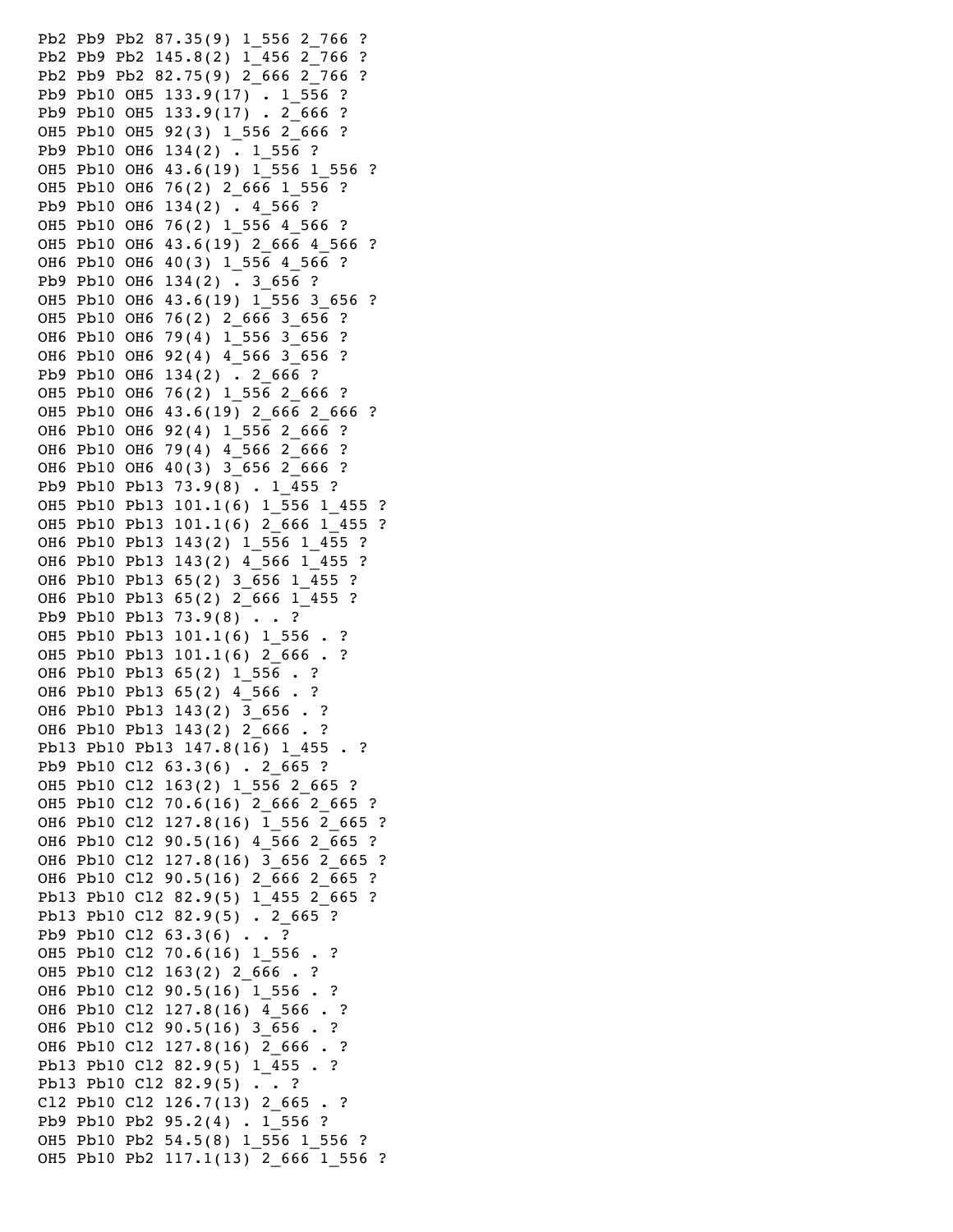```
Pb2 Pb9 Pb2 87.35(9) 1 556 2 766 ?
Pb2 Pb9 Pb2 145.8(2) 1_456 2_766 ?
Pb2 Pb9 Pb2 82.75(9) 2 666 2 766 ?
Pb9 Pb10 OH5 133.9(17) . 1 556 ?
Pb9 Pb10 OH5 133.9(17) . 2 666 ?
OH5 Pb10 OH5 92(3) 1 556 2 666 ?
Pb9 Pb10 OH6 134(2) . 1 556 ?
OH5 Pb10 OH6 43.6(19) 1_556 1_556 ?
OH5 Pb10 OH6 76(2) 2 666 1 556 ?
Pb9 Pb10 OH6 134(2) . 4 566 ?
OH5 Pb10 OH6 76(2) 1 556 4 566 ?
OH5 Pb10 OH6 43.6(19) 2 666 4 566 ?
OH6 Pb10 OH6 40(3) 1 556 4 566 ?
Pb9 Pb10 OH6 134(2) . 3 656 ?
OH5 Pb10 OH6 43.6(19) 1 556 3 656 ?
OH5 Pb10 OH6 76(2) 2_666 3_656 ?
OH6 Pb10 OH6 79(4) 1_556 3_656 ?
OH6 Pb10 OH6 92(4) 4 566 3 656 ?
Pb9 Pb10 OH6 134(2) . 2_666 ?
OH5 Pb10 OH6 76(2) 1 556 2 666 ?
OH5 Pb10 OH6 43.6(19) 2 666 2 666 ?
OH6 Pb10 OH6 92(4) 1 556 2 666 ?
OH6 Pb10 OH6 79(4) 4 566 2 666 ?
OH6 Pb10 OH6 40(3) 3 656 2 666 ?
Pb9 Pb10 Pb13 73.9(8) . 1 455 ?
OH5 Pb10 Pb13 101.1(6) 1_556 1_455 ?
OH5 Pb10 Pb13 101.1(6) 2 666 1 455 ?
OH6 Pb10 Pb13 143(2) 1 556 1 455 ?
OH6 Pb10 Pb13 143(2) 4_566 1_455 ?
OH6 Pb10 Pb13 65(2) 3_656 1_455 ?
OH6 Pb10 Pb13 65(2) 2_666 1_455 ?
Pb9 Pb10 Pb13 73.9(8) . . ?
OH5 Pb10 Pb13 101.1(6) 1 556 . ?
OH5 Pb10 Pb13 101.1(6) 2 666 . ?
OH6 Pb10 Pb13 65(2) 1 556 . ?
OH6 Pb10 Pb13 65(2) 4 566 . ?
OH6 Pb10 Pb13 143(2) 3 656 . ?
OH6 Pb10 Pb13 143(2) 2_666 . ?
Pb13 Pb10 Pb13 147.8(16) 1 455 . ?
Pb9 Pb10 Cl2 63.3(6) . 2_665 ?
OH5 Pb10 Cl2 163(2) 1_556 2_665 ?
OH5 Pb10 Cl2 70.6(16) 2 666 2 665 ?
OH6 Pb10 Cl2 127.8(16) 1 556 2 665 ?
OH6 Pb10 Cl2 90.5(16) 4 566 2 665 ?
OH6 Pb10 Cl2 127.8(16) 3 656 2 665 ?
OH6 Pb10 Cl2 90.5(16) 2_666 2_665 ?
Pb13 Pb10 Cl2 82.9(5) 1 455 2 665 ?
Pb13 Pb10 Cl2 82.9(5) . 2_665 ?
Pb9 Pb10 Cl2 63.3(6) . . ?
OH5 Pb10 Cl2 70.6(16) 1 556 . ?
OH5 Pb10 Cl2 163(2) 2_666 . ?
OH6 Pb10 Cl2 90.5(16) 1 556 . ?
OH6 Pb10 Cl2 127.8(16) 4 566 . ?
OH6 Pb10 Cl2 90.5(16) 3 656 . ?
OH6 Pb10 Cl2 127.8(16) 2 666 . ?
Pb13 Pb10 Cl2 82.9(5) 1 455 . ?
Pb13 Pb10 Cl2 82.9(5) . . ?
Cl2 Pb10 Cl2 126.7(13) 2_665 . ?
Pb9 Pb10 Pb2 95.2(4) . 1 556 ?
OH5 Pb10 Pb2 54.5(8) 1 556 1 556 ?
OH5 Pb10 Pb2 117.1(13) 2 666 1 556 ?
```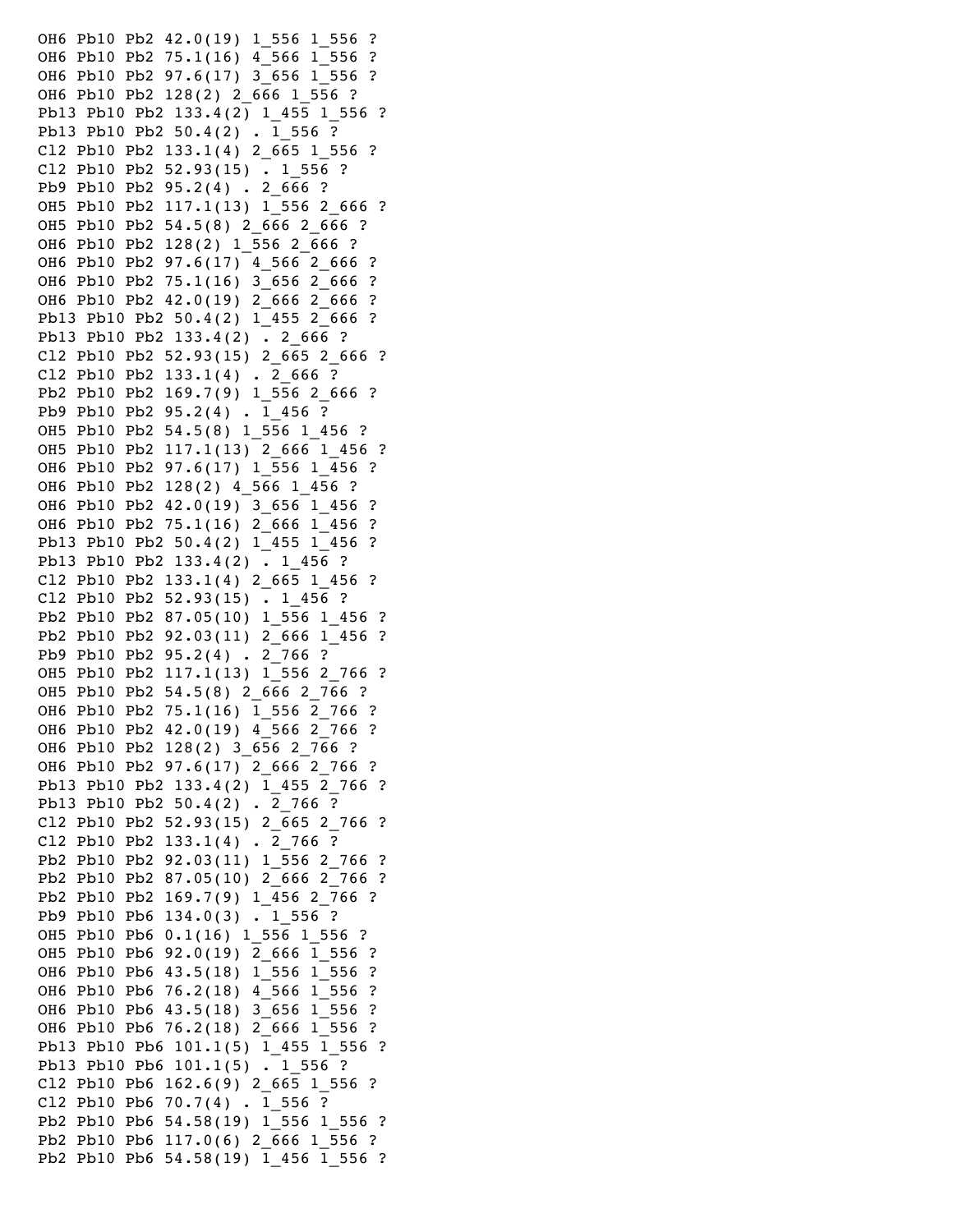OH6 Pb10 Pb2 42.0(19) 1 556 1 556 ? OH6 Pb10 Pb2 75.1(16) 4\_566 1\_556 ? OH6 Pb10 Pb2 97.6(17) 3 656 1 556 ? OH6 Pb10 Pb2 128(2) 2 666 1 556 ? Pb13 Pb10 Pb2 133.4(2) 1 455 1 556 ? Pb13 Pb10 Pb2 50.4(2) . 1\_556 ? Cl2 Pb10 Pb2 133.1(4) 2\_665 1\_556 ? Cl2 Pb10 Pb2 52.93(15) . 1\_556 ? Pb9 Pb10 Pb2 95.2(4) . 2 666 ? OH5 Pb10 Pb2 117.1(13) 1 556 2 666 ? OH5 Pb10 Pb2 54.5(8) 2 666 2 666 ? OH6 Pb10 Pb2 128(2) 1 556 2 666 ? OH6 Pb10 Pb2 97.6(17) 4 566 2 666 ? OH6 Pb10 Pb2 75.1(16) 3 656 2 666 ? OH6 Pb10 Pb2 42.0(19) 2 666 2 666 ? Pb13 Pb10 Pb2 50.4(2) 1 455 2 666 ? Pb13 Pb10 Pb2 133.4(2) . 2 666 ? Cl2 Pb10 Pb2 52.93(15) 2 665 2 666 ? Cl2 Pb10 Pb2 133.1(4) . 2\_666 ? Pb2 Pb10 Pb2 169.7(9) 1 556 2 666 ? Pb9 Pb10 Pb2 95.2(4) . 1 456 ? OH5 Pb10 Pb2 54.5(8) 1 556 1 456 ? OH5 Pb10 Pb2 117.1(13) 2 666 1 456 ? OH6 Pb10 Pb2 97.6(17) 1 556 1 456 ? OH6 Pb10 Pb2 128(2) 4 566 1 456 ? OH6 Pb10 Pb2 42.0(19) 3 656 1 456 ? OH6 Pb10 Pb2 75.1(16) 2\_666 1\_456 ? Pb13 Pb10 Pb2 50.4(2) 1 455 1 456 ? Pb13 Pb10 Pb2 133.4(2) . 1\_456 ? Cl2 Pb10 Pb2 133.1(4) 2\_665 1\_456 ? Cl2 Pb10 Pb2 52.93(15) . 1\_456 ? Pb2 Pb10 Pb2 87.05(10) 1 556 1 456 ? Pb2 Pb10 Pb2 92.03(11) 2 666 1 456 ? Pb9 Pb10 Pb2 95.2(4) . 2 766 ? OH5 Pb10 Pb2 117.1(13) 1 556 2 766 ? OH5 Pb10 Pb2 54.5(8) 2 666 2 766 ? OH6 Pb10 Pb2 75.1(16) 1 556 2 766 ? OH6 Pb10 Pb2 42.0(19) 4 566 2 766 ? OH6 Pb10 Pb2 128(2) 3\_656 2\_766 ? OH6 Pb10 Pb2 97.6(17) 2 666 2 766 ? Pb13 Pb10 Pb2 133.4(2) 1\_455 2\_766 ? Pb13 Pb10 Pb2 50.4(2) . 2\_766 ? Cl2 Pb10 Pb2 52.93(15) 2 665 2 766 ? Cl2 Pb10 Pb2 133.1(4) . 2 766 ? Pb2 Pb10 Pb2 92.03(11) 1 556 2 766 ? Pb2 Pb10 Pb2 87.05(10) 2 666 2 766 ? Pb2 Pb10 Pb2 169.7(9) 1 456 2 766 ? Pb9 Pb10 Pb6 134.0(3) . 1 556 ? OH5 Pb10 Pb6 0.1(16) 1 556 1 556 ? OH5 Pb10 Pb6 92.0(19) 2 666 1 556 ? OH6 Pb10 Pb6 43.5(18) 1 556 1 556 ? OH6 Pb10 Pb6 76.2(18) 4\_566 1\_556 ? OH6 Pb10 Pb6 43.5(18) 3 656 1 556 ? OH6 Pb10 Pb6 76.2(18) 2 666 1 556 ? Pb13 Pb10 Pb6 101.1(5) 1 455 1 556 ? Pb13 Pb10 Pb6 101.1(5) . 1 556 ? Cl2 Pb10 Pb6 162.6(9) 2 665 1 556 ? Cl2 Pb10 Pb6 70.7(4) . 1\_556 ? Pb2 Pb10 Pb6 54.58(19) 1 556 1 556 ? Pb2 Pb10 Pb6 117.0(6) 2 666 1 556 ? Pb2 Pb10 Pb6 54.58(19) 1 456 1 556 ?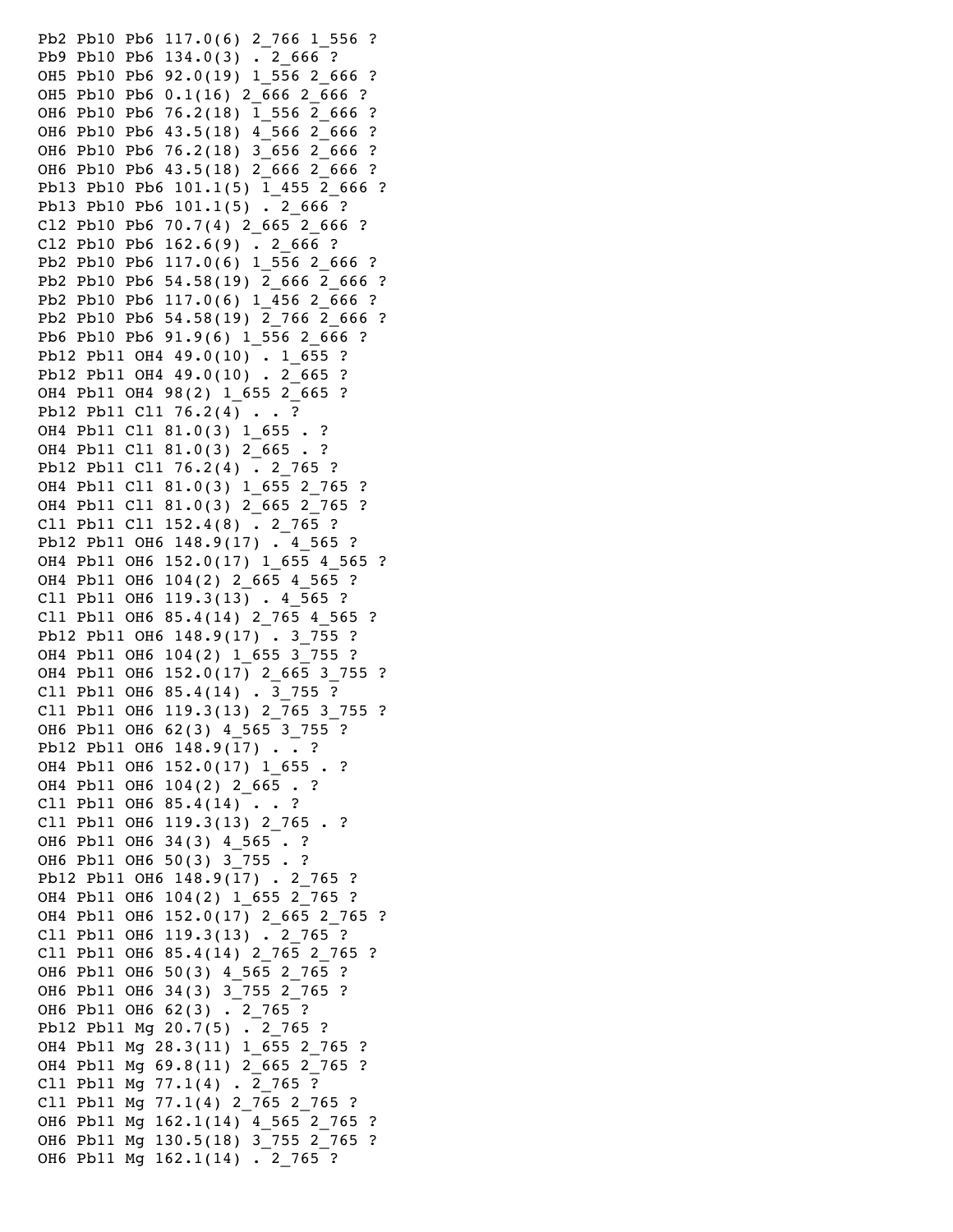```
Pb2 Pb10 Pb6 117.0(6) 2 766 1 556 ?
Pb9 Pb10 Pb6 134.0(3) . 2_666 ?
OH5 Pb10 Pb6 92.0(19) 1 556 2 666 ?
OH5 Pb10 Pb6 0.1(16) 2 666 2 666 ?
OH6 Pb10 Pb6 76.2(18) 1_556 2_666 ?
OH6 Pb10 Pb6 43.5(18) 4 566 2 666 ?
OH6 Pb10 Pb6 76.2(18) 3 656 2 666 ?
OH6 Pb10 Pb6 43.5(18) 2 666 2 666 ?
Pb13 Pb10 Pb6 101.1(5) 1 455 2 666 ?
Pb13 Pb10 Pb6 101.1(5) . 2 666 ?
Cl2 Pb10 Pb6 70.7(4) 2 665 2 666 ?
Cl2 Pb10 Pb6 162.6(9) . 2 666 ?
Pb2 Pb10 Pb6 117.0(6) 1 556 2 666 ?
Pb2 Pb10 Pb6 54.58(19) 2 666 2 666 ?
Pb2 Pb10 Pb6 117.0(6) 1 456 2 666 ?
Pb2 Pb10 Pb6 54.58(19) 2 766 2 666 ?
Pb6 Pb10 Pb6 91.9(6) 1 556 2 666 ?
Pb12 Pb11 OH4 49.0(10) . 1 655 ?
Pb12 Pb11 OH4 49.0(10) . 2 665 ?
OH4 Pb11 OH4 98(2) 1 655 2 665 ?
Pb12 Pb11 Cl1 76.2(4) . . ?
OH4 Pb11 Cl1 81.0(3) 1 655 . ?
OH4 Pb11 Cl1 81.0(3) 2 665 . ?
Pb12 Pb11 Cl1 76.2(4) . 2 765 ?
OH4 Pb11 Cl1 81.0(3) 1 655 2 765 ?
OH4 Pb11 Cl1 81.0(3) 2_665 2_765 ?
Cl1 Pb11 Cl1 152.4(8) . 2_765 ?
Pb12 Pb11 OH6 148.9(17) . 4 565 ?
OH4 Pb11 OH6 152.0(17) 1 655 4 565 ?
OH4 Pb11 OH6 104(2) 2_665 4_565 ?
Cl1 Pb11 OH6 119.3(13) . 4_565 ?
Cl1 Pb11 OH6 85.4(14) 2 765 4 565 ?
Pb12 Pb11 OH6 148.9(17) . 3 755 ?
OH4 Pb11 OH6 104(2) 1 655 3 755 ?
OH4 Pb11 OH6 152.0(17) 2 665 3 755 ?
Cl1 Pb11 OH6 85.4(14) . 3_755 ?
Cl1 Pb11 OH6 119.3(13) 2_765 3_755 ?
OH6 Pb11 OH6 62(3) 4 565 3 755 ?
Pb12 Pb11 OH6 148.9(17) . . ?
OH4 Pb11 OH6 152.0(17) 1 655 . ?
OH4 Pb11 OH6 104(2) 2_665 . ?
Cl1 Pb11 OH6 85.4(14) . . ?
Cl1 Pb11 OH6 119.3(13) 2_765 . ?
OH6 Pb11 OH6 34(3) 4 565 . ?
OH6 Pb11 OH6 50(3) 3 755 . ?
Pb12 Pb11 OH6 148.9(17) . 2 765 ?
OH4 Pb11 OH6 104(2) 1 655 2 765 ?
OH4 Pb11 OH6 152.0(17) 2_665 2_765 ?
Cl1 Pb11 OH6 119.3(13) . 2 765 ?
Cl1 Pb11 OH6 85.4(14) 2 765 2 765 ?
OH6 Pb11 OH6 50(3) 4 565 2 765 ?
OH6 Pb11 OH6 34(3) 3_755 2_765 ?
OH6 Pb11 OH6 62(3) . 2 765 ?
Pb12 Pb11 Mg 20.7(5) . 2 765 ?
OH4 Pb11 Mq 28.3(11) 1 655 2 765 ?
OH4 Pb11 Mg 69.8(11) 2 665 2 765 ?
Cl1 Pb11 Mg 77.1(4) . 2_765 ?
Cl1 Pb11 Mg 77.1(4) 2 765 2 765 ?
OH6 Pb11 Mg 162.1(14) 4 565 2 765 ?
OH6 Pb11 Mg 130.5(18) 3 755 2 765 ?
OH6 Pb11 Mg 162.1(14) . 2 765 ?
```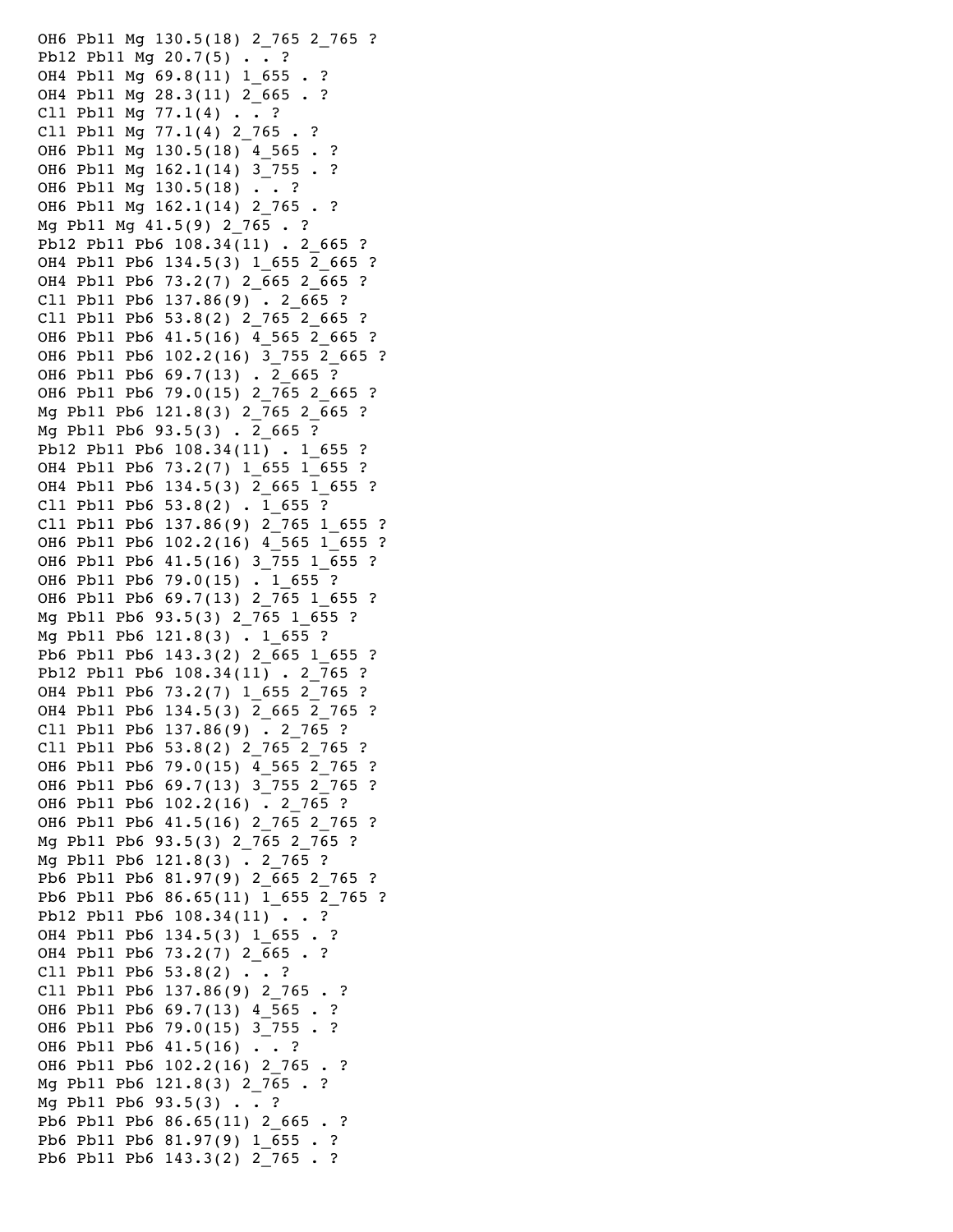OH6 Pb11 Mg 130.5(18) 2 765 2 765 ? Pb12 Pb11 Mg 20.7(5) . . ? OH4 Pb11 Mg 69.8(11) 1 655 . ? OH4 Pb11 Mg 28.3(11) 2 665 . ? Cl1 Pb11 Mg  $77.1(4)$  . . ? Cl1 Pb11 Mg 77.1(4) 2\_765 . ? OH6 Pb11 Mg 130.5(18) 4 565 . ? OH6 Pb11 Mg 162.1(14) 3 755 . ? OH6 Pb11 Mg 130.5(18) . . ? OH6 Pb11 Mg 162.1(14) 2 765 . ? Mg Pb11 Mg 41.5(9) 2 765 . ? Pb12 Pb11 Pb6 108.34(11) . 2 665 ? OH4 Pb11 Pb6 134.5(3) 1 655 2 665 ? OH4 Pb11 Pb6 73.2(7) 2 665 2 665 ? Cl1 Pb11 Pb6 137.86(9) . 2 665 ? Cl1 Pb11 Pb6 53.8(2) 2 765 2 665 ? OH6 Pb11 Pb6 41.5(16) 4 565 2 665 ? OH6 Pb11 Pb6 102.2(16) 3 755 2 665 ? OH6 Pb11 Pb6 69.7(13) . 2 665 ? OH6 Pb11 Pb6 79.0(15) 2 765 2 665 ? Mg Pb11 Pb6 121.8(3) 2 765 2 665 ? Mg Pb11 Pb6 93.5(3) . 2 665 ? Pb12 Pb11 Pb6 108.34(11) . 1 655 ? OH4 Pb11 Pb6 73.2(7) 1 655 1 655 ? OH4 Pb11 Pb6 134.5(3) 2 665 1 655 ? Cl1 Pb11 Pb6 53.8(2) . 1\_655 ? Cl1 Pb11 Pb6 137.86(9) 2 765 1 655 ? OH6 Pb11 Pb6 102.2(16) 4\_565 1\_655 ? OH6 Pb11 Pb6 41.5(16) 3 755 1 655 ? OH6 Pb11 Pb6 79.0(15) . 1 655 ? OH6 Pb11 Pb6 69.7(13) 2 765 1 655 ? Mg Pb11 Pb6 93.5(3) 2 765 1 655 ? Mg Pb11 Pb6 121.8(3) . 1 655 ? Pb6 Pb11 Pb6 143.3(2) 2 665 1 655 ? Pb12 Pb11 Pb6 108.34(11) . 2 765 ? OH4 Pb11 Pb6 73.2(7) 1 655 2 765 ? OH4 Pb11 Pb6 134.5(3) 2 665 2 765 ? Cl1 Pb11 Pb6 137.86(9) . 2\_765 ? Cl1 Pb11 Pb6 53.8(2) 2 765 2 765 ? OH6 Pb11 Pb6 79.0(15) 4 565 2 765 ? OH6 Pb11 Pb6 69.7(13) 3\_755 2\_765 ? OH6 Pb11 Pb6 102.2(16) . 2 765 ? OH6 Pb11 Pb6 41.5(16) 2 765 2 765 ? Mg Pb11 Pb6 93.5(3) 2 765 2 765 ? Mg Pb11 Pb6 121.8(3) . 2\_765 ? Pb6 Pb11 Pb6 81.97(9) 2\_665 2\_765 ? Pb6 Pb11 Pb6 86.65(11) 1 655 2 765 ? Pb12 Pb11 Pb6 108.34(11) . . ? OH4 Pb11 Pb6 134.5(3) 1 655 . ? OH4 Pb11 Pb6 73.2(7) 2 665 . ? Cl1 Pb11 Pb6 53.8(2) . . ? Cl1 Pb11 Pb6 137.86(9) 2\_765 . ? OH6 Pb11 Pb6 69.7(13) 4 565 . ? OH6 Pb11 Pb6 79.0(15) 3 755 . ? OH6 Pb11 Pb6 41.5(16) . . ? OH6 Pb11 Pb6 102.2(16) 2 765 . ? Mg Pb11 Pb6 121.8(3) 2 765 . ? Mg Pb11 Pb6 93.5(3) . . ? Pb6 Pb11 Pb6 86.65(11) 2 665 . ? Pb6 Pb11 Pb6 81.97(9) 1 655 . ? Pb6 Pb11 Pb6 143.3(2) 2\_765 . ?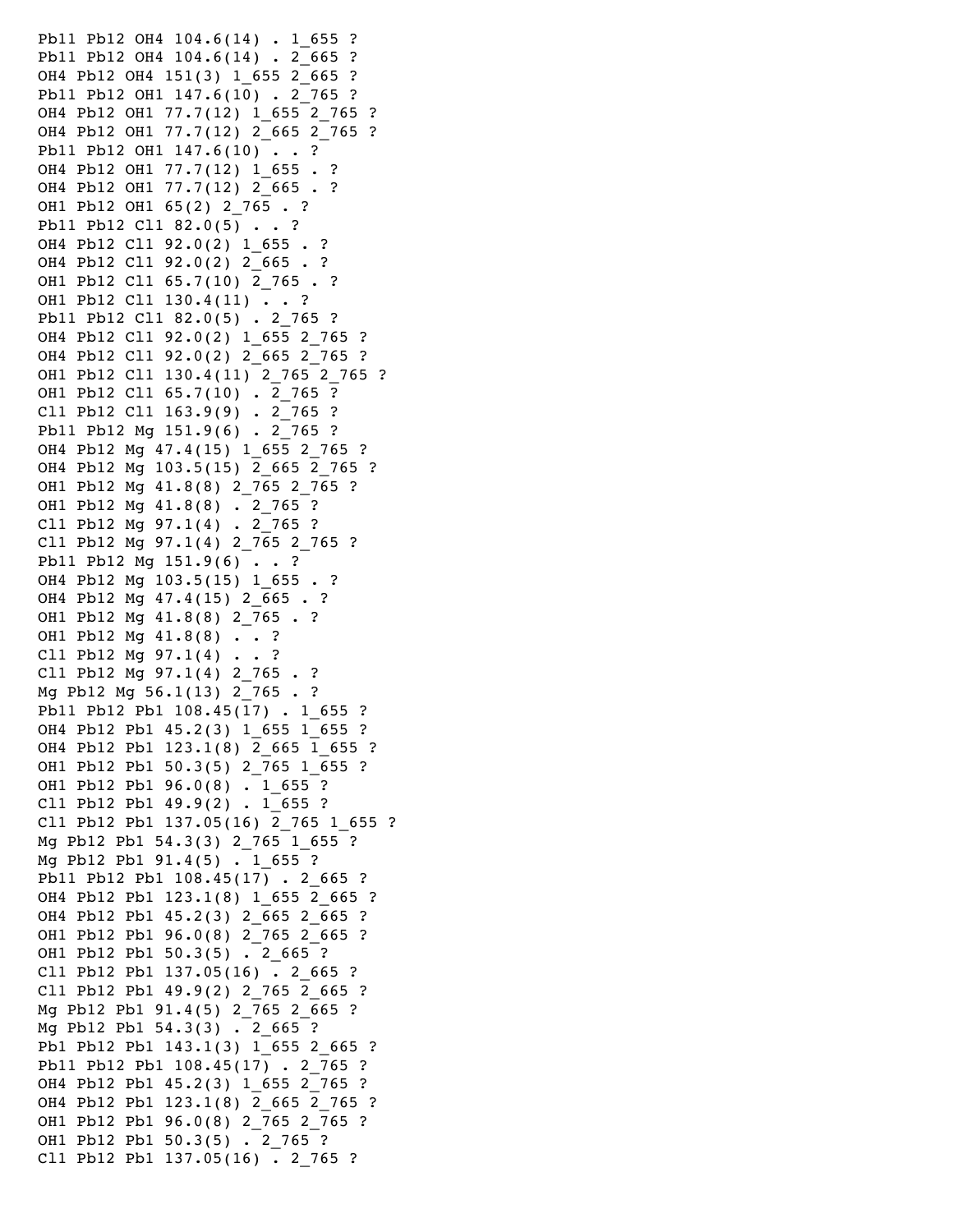Pb11 Pb12 OH4 104.6(14) . 1 655 ? Pb11 Pb12 OH4 104.6(14) . 2 665 ? OH4 Pb12 OH4 151(3) 1 655 2 665 ? Pb11 Pb12 OH1 147.6(10) . 2 765 ? OH4 Pb12 OH1 77.7(12) 1 655 2 765 ? OH4 Pb12 OH1 77.7(12) 2 665 2 765 ? Pb11 Pb12 OH1 147.6(10) . . ? OH4 Pb12 OH1 77.7(12) 1 655 . ? OH4 Pb12 OH1 77.7(12) 2 665 . ? OH1 Pb12 OH1 65(2) 2 765 . ? Pb11 Pb12 Cl1 82.0(5) . . ? OH4 Pb12 Cl1 92.0(2) 1 655 . ? OH4 Pb12 Cl1 92.0(2) 2 665 . ? OH1 Pb12 Cl1 65.7(10) 2 765 . ? OH1 Pb12 Cl1 130.4(11) . . ? Pb11 Pb12 Cl1 82.0(5) . 2 765 ? OH4 Pb12 Cl1 92.0(2) 1\_655 2\_765 ? OH4 Pb12 Cl1 92.0(2) 2 665 2 765 ? OH1 Pb12 Cl1 130.4(11) 2\_765 2\_765 ? OH1 Pb12 Cl1 65.7(10) . 2 765 ? Cl1 Pb12 Cl1 163.9(9) . 2\_765 ? Pb11 Pb12 Mg 151.9(6) . 2 765 ? OH4 Pb12 Mg 47.4(15) 1 655 2 765 ? OH4 Pb12 Mg 103.5(15) 2 665 2 765 ? OH1 Pb12 Mg 41.8(8) 2\_765 2\_765 ? OH1 Pb12 Mg 41.8(8) . 2 765 ? Cl1 Pb12 Mg 97.1(4) . 2 765 ? Cl1 Pb12 Mg 97.1(4) 2\_765 2\_765 ? Pb11 Pb12 Mg 151.9(6) . . ? OH4 Pb12 Mg 103.5(15) 1\_655 . ? OH4 Pb12 Mg 47.4(15) 2 665 . ? OH1 Pb12 Mg 41.8(8) 2 765 . ? OH1 Pb12 Mg 41.8(8) . . ? Cl1 Pb12 Mg  $97.1(4)$  . . ? Cl1 Pb12 Mg 97.1(4) 2\_765 . ? Mg Pb12 Mg 56.1(13) 2 765 . ? Pb11 Pb12 Pb1 108.45(17) . 1 655 ? OH4 Pb12 Pb1 45.2(3) 1 655 1 655 ? OH4 Pb12 Pb1 123.1(8) 2\_665 1\_655 ? OH1 Pb12 Pb1 50.3(5) 2 765 1 655 ? OH1 Pb12 Pb1 96.0(8) . 1\_655 ? Cl1 Pb12 Pb1 49.9(2) . 1 655 ? Cl1 Pb12 Pb1 137.05(16) 2 765 1 655 ? Mg Pb12 Pb1 54.3(3) 2 765 1 655 ? Mg Pb12 Pb1 91.4(5) . 1 655 ? Pb11 Pb12 Pb1 108.45(17) . 2 665 ? OH4 Pb12 Pb1 123.1(8) 1 655 2 665 ? OH4 Pb12 Pb1 45.2(3) 2 665 2 665 ? OH1 Pb12 Pb1 96.0(8) 2\_765 2\_665 ? OH1 Pb12 Pb1 50.3(5) . 2 665 ? Cl1 Pb12 Pb1 137.05(16) . 2\_665 ? Cl1 Pb12 Pb1 49.9(2) 2\_765 2\_665 ? Mg Pb12 Pb1 91.4(5) 2\_765 2\_665 ? Mg Pb12 Pb1 54.3(3) . 2 665 ? Pb1 Pb12 Pb1 143.1(3) 1 655 2 665 ? Pb11 Pb12 Pb1 108.45(17) . 2 765 ? OH4 Pb12 Pb1 45.2(3) 1 655 2 765 ? OH4 Pb12 Pb1 123.1(8) 2 665 2 765 ? OH1 Pb12 Pb1 96.0(8) 2 765 2 765 ? OH1 Pb12 Pb1 50.3(5) . 2\_765 ? Cl1 Pb12 Pb1 137.05(16) . 2\_765 ?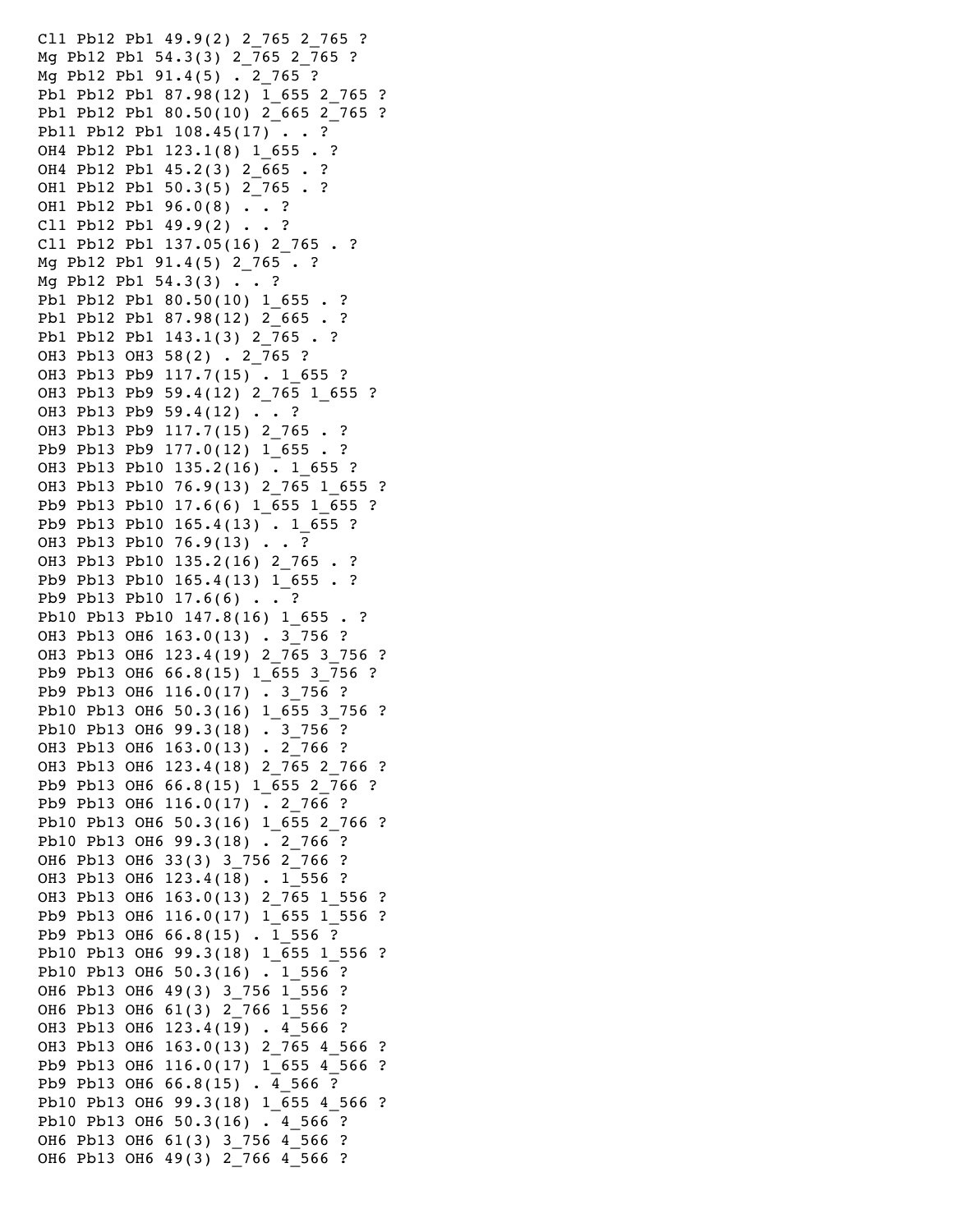Cl1 Pb12 Pb1 49.9(2) 2 765 2 765 ? Mg Pb12 Pb1 54.3(3) 2\_765 2\_765 ? Mg Pb12 Pb1 91.4(5) . 2\_765 ? Pb1 Pb12 Pb1 87.98(12) 1 655 2 765 ? Pb1 Pb12 Pb1 80.50(10) 2 665 2 765 ? Pb11 Pb12 Pb1 108.45(17) . . ? OH4 Pb12 Pb1 123.1(8) 1 655 . ? OH4 Pb12 Pb1 45.2(3) 2\_665 . ? OH1 Pb12 Pb1 50.3(5) 2 765 . ? OH1 Pb12 Pb1 96.0(8) . . ? Cl1 Pb12 Pb1 49.9(2) . . ? Cl1 Pb12 Pb1 137.05(16) 2\_765 . ? Mg Pb12 Pb1 91.4(5) 2 765 . ? Mg Pb12 Pb1 54.3(3) . . ? Pb1 Pb12 Pb1 80.50(10) 1 655 . ? Pb1 Pb12 Pb1 87.98(12) 2 665 . ? Pb1 Pb12 Pb1 143.1(3) 2\_765 . ? OH3 Pb13 OH3 58(2) . 2 765 ? OH3 Pb13 Pb9 117.7(15) . 1 655 ? OH3 Pb13 Pb9 59.4(12) 2\_765 1\_655 ? OH3 Pb13 Pb9 59.4(12) . . ? OH3 Pb13 Pb9 117.7(15) 2 765 . ? Pb9 Pb13 Pb9 177.0(12) 1 655 . ? OH3 Pb13 Pb10 135.2(16) . 1 655 ? OH3 Pb13 Pb10 76.9(13) 2 765 1 655 ? Pb9 Pb13 Pb10 17.6(6) 1 655 1 655 ? Pb9 Pb13 Pb10 165.4(13) . 1\_655 ? OH3 Pb13 Pb10 76.9(13) . . ? OH3 Pb13 Pb10 135.2(16) 2 765 . ? Pb9 Pb13 Pb10 165.4(13) 1\_655 . ? Pb9 Pb13 Pb10 17.6(6) . . ? Pb10 Pb13 Pb10 147.8(16) 1 655 . ? OH3 Pb13 OH6 163.0(13) . 3 756 ? OH3 Pb13 OH6 123.4(19) 2 765 3 756 ? Pb9 Pb13 OH6 66.8(15) 1 655 3 756 ? Pb9 Pb13 OH6 116.0(17) . 3 756 ? Pb10 Pb13 OH6 50.3(16) 1 655 3 756 ? Pb10 Pb13 OH6 99.3(18) . 3 756 ? OH3 Pb13 OH6 163.0(13) . 2\_766 ? OH3 Pb13 OH6 123.4(18) 2 765 2 766 ? Pb9 Pb13 OH6 66.8(15) 1\_655 2\_766 ? Pb9 Pb13 OH6 116.0(17) . 2 766 ? Pb10 Pb13 OH6 50.3(16) 1 655 2 766 ? Pb10 Pb13 OH6 99.3(18) . 2 766 ? OH6 Pb13 OH6 33(3) 3 756 2 766 ? OH3 Pb13 OH6 123.4(18) . 1 556 ? OH3 Pb13 OH6 163.0(13) 2\_765 1\_556 ? Pb9 Pb13 OH6 116.0(17) 1\_655 1\_556 ? Pb9 Pb13 OH6 66.8(15) . 1 556 ? Pb10 Pb13 OH6 99.3(18) 1\_655 1\_556 ? Pb10 Pb13 OH6 50.3(16) . 1\_556 ? OH6 Pb13 OH6 49(3) 3\_756 1\_556 ? OH6 Pb13 OH6 61(3) 2 766 1 556 ? OH3 Pb13 OH6 123.4(19) . 4 566 ? OH3 Pb13 OH6 163.0(13) 2 765 4 566 ? Pb9 Pb13 OH6 116.0(17) 1 655 4 566 ? Pb9 Pb13 OH6 66.8(15) . 4\_566 ? Pb10 Pb13 OH6 99.3(18) 1\_655 4\_566 ? Pb10 Pb13 OH6 50.3(16) . 4\_566 ? OH6 Pb13 OH6 61(3) 3 756 4 566 ? OH6 Pb13 OH6 49(3) 2\_766 4\_566 ?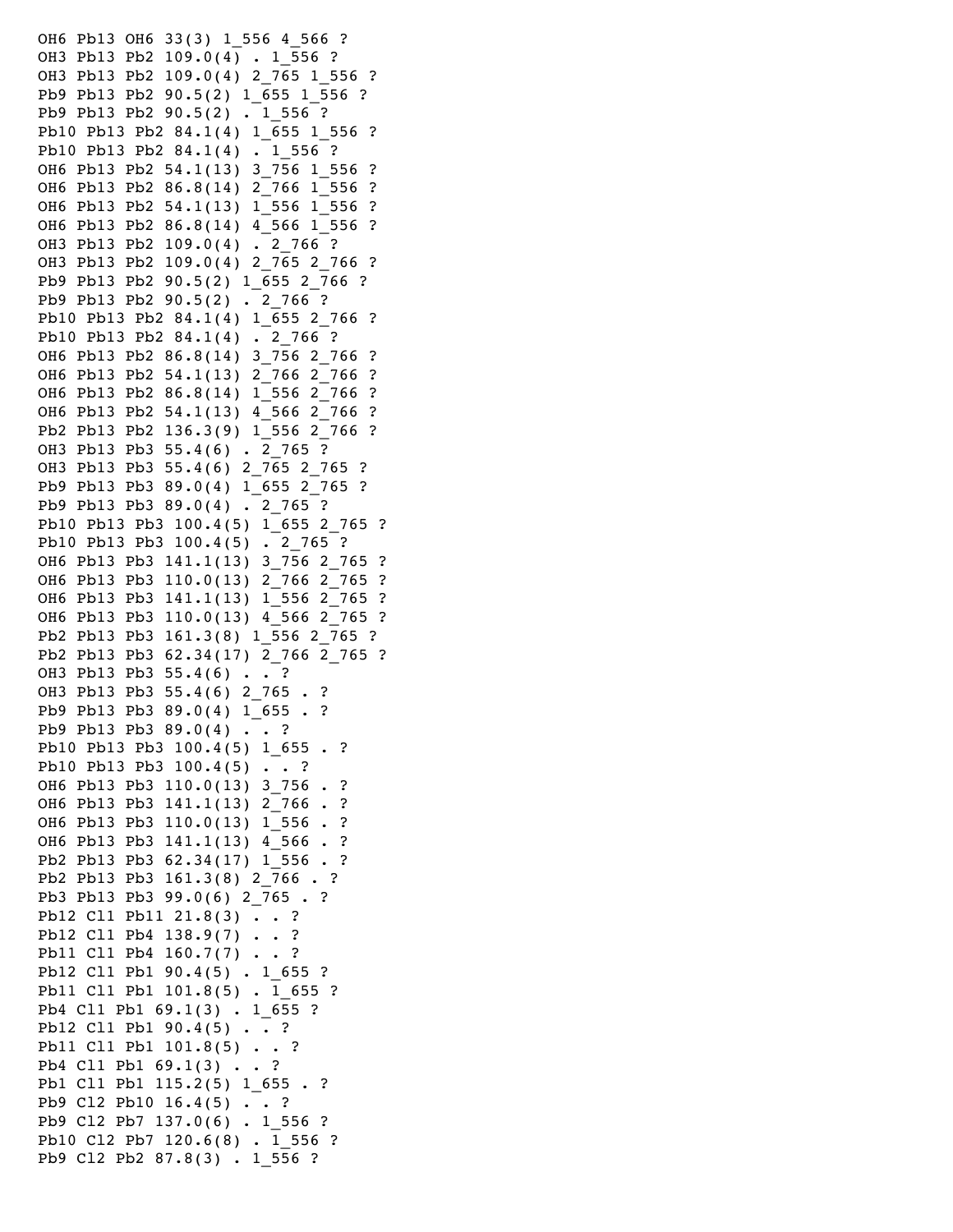```
OH6 Pb13 OH6 33(3) 1 556 4 566 ?
OH3 Pb13 Pb2 109.0(4) . 1 556 ?
OH3 Pb13 Pb2 109.0(4) 2 765 1 556 ?
Pb9 Pb13 Pb2 90.5(2) 1_655 1_556 ?
Pb9 Pb13 Pb2 90.5(2) . 1 556 ?
Pb10 Pb13 Pb2 84.1(4) 1 655 1 556 ?
Pb10 Pb13 Pb2 84.1(4) . 1 556 ?
OH6 Pb13 Pb2 54.1(13) 3_756 1_556 ?
OH6 Pb13 Pb2 86.8(14) 2 766 1 556 ?
OH6 Pb13 Pb2 54.1(13) 1 556 1 556 ?
OH6 Pb13 Pb2 86.8(14) 4 566 1 556 ?
OH3 Pb13 Pb2 109.0(4) . 2 766 ?
OH3 Pb13 Pb2 109.0(4) 2 765 2 766 ?
Pb9 Pb13 Pb2 90.5(2) 1_655 2_766 ?
Pb9 Pb13 Pb2 90.5(2) . 2_766 ?
Pb10 Pb13 Pb2 84.1(4) 1 655 2 766 ?
Pb10 Pb13 Pb2 84.1(4) . 2 766 ?
OH6 Pb13 Pb2 86.8(14) 3 756 2 766 ?
OH6 Pb13 Pb2 54.1(13) 2_766 2_766 ?
OH6 Pb13 Pb2 86.8(14) 1 556 2 766 ?
OH6 Pb13 Pb2 54.1(13) 4 566 2 766 ?
Pb2 Pb13 Pb2 136.3(9) 1 556 2 766 ?
OH3 Pb13 Pb3 55.4(6) . 2 765 ?
OH3 Pb13 Pb3 55.4(6) 2_765 2_765 ?
Pb9 Pb13 Pb3 89.0(4) 1 655 2 765 ?
Pb9 Pb13 Pb3 89.0(4) . 2_765 ?
Pb10 Pb13 Pb3 100.4(5) 1 655 2 765 ?
Pb10 Pb13 Pb3 100.4(5) . 2 765 ?
OH6 Pb13 Pb3 141.1(13) 3 756 2 765 ?
OH6 Pb13 Pb3 110.0(13) 2_766 2_765 ?
OH6 Pb13 Pb3 141.1(13) 1_556 2_765 ?
OH6 Pb13 Pb3 110.0(13) 4 566 2 765 ?
Pb2 Pb13 Pb3 161.3(8) 1 556 2 765 ?
Pb2 Pb13 Pb3 62.34(17) 2 766 2 765 ?
OH3 Pb13 Pb3 55.4(6) . . ?
OH3 Pb13 Pb3 55.4(6) 2 765 . ?
Pb9 Pb13 Pb3 89.0(4) 1 655 . ?
Pb9 Pb13 Pb3 89.0(4) . . ?
Pb10 Pb13 Pb3 100.4(5) 1 655 . ?
Pb10 Pb13 Pb3 100.4(5) . . ?
OH6 Pb13 Pb3 110.0(13) 3_756 . ?
OH6 Pb13 Pb3 141.1(13) 2 766 . ?
OH6 Pb13 Pb3 110.0(13) 1 556 . ?
OH6 Pb13 Pb3 141.1(13) 4 566 . ?
Pb2 Pb13 Pb3 62.34(17) 1 556 . ?
Pb2 Pb13 Pb3 161.3(8) 2 766 . ?
Pb3 Pb13 Pb3 99.0(6) 2 765 . ?
Pb12 Cl1 Pb11 21.8(3) . . ?
Pb12 Cl1 Pb4 138.9(7) . . ?
Pb11 Cl1 Pb4 160.7(7) . . ?
Pb12 Cl1 Pb1 90.4(5) . 1_655 ?
Pb11 Cl1 Pb1 101.8(5) . 1 655 ?
Pb4 Cl1 Pb1 69.1(3) . 1 655 ?
Pb12 Cl1 Pb1 90.4(5) . . ?
Pb11 Cl1 Pb1 101.8(5) . . ?
Pb4 Cl1 Pb1 69.1(3) . . ?
Pb1 Cl1 Pb1 115.2(5) 1_655 . ?
Pb9 Cl2 Pb10 16.4(5) . . ?
Pb9 Cl2 Pb7 137.0(6) . 1 556 ?
Pb10 Cl2 Pb7 120.6(8) . 1 556 ?
Pb9 Cl2 Pb2 87.8(3) . 1_556 ?
```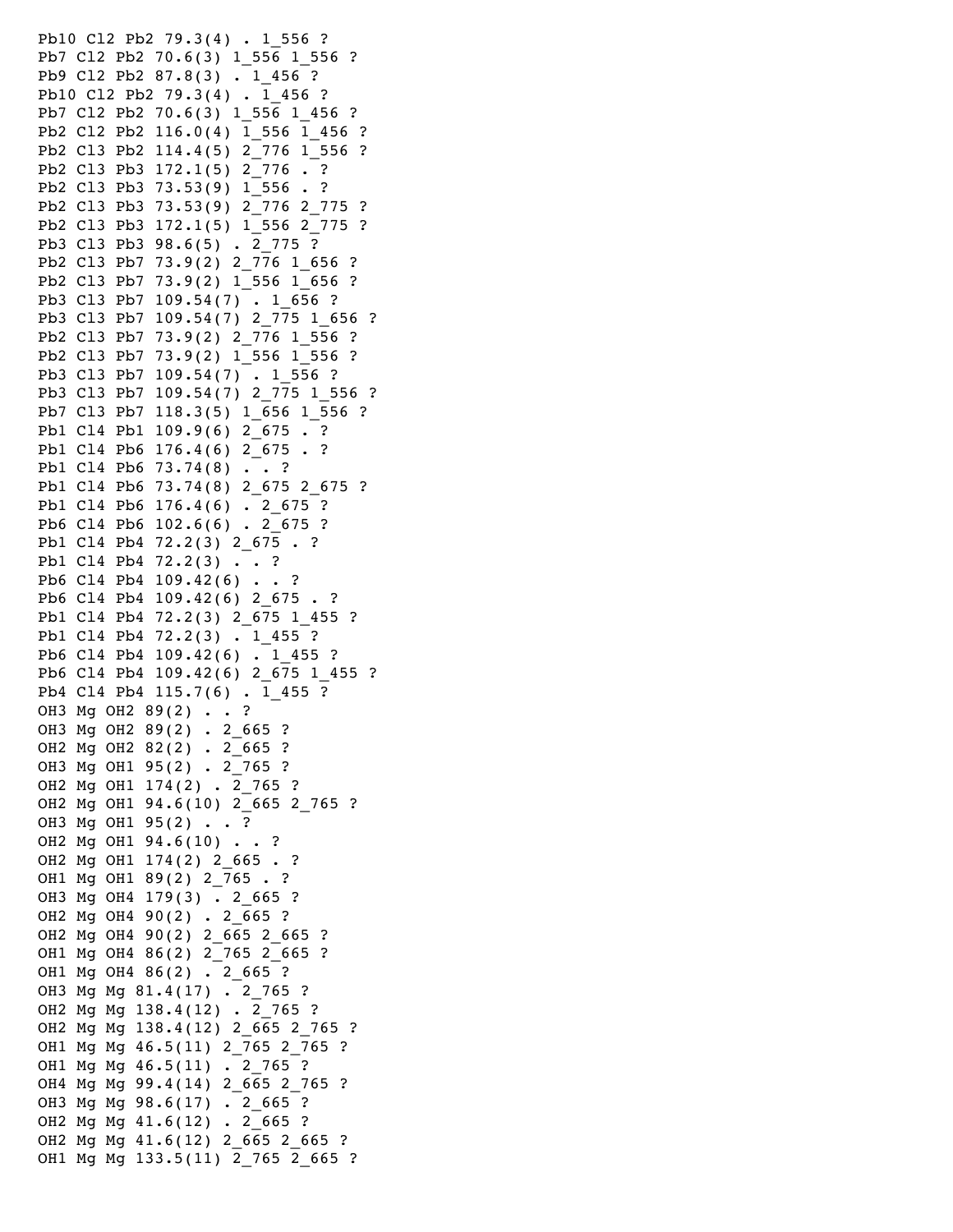Pb10 Cl2 Pb2 79.3(4) . 1\_556 ? Pb7 Cl2 Pb2 70.6(3) 1\_556 1\_556 ? Pb9 Cl2 Pb2 87.8(3) . 1\_456 ? Pb10 Cl2 Pb2 79.3(4) . 1\_456 ? Pb7 Cl2 Pb2 70.6(3) 1 556 1 456 ? Pb2 Cl2 Pb2 116.0(4) 1\_556 1\_456 ? Pb2 Cl3 Pb2 114.4(5) 2\_776 1\_556 ? Pb2 Cl3 Pb3 172.1(5) 2\_776 . ? Pb2 Cl3 Pb3 73.53(9) 1 556 . ? Pb2 Cl3 Pb3 73.53(9) 2\_776 2\_775 ? Pb2 Cl3 Pb3 172.1(5) 1\_556 2\_775 ? Pb3 Cl3 Pb3 98.6(5) . 2 775 ? Pb2 Cl3 Pb7 73.9(2) 2\_776 1\_656 ? Pb2 Cl3 Pb7 73.9(2) 1 556 1 656 ? Pb3 Cl3 Pb7 109.54(7) . 1 656 ? Pb3 Cl3 Pb7 109.54(7) 2 775 1 656 ? Pb2 Cl3 Pb7 73.9(2) 2\_776 1\_556 ? Pb2 Cl3 Pb7 73.9(2) 1 556 1 556 ? Pb3 Cl3 Pb7 109.54(7) . 1\_556 ? Pb3 Cl3 Pb7 109.54(7) 2\_775 1\_556 ? Pb7 Cl3 Pb7 118.3(5) 1 656 1 556 ? Pb1 Cl4 Pb1 109.9(6) 2 675 . ? Pb1 Cl4 Pb6 176.4(6) 2 675 . ? Pb1 Cl4 Pb6 73.74(8) . . ? Pb1 Cl4 Pb6 73.74(8) 2 675 2 675 ? Pb1 Cl4 Pb6 176.4(6) . 2\_675 ? Pb6 Cl4 Pb6 102.6(6) . 2 675 ? Pb1 Cl4 Pb4 72.2(3) 2\_675 . ? Pb1 Cl4 Pb4 72.2(3) . . ? Pb6 Cl4 Pb4 109.42(6) . . ? Pb6 Cl4 Pb4 109.42(6) 2 675 . ? Pb1 Cl4 Pb4 72.2(3) 2 675 1 455 ? Pb1 Cl4 Pb4 72.2(3) . 1 455 ? Pb6 Cl4 Pb4 109.42(6) . 1 455 ? Pb6 Cl4 Pb4 109.42(6) 2\_675 1\_455 ? Pb4 Cl4 Pb4 115.7(6) . 1 455 ? OH3 Mg OH2 89(2) . . ? OH3 Mg OH2 89(2) . 2 665 ? OH2 Mg OH2 82(2) . 2\_665 ? OH3 Mg OH1 95(2) . 2 765 ? OH2 Mg OH1 174(2) . 2\_765 ? OH2 Mg OH1 94.6(10) 2\_665 2\_765 ? OH3 Mg OH1 95(2) . . ? OH2 Mg OH1 94.6(10) . . ? OH2 Mg OH1 174(2) 2 665 . ? OH1 Mg OH1 89(2) 2\_765 . ? OH3 Mg OH4 179(3) . 2 665 ? OH2 Mg OH4 90(2) . 2 665 ? OH2 Mg OH4 90(2) 2 665 2 665 ? OH1 Mg OH4 86(2) 2\_765 2\_665 ? OH1 Mg OH4 86(2) . 2 665 ? OH3 Mg Mg 81.4(17) . 2\_765 ? OH2 Mg Mg 138.4(12) . 2 765 ? OH2 Mg Mg 138.4(12) 2 665 2 765 ? OH1 Mg Mg 46.5(11) 2 765 2 765 ? OH1 Mg Mg 46.5(11) . 2 765 ? OH4 Mg Mg 99.4(14) 2\_665 2\_765 ? OH3 Mg Mg 98.6(17) . 2 665 ? OH2 Mg Mg 41.6(12) . 2 665 ? OH2 Mg Mg 41.6(12) 2 665 2 665 ? OH1 Mg Mg 133.5(11) 2 765 2 665 ?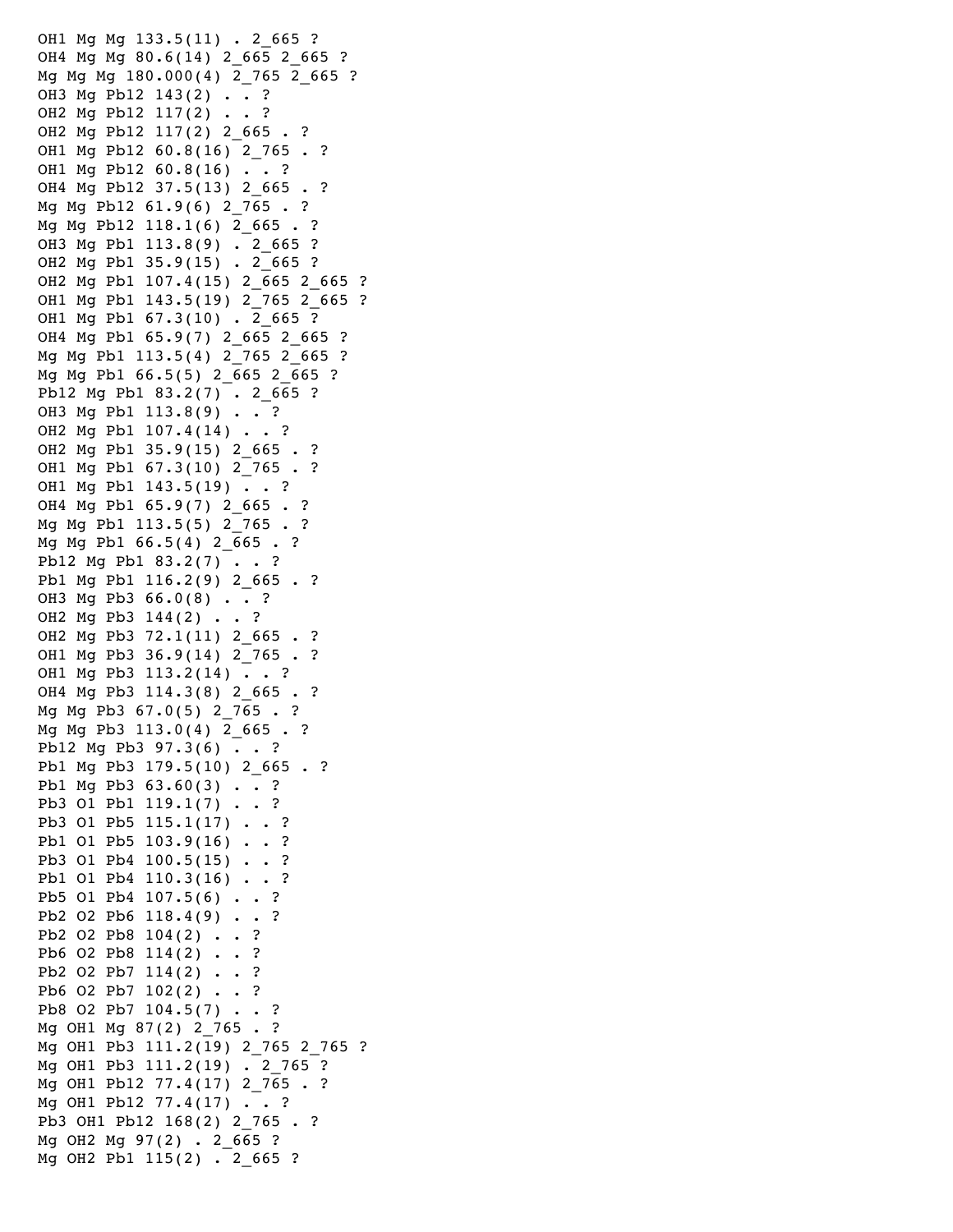OH1 Mg Mg 133.5(11) . 2 665 ? OH4 Mg Mg 80.6(14) 2\_665 2\_665 ? Mg Mg Mg 180.000(4) 2\_765 2\_665 ? OH3 Mg Pb12 143(2) . . ? OH2 Mg Pb12 117(2) . . ? OH2 Mg Pb12 117(2) 2\_665 . ? OH1 Mg Pb12 60.8(16) 2\_765 . ? OH1 Mg Pb12 60.8(16) . . ? OH4 Mg Pb12 37.5(13) 2 665 . ? Mg Mg Pb12 61.9(6) 2 765 . ? Mg Mg Pb12 118.1(6) 2 665 . ? OH3 Mg Pb1 113.8(9) . 2 665 ? OH2 Mg Pb1 35.9(15) . 2\_665 ? OH2 Mg Pb1 107.4(15) 2 665 2 665 ? OH1 Mg Pb1 143.5(19) 2 765 2 665 ? OH1 Mg Pb1 67.3(10) . 2 665 ? OH4 Mg Pb1 65.9(7) 2\_665 2\_665 ? Mg Mg Pb1 113.5(4) 2 765 2 665 ? Mg Mg Pb1 66.5(5) 2\_665 2\_665 ? Pb12 Mg Pb1 83.2(7) . 2\_665 ? OH3 Mg Pb1 113.8(9) . . ? OH2 Mg Pb1 107.4(14) . . ? OH2 Mg Pb1 35.9(15) 2 665 . ? OH1 Mg Pb1 67.3(10) 2\_765 . ? OH1 Mg Pb1 143.5(19) . . ? OH4 Mg Pb1 65.9(7) 2\_665 . ? Mg Mg Pb1 113.5(5) 2 765 . ? Mg Mg Pb1 66.5(4) 2 665 . ? Pb12 Mg Pb1 83.2(7) . . ? Pb1 Mg Pb1 116.2(9) 2\_665 . ? OH3 Mg Pb3 66.0(8) . . ? OH2 Mg Pb3 144(2) . . ? OH2 Mg Pb3 72.1(11) 2 665 . ? OH1 Mg Pb3 36.9(14) 2 765 . ? OH1 Mg Pb3 113.2(14) . . ? OH4 Mg Pb3 114.3(8) 2 665 . ? Mg Mg Pb3 67.0(5) 2 765 . ? Mg Mg Pb3 113.0(4) 2 665 . ? Pb12 Mg Pb3 97.3(6) . . ? Pb1 Mg Pb3 179.5(10) 2 665 . ? Pb1 Mg Pb3 63.60(3) . . ? Pb3 01 Pb1 119.1(7) . . ? Pb3 01 Pb5 115.1(17) . . ? Pb1 01 Pb5 103.9(16) . . ? Pb3 01 Pb4 100.5(15) . . ? Pb1 01 Pb4 110.3(16) . . ? Pb5 01 Pb4 107.5(6) . . ? Pb2 02 Pb6 118.4(9) . . ? Pb2 02 Pb8 104(2) . . ? Pb6 02 Pb8 114(2) . . ? Pb2 O2 Pb7 114(2) . . ? Pb6 O2 Pb7 102(2) . . ? Pb8 02 Pb7 104.5(7) . . ? Mg OH1 Mg 87(2) 2 765 . ? Mg OH1 Pb3 111.2(19) 2 765 2 765 ? Mg OH1 Pb3 111.2(19) . 2 765 ? Mg OH1 Pb12 77.4(17) 2 765 . ? Mg OH1 Pb12 77.4(17) . . ? Pb3 OH1 Pb12 168(2) 2 765 . ? Mg OH2 Mg 97(2) . 2 665 ? Mg OH2 Pb1 115(2) . 2 665 ?